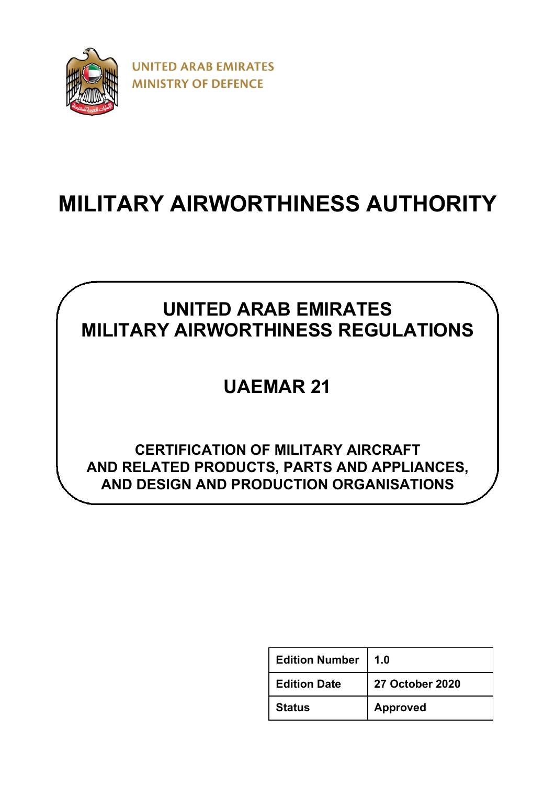

# **MILITARY AIRWORTHINESS AUTHORITY**

# **UNITED ARAB EMIRATES MILITARY AIRWORTHINESS REGULATIONS**

# **UAEMAR 21**

## **CERTIFICATION OF MILITARY AIRCRAFT AND RELATED PRODUCTS, PARTS AND APPLIANCES, AND DESIGN AND PRODUCTION ORGANISATIONS**

| <b>Edition Number</b> | 1.0                    |
|-----------------------|------------------------|
| <b>Edition Date</b>   | <b>27 October 2020</b> |
| <b>Status</b>         | <b>Approved</b>        |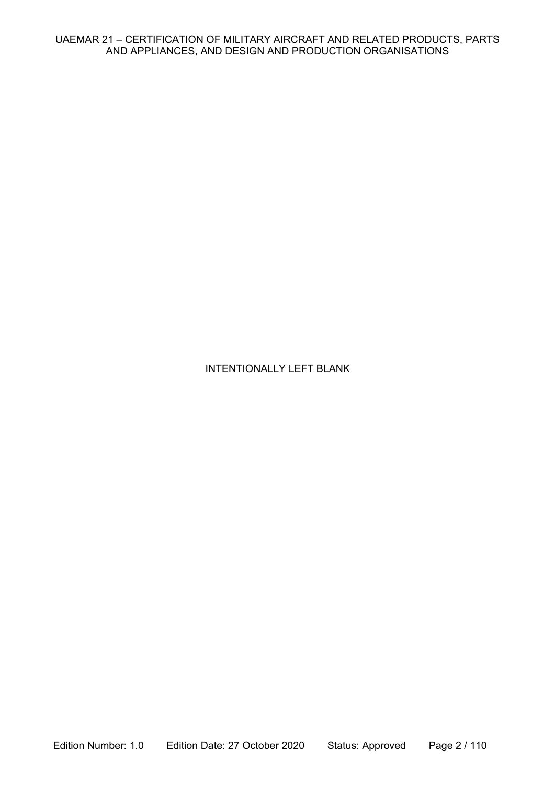## INTENTIONALLY LEFT BLANK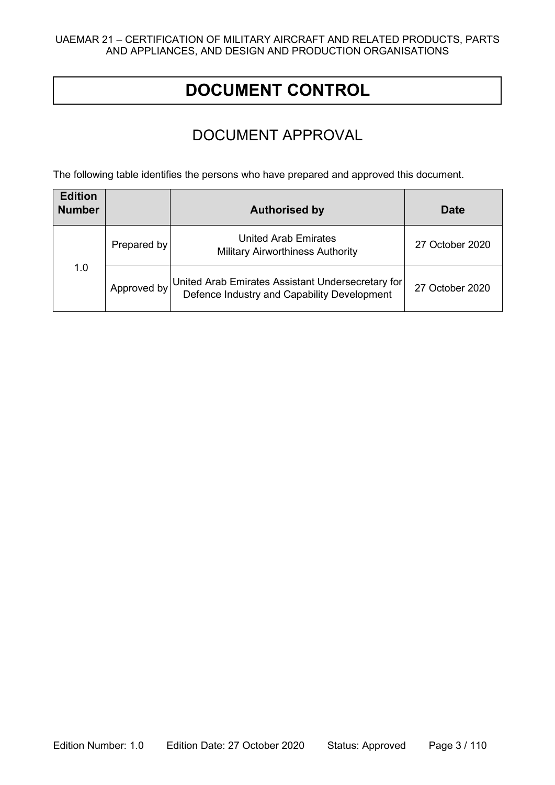## **DOCUMENT CONTROL**

## DOCUMENT APPROVAL

The following table identifies the persons who have prepared and approved this document.

| <b>Edition</b><br><b>Number</b> |             | <b>Authorised by</b>                                                                             | <b>Date</b>     |
|---------------------------------|-------------|--------------------------------------------------------------------------------------------------|-----------------|
| 1.0                             | Prepared by | <b>United Arab Emirates</b><br><b>Military Airworthiness Authority</b>                           | 27 October 2020 |
|                                 | Approved by | United Arab Emirates Assistant Undersecretary for<br>Defence Industry and Capability Development | 27 October 2020 |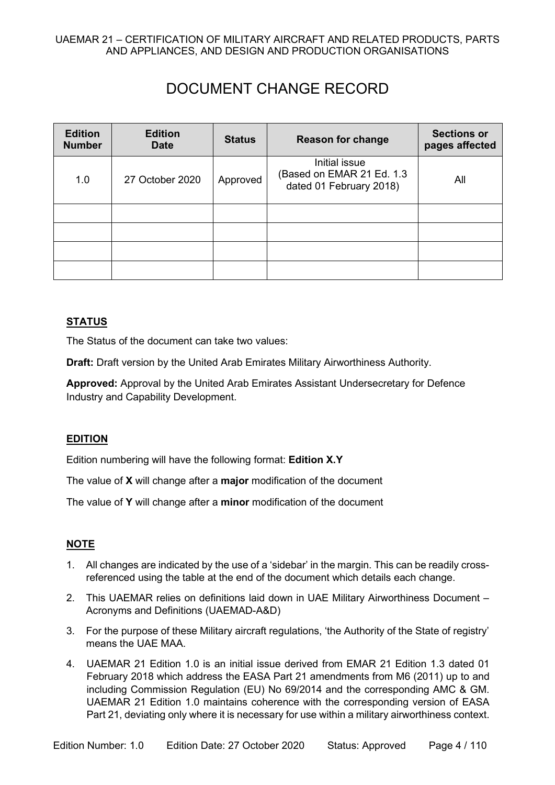## DOCUMENT CHANGE RECORD

| <b>Edition</b><br><b>Number</b> | <b>Edition</b><br><b>Date</b> | <b>Status</b> | <b>Reason for change</b>                                              | <b>Sections or</b><br>pages affected |
|---------------------------------|-------------------------------|---------------|-----------------------------------------------------------------------|--------------------------------------|
| 1.0                             | 27 October 2020               | Approved      | Initial issue<br>(Based on EMAR 21 Ed. 1.3<br>dated 01 February 2018) | All                                  |
|                                 |                               |               |                                                                       |                                      |
|                                 |                               |               |                                                                       |                                      |
|                                 |                               |               |                                                                       |                                      |
|                                 |                               |               |                                                                       |                                      |

## **STATUS**

The Status of the document can take two values:

**Draft:** Draft version by the United Arab Emirates Military Airworthiness Authority.

**Approved:** Approval by the United Arab Emirates Assistant Undersecretary for Defence Industry and Capability Development.

#### **EDITION**

Edition numbering will have the following format: **Edition X.Y**

The value of **X** will change after a **major** modification of the document

The value of **Y** will change after a **minor** modification of the document

## **NOTE**

- 1. All changes are indicated by the use of a 'sidebar' in the margin. This can be readily crossreferenced using the table at the end of the document which details each change.
- 2. This UAEMAR relies on definitions laid down in UAE Military Airworthiness Document Acronyms and Definitions (UAEMAD-A&D)
- 3. For the purpose of these Military aircraft regulations, 'the Authority of the State of registry' means the UAE MAA.
- 4. UAEMAR 21 Edition 1.0 is an initial issue derived from EMAR 21 Edition 1.3 dated 01 February 2018 which address the EASA Part 21 amendments from M6 (2011) up to and including Commission Regulation (EU) No 69/2014 and the corresponding AMC & GM. UAEMAR 21 Edition 1.0 maintains coherence with the corresponding version of EASA Part 21, deviating only where it is necessary for use within a military airworthiness context.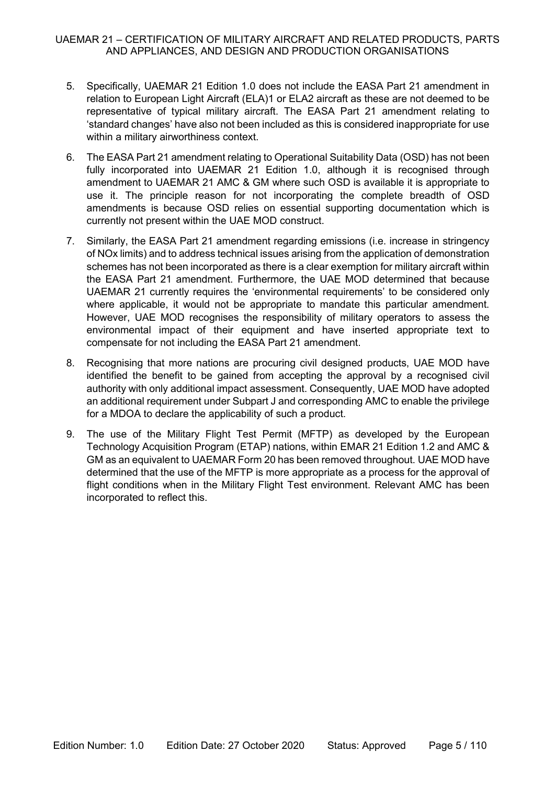- 5. Specifically, UAEMAR 21 Edition 1.0 does not include the EASA Part 21 amendment in relation to European Light Aircraft (ELA)1 or ELA2 aircraft as these are not deemed to be representative of typical military aircraft. The EASA Part 21 amendment relating to 'standard changes' have also not been included as this is considered inappropriate for use within a military airworthiness context.
- 6. The EASA Part 21 amendment relating to Operational Suitability Data (OSD) has not been fully incorporated into UAEMAR 21 Edition 1.0, although it is recognised through amendment to UAEMAR 21 AMC & GM where such OSD is available it is appropriate to use it. The principle reason for not incorporating the complete breadth of OSD amendments is because OSD relies on essential supporting documentation which is currently not present within the UAE MOD construct.
- 7. Similarly, the EASA Part 21 amendment regarding emissions (i.e. increase in stringency of NOx limits) and to address technical issues arising from the application of demonstration schemes has not been incorporated as there is a clear exemption for military aircraft within the EASA Part 21 amendment. Furthermore, the UAE MOD determined that because UAEMAR 21 currently requires the 'environmental requirements' to be considered only where applicable, it would not be appropriate to mandate this particular amendment. However, UAE MOD recognises the responsibility of military operators to assess the environmental impact of their equipment and have inserted appropriate text to compensate for not including the EASA Part 21 amendment.
- 8. Recognising that more nations are procuring civil designed products, UAE MOD have identified the benefit to be gained from accepting the approval by a recognised civil authority with only additional impact assessment. Consequently, UAE MOD have adopted an additional requirement under Subpart J and corresponding AMC to enable the privilege for a MDOA to declare the applicability of such a product.
- 9. The use of the Military Flight Test Permit (MFTP) as developed by the European Technology Acquisition Program (ETAP) nations, within EMAR 21 Edition 1.2 and AMC & GM as an equivalent to UAEMAR Form 20 has been removed throughout. UAE MOD have determined that the use of the MFTP is more appropriate as a process for the approval of flight conditions when in the Military Flight Test environment. Relevant AMC has been incorporated to reflect this.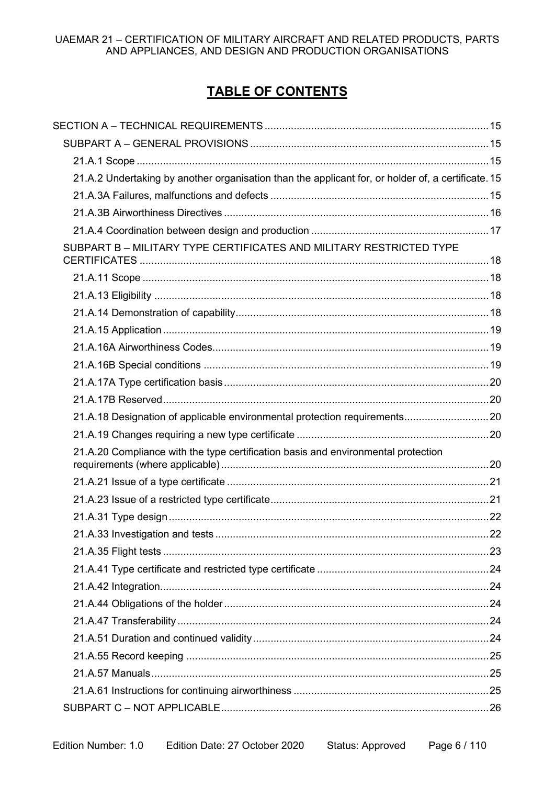## **TABLE OF CONTENTS**

| 21.A.2 Undertaking by another organisation than the applicant for, or holder of, a certificate. 15 |  |
|----------------------------------------------------------------------------------------------------|--|
|                                                                                                    |  |
|                                                                                                    |  |
|                                                                                                    |  |
| SUBPART B - MILITARY TYPE CERTIFICATES AND MILITARY RESTRICTED TYPE                                |  |
|                                                                                                    |  |
|                                                                                                    |  |
|                                                                                                    |  |
|                                                                                                    |  |
|                                                                                                    |  |
|                                                                                                    |  |
|                                                                                                    |  |
|                                                                                                    |  |
| 21.A.18 Designation of applicable environmental protection requirements 20                         |  |
|                                                                                                    |  |
| 21.A.20 Compliance with the type certification basis and environmental protection                  |  |
|                                                                                                    |  |
|                                                                                                    |  |
|                                                                                                    |  |
|                                                                                                    |  |
|                                                                                                    |  |
|                                                                                                    |  |
|                                                                                                    |  |
|                                                                                                    |  |
|                                                                                                    |  |
|                                                                                                    |  |
|                                                                                                    |  |
|                                                                                                    |  |
|                                                                                                    |  |
|                                                                                                    |  |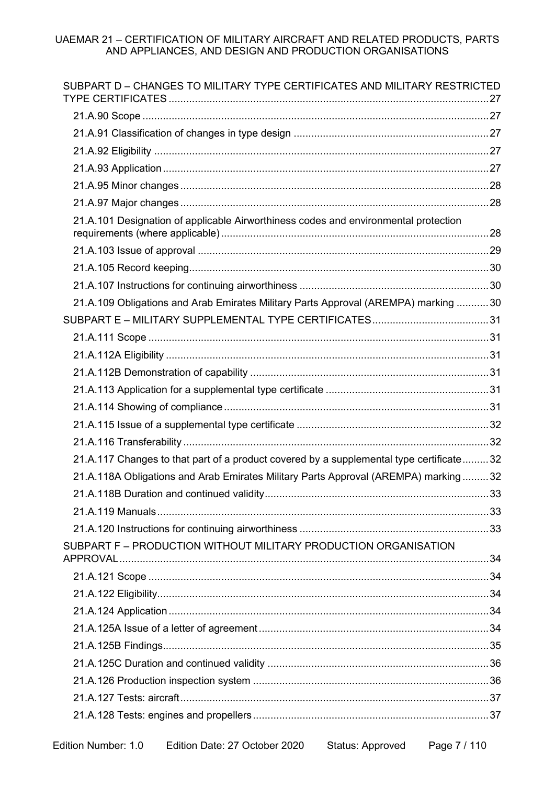| SUBPART D - CHANGES TO MILITARY TYPE CERTIFICATES AND MILITARY RESTRICTED               |  |
|-----------------------------------------------------------------------------------------|--|
|                                                                                         |  |
|                                                                                         |  |
|                                                                                         |  |
|                                                                                         |  |
|                                                                                         |  |
|                                                                                         |  |
| 21.A.101 Designation of applicable Airworthiness codes and environmental protection     |  |
|                                                                                         |  |
|                                                                                         |  |
|                                                                                         |  |
| 21.A.109 Obligations and Arab Emirates Military Parts Approval (AREMPA) marking 30      |  |
|                                                                                         |  |
|                                                                                         |  |
|                                                                                         |  |
|                                                                                         |  |
|                                                                                         |  |
|                                                                                         |  |
|                                                                                         |  |
|                                                                                         |  |
| 21.A.117 Changes to that part of a product covered by a supplemental type certificate32 |  |
| 21.A.118A Obligations and Arab Emirates Military Parts Approval (AREMPA) marking32      |  |
|                                                                                         |  |
|                                                                                         |  |
|                                                                                         |  |
| SUBPART F - PRODUCTION WITHOUT MILITARY PRODUCTION ORGANISATION                         |  |
|                                                                                         |  |
|                                                                                         |  |
|                                                                                         |  |
|                                                                                         |  |
|                                                                                         |  |
|                                                                                         |  |
|                                                                                         |  |
|                                                                                         |  |
|                                                                                         |  |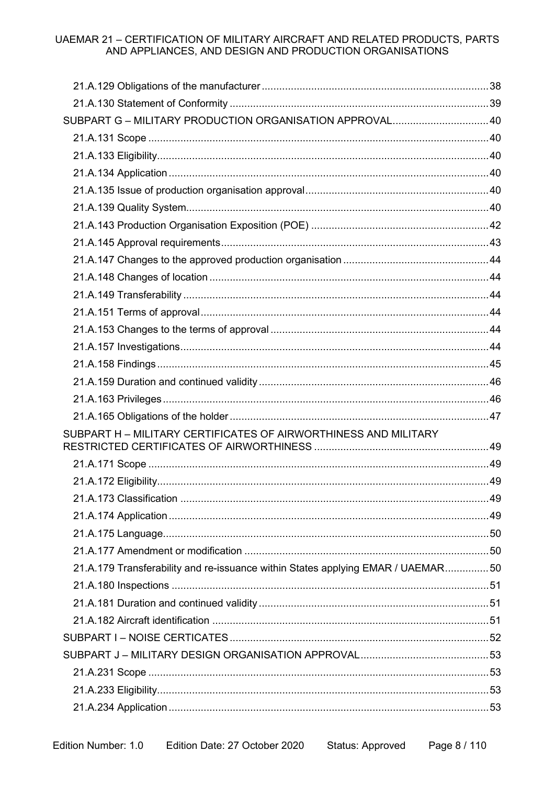| SUBPART G - MILITARY PRODUCTION ORGANISATION APPROVAL 40                        |  |
|---------------------------------------------------------------------------------|--|
|                                                                                 |  |
|                                                                                 |  |
|                                                                                 |  |
|                                                                                 |  |
|                                                                                 |  |
|                                                                                 |  |
|                                                                                 |  |
|                                                                                 |  |
|                                                                                 |  |
|                                                                                 |  |
|                                                                                 |  |
|                                                                                 |  |
|                                                                                 |  |
|                                                                                 |  |
|                                                                                 |  |
|                                                                                 |  |
|                                                                                 |  |
| SUBPART H - MILITARY CERTIFICATES OF AIRWORTHINESS AND MILITARY                 |  |
|                                                                                 |  |
|                                                                                 |  |
|                                                                                 |  |
|                                                                                 |  |
|                                                                                 |  |
|                                                                                 |  |
| 21.A.179 Transferability and re-issuance within States applying EMAR / UAEMAR50 |  |
|                                                                                 |  |
|                                                                                 |  |
|                                                                                 |  |
|                                                                                 |  |
|                                                                                 |  |
|                                                                                 |  |
|                                                                                 |  |
|                                                                                 |  |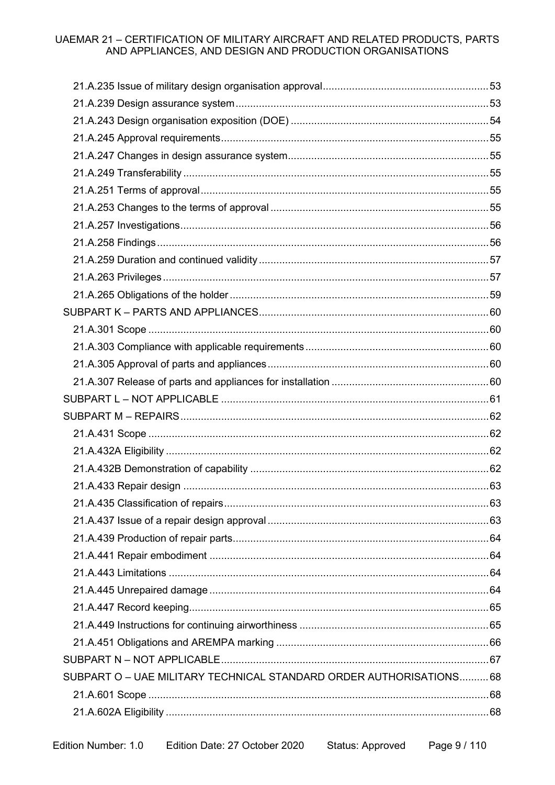| SUBPART O - UAE MILITARY TECHNICAL STANDARD ORDER AUTHORISATIONS 68 |  |
|---------------------------------------------------------------------|--|
|                                                                     |  |
|                                                                     |  |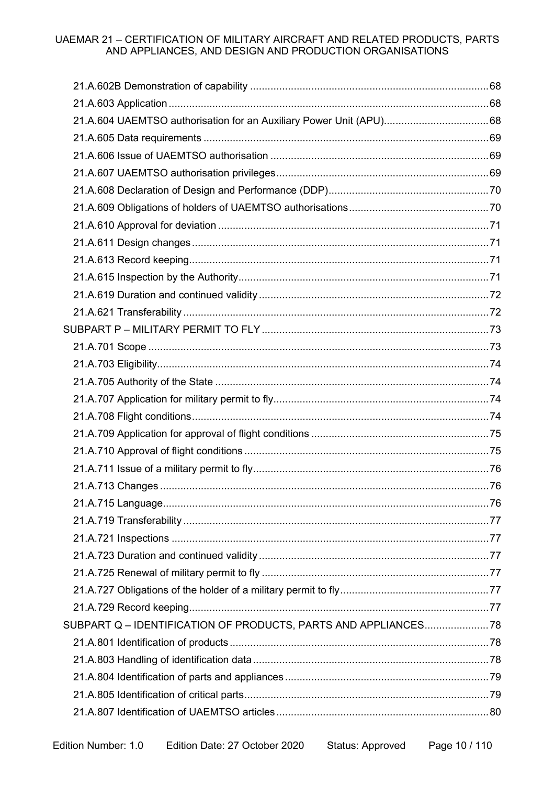| SUBPART Q - IDENTIFICATION OF PRODUCTS, PARTS AND APPLIANCES78 |  |
|----------------------------------------------------------------|--|
|                                                                |  |
|                                                                |  |
|                                                                |  |
|                                                                |  |
|                                                                |  |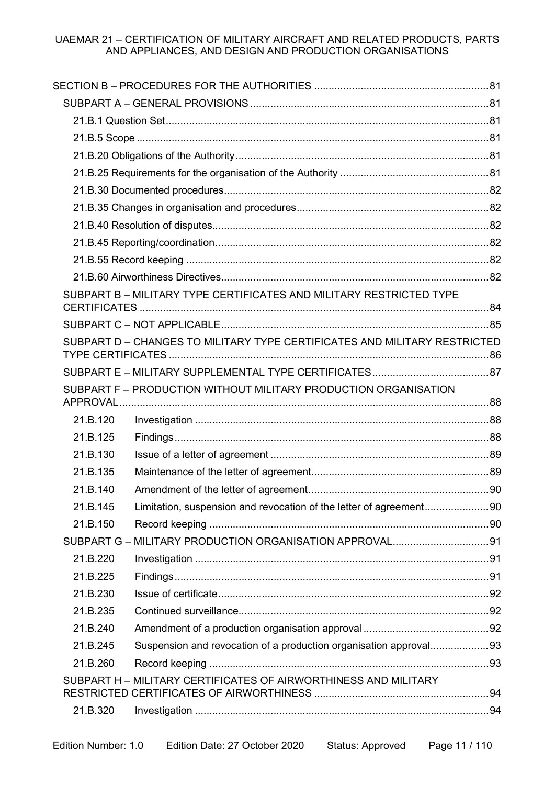|                                                                 | SUBPART B - MILITARY TYPE CERTIFICATES AND MILITARY RESTRICTED TYPE       |  |  |
|-----------------------------------------------------------------|---------------------------------------------------------------------------|--|--|
|                                                                 |                                                                           |  |  |
|                                                                 | SUBPART D - CHANGES TO MILITARY TYPE CERTIFICATES AND MILITARY RESTRICTED |  |  |
|                                                                 |                                                                           |  |  |
|                                                                 |                                                                           |  |  |
|                                                                 | SUBPART F - PRODUCTION WITHOUT MILITARY PRODUCTION ORGANISATION           |  |  |
|                                                                 |                                                                           |  |  |
| 21.B.120                                                        |                                                                           |  |  |
| 21.B.125                                                        |                                                                           |  |  |
| 21.B.130                                                        |                                                                           |  |  |
| 21.B.135                                                        |                                                                           |  |  |
| 21.B.140                                                        |                                                                           |  |  |
| 21.B.145                                                        |                                                                           |  |  |
| 21.B.150                                                        |                                                                           |  |  |
|                                                                 | SUBPART G - MILITARY PRODUCTION ORGANISATION APPROVAL 91                  |  |  |
| 21.B.220                                                        |                                                                           |  |  |
| 21.B.225                                                        |                                                                           |  |  |
| 21.B.230                                                        |                                                                           |  |  |
| 21.B.235                                                        |                                                                           |  |  |
| 21.B.240                                                        |                                                                           |  |  |
| 21.B.245                                                        | Suspension and revocation of a production organisation approval93         |  |  |
| 21.B.260                                                        |                                                                           |  |  |
| SUBPART H - MILITARY CERTIFICATES OF AIRWORTHINESS AND MILITARY |                                                                           |  |  |
|                                                                 |                                                                           |  |  |
| 21.B.320                                                        |                                                                           |  |  |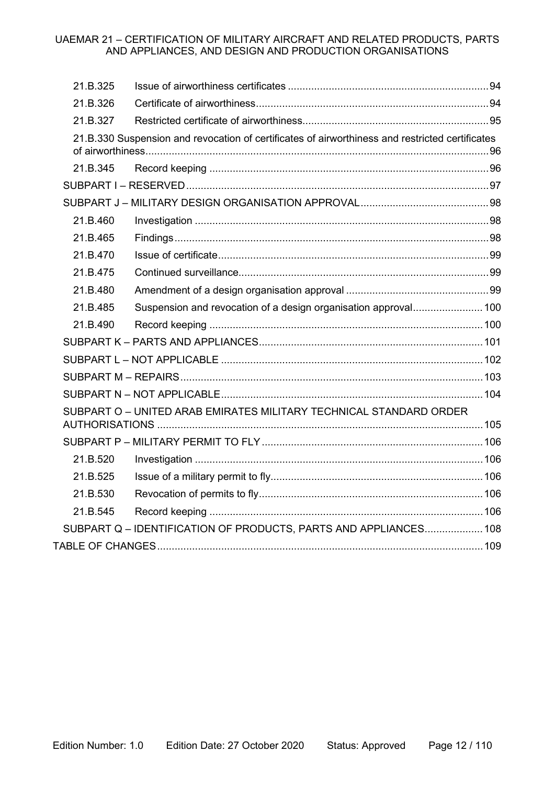| 21.B.325 |                                                                                                 |  |
|----------|-------------------------------------------------------------------------------------------------|--|
| 21.B.326 |                                                                                                 |  |
| 21.B.327 |                                                                                                 |  |
|          | 21.B.330 Suspension and revocation of certificates of airworthiness and restricted certificates |  |
| 21.B.345 |                                                                                                 |  |
|          |                                                                                                 |  |
|          |                                                                                                 |  |
| 21.B.460 |                                                                                                 |  |
| 21.B.465 |                                                                                                 |  |
| 21.B.470 |                                                                                                 |  |
| 21.B.475 |                                                                                                 |  |
| 21.B.480 |                                                                                                 |  |
| 21.B.485 | Suspension and revocation of a design organisation approval 100                                 |  |
| 21.B.490 |                                                                                                 |  |
|          |                                                                                                 |  |
|          |                                                                                                 |  |
|          |                                                                                                 |  |
|          |                                                                                                 |  |
|          | SUBPART O - UNITED ARAB EMIRATES MILITARY TECHNICAL STANDARD ORDER                              |  |
|          |                                                                                                 |  |
| 21.B.520 |                                                                                                 |  |
| 21.B.525 |                                                                                                 |  |
| 21.B.530 |                                                                                                 |  |
| 21.B.545 |                                                                                                 |  |
|          | SUBPART Q - IDENTIFICATION OF PRODUCTS, PARTS AND APPLIANCES 108                                |  |
|          |                                                                                                 |  |
|          |                                                                                                 |  |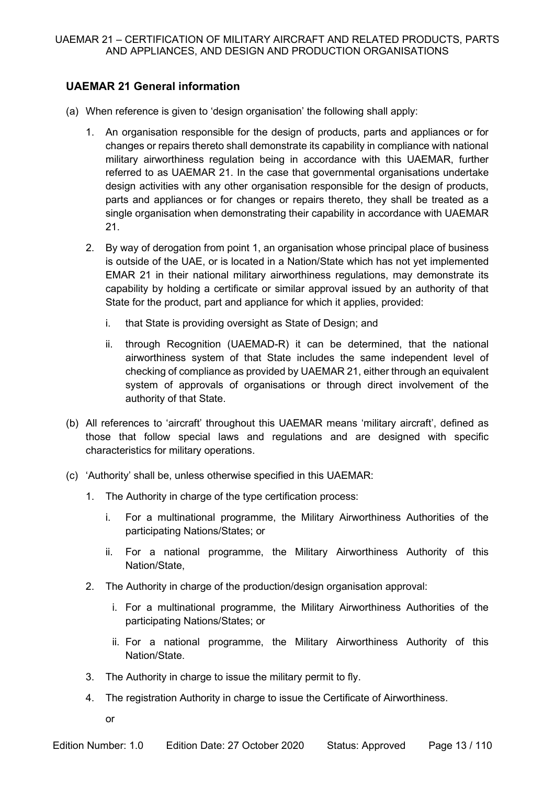## **UAEMAR 21 General information**

- (a) When reference is given to 'design organisation' the following shall apply:
	- 1. An organisation responsible for the design of products, parts and appliances or for changes or repairs thereto shall demonstrate its capability in compliance with national military airworthiness regulation being in accordance with this UAEMAR, further referred to as UAEMAR 21. In the case that governmental organisations undertake design activities with any other organisation responsible for the design of products, parts and appliances or for changes or repairs thereto, they shall be treated as a single organisation when demonstrating their capability in accordance with UAEMAR 21.
	- 2. By way of derogation from point 1, an organisation whose principal place of business is outside of the UAE, or is located in a Nation/State which has not yet implemented EMAR 21 in their national military airworthiness regulations, may demonstrate its capability by holding a certificate or similar approval issued by an authority of that State for the product, part and appliance for which it applies, provided:
		- i. that State is providing oversight as State of Design; and
		- ii. through Recognition (UAEMAD-R) it can be determined, that the national airworthiness system of that State includes the same independent level of checking of compliance as provided by UAEMAR 21, either through an equivalent system of approvals of organisations or through direct involvement of the authority of that State.
- (b) All references to 'aircraft' throughout this UAEMAR means 'military aircraft', defined as those that follow special laws and regulations and are designed with specific characteristics for military operations.
- (c) 'Authority' shall be, unless otherwise specified in this UAEMAR:
	- 1. The Authority in charge of the type certification process:
		- i. For a multinational programme, the Military Airworthiness Authorities of the participating Nations/States; or
		- ii. For a national programme, the Military Airworthiness Authority of this Nation/State,
	- 2. The Authority in charge of the production/design organisation approval:
		- i. For a multinational programme, the Military Airworthiness Authorities of the participating Nations/States; or
		- ii. For a national programme, the Military Airworthiness Authority of this Nation/State.
	- 3. The Authority in charge to issue the military permit to fly.
	- 4. The registration Authority in charge to issue the Certificate of Airworthiness.
		- or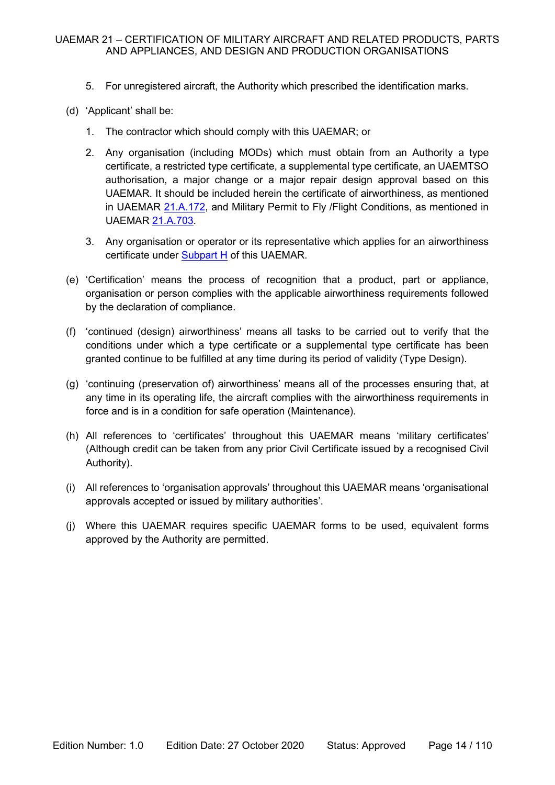- 5. For unregistered aircraft, the Authority which prescribed the identification marks.
- (d) 'Applicant' shall be:
	- 1. The contractor which should comply with this UAEMAR; or
	- 2. Any organisation (including MODs) which must obtain from an Authority a type certificate, a restricted type certificate, a supplemental type certificate, an UAEMTSO authorisation, a major change or a major repair design approval based on this UAEMAR. It should be included herein the certificate of airworthiness, as mentioned in UAEMAR [21.A.172,](#page-48-2) and Military Permit to Fly /Flight Conditions, as mentioned in UAEMAR [21.A.703.](#page-72-2)
	- 3. Any organisation or operator or its representative which applies for an airworthiness certificate under Subpart H of this UAEMAR.
- (e) 'Certification' means the process of recognition that a product, part or appliance, organisation or person complies with the applicable airworthiness requirements followed by the declaration of compliance.
- (f) 'continued (design) airworthiness' means all tasks to be carried out to verify that the conditions under which a type certificate or a supplemental type certificate has been granted continue to be fulfilled at any time during its period of validity (Type Design).
- (g) 'continuing (preservation of) airworthiness' means all of the processes ensuring that, at any time in its operating life, the aircraft complies with the airworthiness requirements in force and is in a condition for safe operation (Maintenance).
- (h) All references to 'certificates' throughout this UAEMAR means 'military certificates' (Although credit can be taken from any prior Civil Certificate issued by a recognised Civil Authority).
- (i) All references to 'organisation approvals' throughout this UAEMAR means 'organisational approvals accepted or issued by military authorities'.
- (j) Where this UAEMAR requires specific UAEMAR forms to be used, equivalent forms approved by the Authority are permitted.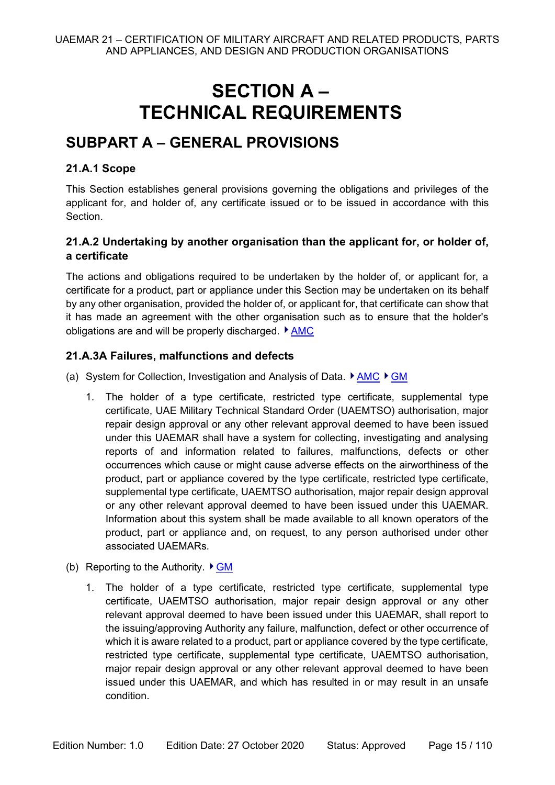# **SECTION A – TECHNICAL REQUIREMENTS**

## <span id="page-14-1"></span><span id="page-14-0"></span>**SUBPART A – GENERAL PROVISIONS**

## <span id="page-14-2"></span>**21.A.1 Scope**

This Section establishes general provisions governing the obligations and privileges of the applicant for, and holder of, any certificate issued or to be issued in accordance with this Section.

## <span id="page-14-3"></span>**21.A.2 Undertaking by another organisation than the applicant for, or holder of, a certificate**

The actions and obligations required to be undertaken by the holder of, or applicant for, a certificate for a product, part or appliance under this Section may be undertaken on its behalf by any other organisation, provided the holder of, or applicant for, that certificate can show that it has made an agreement with the other organisation such as to ensure that the holder's obligations are and will be properly discharged.  $\triangleright$  AMC

## <span id="page-14-4"></span>**21.A.3A Failures, malfunctions and defects**

- (a) System for Collection, Investigation and Analysis of Data.  $\blacktriangleright$  AMC  $\blacktriangleright$  GM
	- 1. The holder of a type certificate, restricted type certificate, supplemental type certificate, UAE Military Technical Standard Order (UAEMTSO) authorisation, major repair design approval or any other relevant approval deemed to have been issued under this UAEMAR shall have a system for collecting, investigating and analysing reports of and information related to failures, malfunctions, defects or other occurrences which cause or might cause adverse effects on the airworthiness of the product, part or appliance covered by the type certificate, restricted type certificate, supplemental type certificate, UAEMTSO authorisation, major repair design approval or any other relevant approval deemed to have been issued under this UAEMAR. Information about this system shall be made available to all known operators of the product, part or appliance and, on request, to any person authorised under other associated UAEMARs.
- (b) Reporting to the Authority.  $\triangleright$  GM
	- 1. The holder of a type certificate, restricted type certificate, supplemental type certificate, UAEMTSO authorisation, major repair design approval or any other relevant approval deemed to have been issued under this UAEMAR, shall report to the issuing/approving Authority any failure, malfunction, defect or other occurrence of which it is aware related to a product, part or appliance covered by the type certificate, restricted type certificate, supplemental type certificate, UAEMTSO authorisation, major repair design approval or any other relevant approval deemed to have been issued under this UAEMAR, and which has resulted in or may result in an unsafe condition.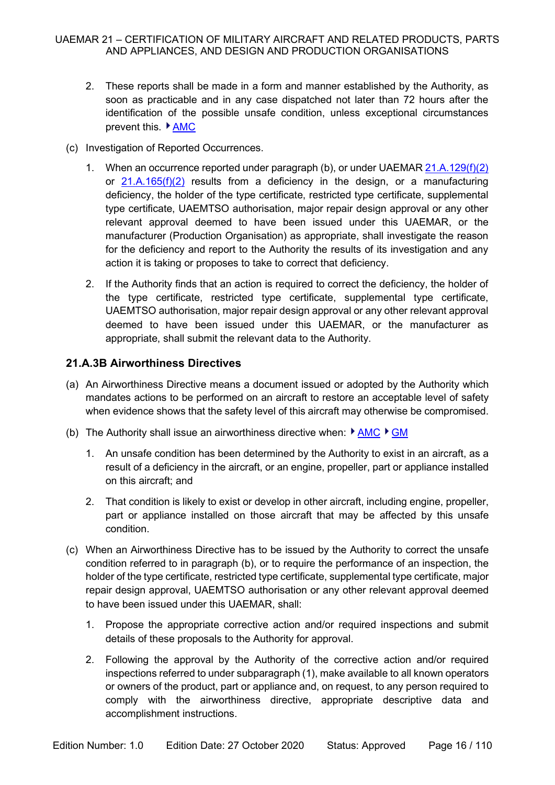- 2. These reports shall be made in a form and manner established by the Authority, as soon as practicable and in any case dispatched not later than 72 hours after the identification of the possible unsafe condition, unless exceptional circumstances prevent this.  $\blacktriangleright$  AMC
- (c) Investigation of Reported Occurrences.
	- 1. When an occurrence reported under paragraph (b), or under UAEMAR 21.A.129(f)(2) or 21.A.165(f)(2) results from a deficiency in the design, or a manufacturing deficiency, the holder of the type certificate, restricted type certificate, supplemental type certificate, UAEMTSO authorisation, major repair design approval or any other relevant approval deemed to have been issued under this UAEMAR, or the manufacturer (Production Organisation) as appropriate, shall investigate the reason for the deficiency and report to the Authority the results of its investigation and any action it is taking or proposes to take to correct that deficiency.
	- 2. If the Authority finds that an action is required to correct the deficiency, the holder of the type certificate, restricted type certificate, supplemental type certificate, UAEMTSO authorisation, major repair design approval or any other relevant approval deemed to have been issued under this UAEMAR, or the manufacturer as appropriate, shall submit the relevant data to the Authority.

#### <span id="page-15-0"></span>**21.A.3B Airworthiness Directives**

- (a) An Airworthiness Directive means a document issued or adopted by the Authority which mandates actions to be performed on an aircraft to restore an acceptable level of safety when evidence shows that the safety level of this aircraft may otherwise be compromised.
- (b) The Authority shall issue an airworthiness directive when:  $\sqrt{P_{\text{AMC}}P_{\text{GM}}}$ 
	- 1. An unsafe condition has been determined by the Authority to exist in an aircraft, as a result of a deficiency in the aircraft, or an engine, propeller, part or appliance installed on this aircraft; and
	- 2. That condition is likely to exist or develop in other aircraft, including engine, propeller, part or appliance installed on those aircraft that may be affected by this unsafe condition.
- (c) When an Airworthiness Directive has to be issued by the Authority to correct the unsafe condition referred to in paragraph (b), or to require the performance of an inspection, the holder of the type certificate, restricted type certificate, supplemental type certificate, major repair design approval, UAEMTSO authorisation or any other relevant approval deemed to have been issued under this UAEMAR, shall:
	- 1. Propose the appropriate corrective action and/or required inspections and submit details of these proposals to the Authority for approval.
	- 2. Following the approval by the Authority of the corrective action and/or required inspections referred to under subparagraph (1), make available to all known operators or owners of the product, part or appliance and, on request, to any person required to comply with the airworthiness directive, appropriate descriptive data and accomplishment instructions.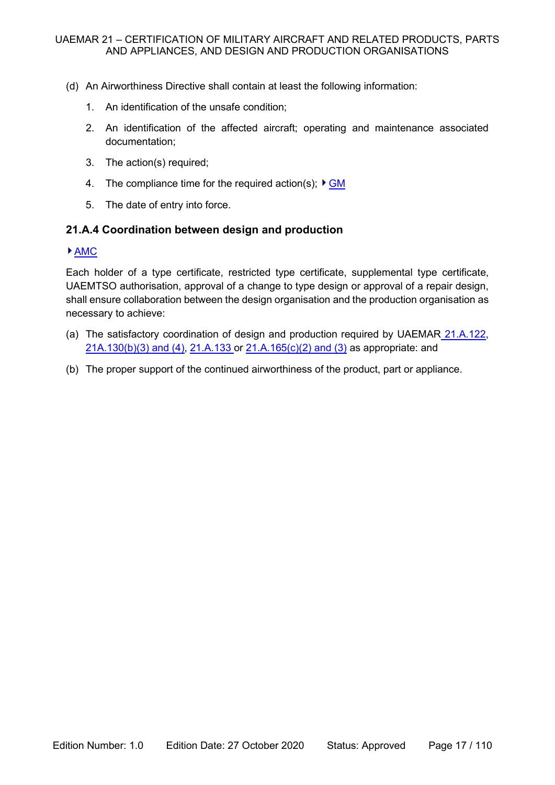- (d) An Airworthiness Directive shall contain at least the following information:
	- 1. An identification of the unsafe condition;
	- 2. An identification of the affected aircraft; operating and maintenance associated documentation;
	- 3. The action(s) required;
	- 4. The compliance time for the required action(s);  $\triangleright$  GM
	- 5. The date of entry into force.

#### <span id="page-16-0"></span>**21.A.4 Coordination between design and production**

#### $AMC$

Each holder of a type certificate, restricted type certificate, supplemental type certificate, UAEMTSO authorisation, approval of a change to type design or approval of a repair design, shall ensure collaboration between the design organisation and the production organisation as necessary to achieve:

- (a) The satisfactory coordination of design and production required by UAEMAR 21.A.122, 21A.130(b)(3) and (4), 21.A.133 or 21.A.165(c)(2) and (3) as appropriate: and
- (b) The proper support of the continued airworthiness of the product, part or appliance.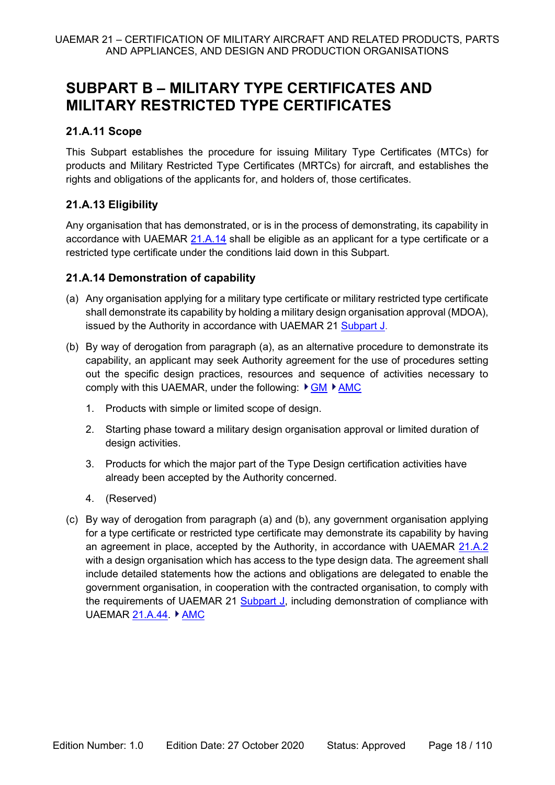## <span id="page-17-0"></span>**SUBPART B – MILITARY TYPE CERTIFICATES AND MILITARY RESTRICTED TYPE CERTIFICATES**

## <span id="page-17-1"></span>**21.A.11 Scope**

This Subpart establishes the procedure for issuing Military Type Certificates (MTCs) for products and Military Restricted Type Certificates (MRTCs) for aircraft, and establishes the rights and obligations of the applicants for, and holders of, those certificates.

## <span id="page-17-2"></span>**21.A.13 Eligibility**

Any organisation that has demonstrated, or is in the process of demonstrating, its capability in accordance with UAEMAR 21.A.14 shall be eligible as an applicant for a type certificate or a restricted type certificate under the conditions laid down in this Subpart.

## <span id="page-17-3"></span>**21.A.14 Demonstration of capability**

- (a) Any organisation applying for a military type certificate or military restricted type certificate shall demonstrate its capability by holding a military design organisation approval (MDOA), issued by the Authority in accordance with UAEMAR 21 Subpart J.
- (b) By way of derogation from paragraph (a), as an alternative procedure to demonstrate its capability, an applicant may seek Authority agreement for the use of procedures setting out the specific design practices, resources and sequence of activities necessary to comply with this UAEMAR, under the following:  $\triangleright$  GM  $\triangleright$  AMC
	- 1. Products with simple or limited scope of design.
	- 2. Starting phase toward a military design organisation approval or limited duration of design activities.
	- 3. Products for which the major part of the Type Design certification activities have already been accepted by the Authority concerned.
	- 4. (Reserved)
- (c) By way of derogation from paragraph (a) and (b), any government organisation applying for a type certificate or restricted type certificate may demonstrate its capability by having an agreement in place, accepted by the Authority, in accordance with UAEMAR 21.A.2 with a design organisation which has access to the type design data. The agreement shall include detailed statements how the actions and obligations are delegated to enable the government organisation, in cooperation with the contracted organisation, to comply with the requirements of UAEMAR 21 Subpart J, including demonstration of compliance with UAEMAR 21.A.44.  $\blacktriangleright$  AMC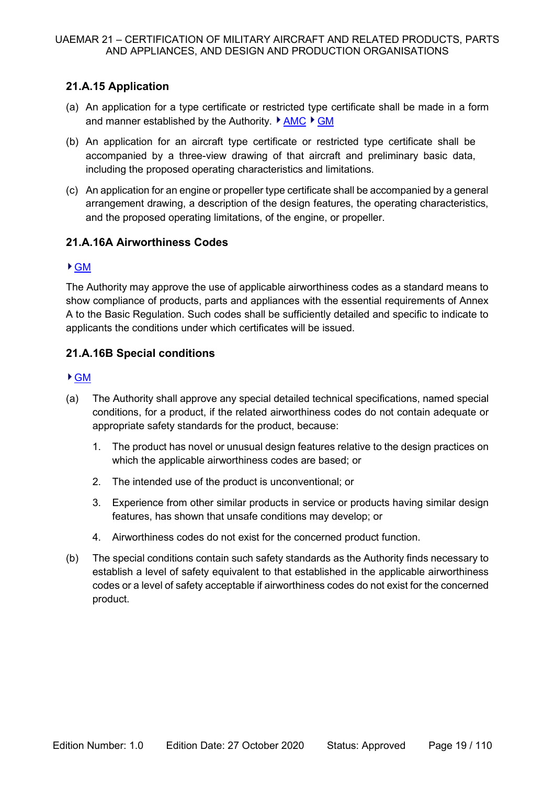## <span id="page-18-0"></span>**21.A.15 Application**

- (a) An application for a type certificate or restricted type certificate shall be made in a form and manner established by the Authority.  $\blacktriangleright$  AMC  $\blacktriangleright$  GM
- (b) An application for an aircraft type certificate or restricted type certificate shall be accompanied by a three-view drawing of that aircraft and preliminary basic data, including the proposed operating characteristics and limitations.
- (c) An application for an engine or propeller type certificate shall be accompanied by a general arrangement drawing, a description of the design features, the operating characteristics, and the proposed operating limitations, of the engine, or propeller.

## <span id="page-18-1"></span>**21.A.16A Airworthiness Codes**

#### GM

The Authority may approve the use of applicable airworthiness codes as a standard means to show compliance of products, parts and appliances with the essential requirements of Annex A to the Basic Regulation. Such codes shall be sufficiently detailed and specific to indicate to applicants the conditions under which certificates will be issued.

## <span id="page-18-2"></span>**21.A.16B Special conditions**

#### GM

- (a) The Authority shall approve any special detailed technical specifications, named special conditions, for a product, if the related airworthiness codes do not contain adequate or appropriate safety standards for the product, because:
	- 1. The product has novel or unusual design features relative to the design practices on which the applicable airworthiness codes are based; or
	- 2. The intended use of the product is unconventional; or
	- 3. Experience from other similar products in service or products having similar design features, has shown that unsafe conditions may develop; or
	- 4. Airworthiness codes do not exist for the concerned product function.
- (b) The special conditions contain such safety standards as the Authority finds necessary to establish a level of safety equivalent to that established in the applicable airworthiness codes or a level of safety acceptable if airworthiness codes do not exist for the concerned product.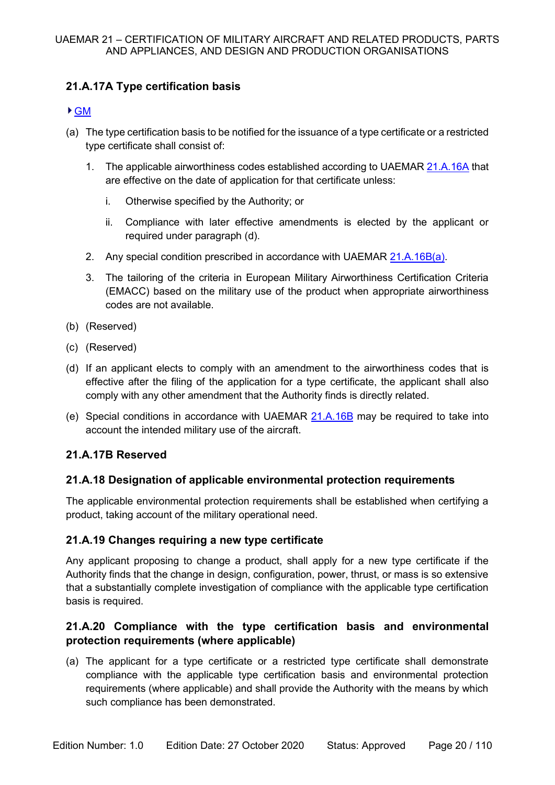## <span id="page-19-0"></span>**21.A.17A Type certification basis**

## GM

- (a) The type certification basis to be notified for the issuance of a type certificate or a restricted type certificate shall consist of:
	- 1. The applicable airworthiness codes established according to UAEMAR 21.A.16A that are effective on the date of application for that certificate unless:
		- i. Otherwise specified by the Authority; or
		- ii. Compliance with later effective amendments is elected by the applicant or required under paragraph (d).
	- 2. Any special condition prescribed in accordance with UAEMAR 21.A.16B(a).
	- 3. The tailoring of the criteria in European Military Airworthiness Certification Criteria (EMACC) based on the military use of the product when appropriate airworthiness codes are not available.
- (b) (Reserved)
- (c) (Reserved)
- (d) If an applicant elects to comply with an amendment to the airworthiness codes that is effective after the filing of the application for a type certificate, the applicant shall also comply with any other amendment that the Authority finds is directly related.
- (e) Special conditions in accordance with UAEMAR 21.A.16B may be required to take into account the intended military use of the aircraft.

## <span id="page-19-1"></span>**21.A.17B Reserved**

## <span id="page-19-2"></span>**21.A.18 Designation of applicable environmental protection requirements**

The applicable environmental protection requirements shall be established when certifying a product, taking account of the military operational need.

## <span id="page-19-3"></span>**21.A.19 Changes requiring a new type certificate**

Any applicant proposing to change a product, shall apply for a new type certificate if the Authority finds that the change in design, configuration, power, thrust, or mass is so extensive that a substantially complete investigation of compliance with the applicable type certification basis is required.

## <span id="page-19-4"></span>**21.A.20 Compliance with the type certification basis and environmental protection requirements (where applicable)**

(a) The applicant for a type certificate or a restricted type certificate shall demonstrate compliance with the applicable type certification basis and environmental protection requirements (where applicable) and shall provide the Authority with the means by which such compliance has been demonstrated.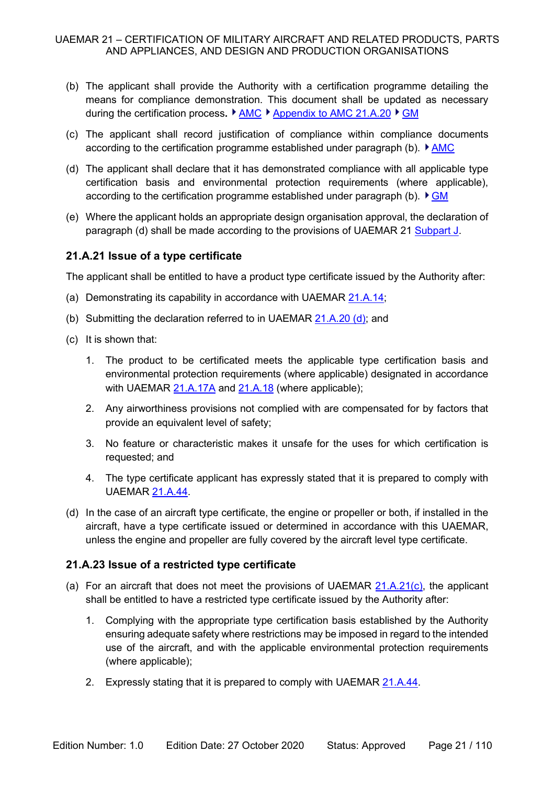- (b) The applicant shall provide the Authority with a certification programme detailing the means for compliance demonstration. This document shall be updated as necessary during the certification process. **▶ AMC ▶ Appendix to AMC 21.A.20 ▶ GM**
- (c) The applicant shall record justification of compliance within compliance documents according to the certification programme established under paragraph (b).  $\blacktriangleright$  AMC
- (d) The applicant shall declare that it has demonstrated compliance with all applicable type certification basis and environmental protection requirements (where applicable), according to the certification programme established under paragraph (b).  $\blacktriangleright$  GM
- (e) Where the applicant holds an appropriate design organisation approval, the declaration of paragraph (d) shall be made according to the provisions of UAEMAR 21 Subpart J.

## <span id="page-20-0"></span>**21.A.21 Issue of a type certificate**

The applicant shall be entitled to have a product type certificate issued by the Authority after:

- (a) Demonstrating its capability in accordance with UAEMAR 21.A.14;
- (b) Submitting the declaration referred to in UAEMAR  $21.A.20(d)$ ; and
- (c) It is shown that:
	- 1. The product to be certificated meets the applicable type certification basis and environmental protection requirements (where applicable) designated in accordance with UAEMAR 21.A.17A and 21.A.18 (where applicable);
	- 2. Any airworthiness provisions not complied with are compensated for by factors that provide an equivalent level of safety;
	- 3. No feature or characteristic makes it unsafe for the uses for which certification is requested; and
	- 4. The type certificate applicant has expressly stated that it is prepared to comply with UAEMAR 21.A.44.
- (d) In the case of an aircraft type certificate, the engine or propeller or both, if installed in the aircraft, have a type certificate issued or determined in accordance with this UAEMAR, unless the engine and propeller are fully covered by the aircraft level type certificate.

## <span id="page-20-1"></span>**21.A.23 Issue of a restricted type certificate**

- (a) For an aircraft that does not meet the provisions of UAEMAR  $21.A.21(c)$ , the applicant shall be entitled to have a restricted type certificate issued by the Authority after:
	- 1. Complying with the appropriate type certification basis established by the Authority ensuring adequate safety where restrictions may be imposed in regard to the intended use of the aircraft, and with the applicable environmental protection requirements (where applicable);
	- 2. Expressly stating that it is prepared to comply with UAEMAR 21.A.44.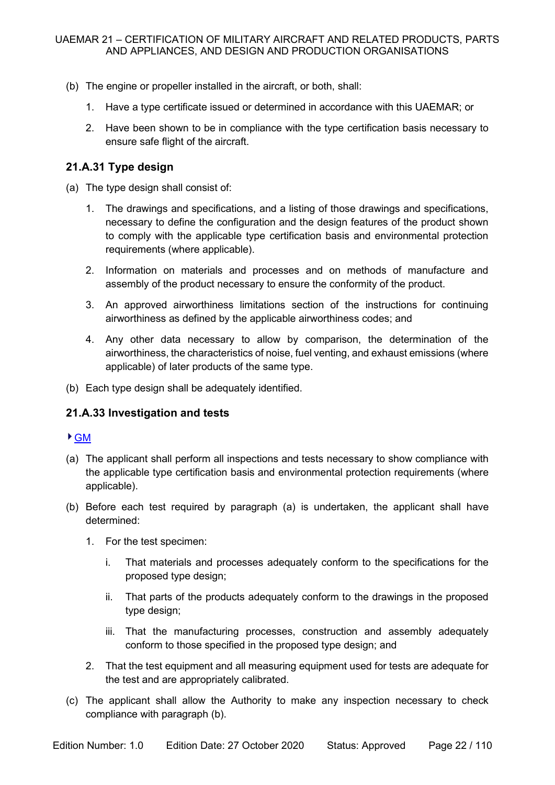- (b) The engine or propeller installed in the aircraft, or both, shall:
	- 1. Have a type certificate issued or determined in accordance with this UAEMAR; or
	- 2. Have been shown to be in compliance with the type certification basis necessary to ensure safe flight of the aircraft.

#### <span id="page-21-0"></span>**21.A.31 Type design**

(a) The type design shall consist of:

- 1. The drawings and specifications, and a listing of those drawings and specifications, necessary to define the configuration and the design features of the product shown to comply with the applicable type certification basis and environmental protection requirements (where applicable).
- 2. Information on materials and processes and on methods of manufacture and assembly of the product necessary to ensure the conformity of the product.
- 3. An approved airworthiness limitations section of the instructions for continuing airworthiness as defined by the applicable airworthiness codes; and
- 4. Any other data necessary to allow by comparison, the determination of the airworthiness, the characteristics of noise, fuel venting, and exhaust emissions (where applicable) of later products of the same type.
- (b) Each type design shall be adequately identified.

## <span id="page-21-1"></span>**21.A.33 Investigation and tests**

#### GM

- (a) The applicant shall perform all inspections and tests necessary to show compliance with the applicable type certification basis and environmental protection requirements (where applicable).
- (b) Before each test required by paragraph (a) is undertaken, the applicant shall have determined:
	- 1. For the test specimen:
		- i. That materials and processes adequately conform to the specifications for the proposed type design;
		- ii. That parts of the products adequately conform to the drawings in the proposed type design;
		- iii. That the manufacturing processes, construction and assembly adequately conform to those specified in the proposed type design; and
	- 2. That the test equipment and all measuring equipment used for tests are adequate for the test and are appropriately calibrated.
- (c) The applicant shall allow the Authority to make any inspection necessary to check compliance with paragraph (b).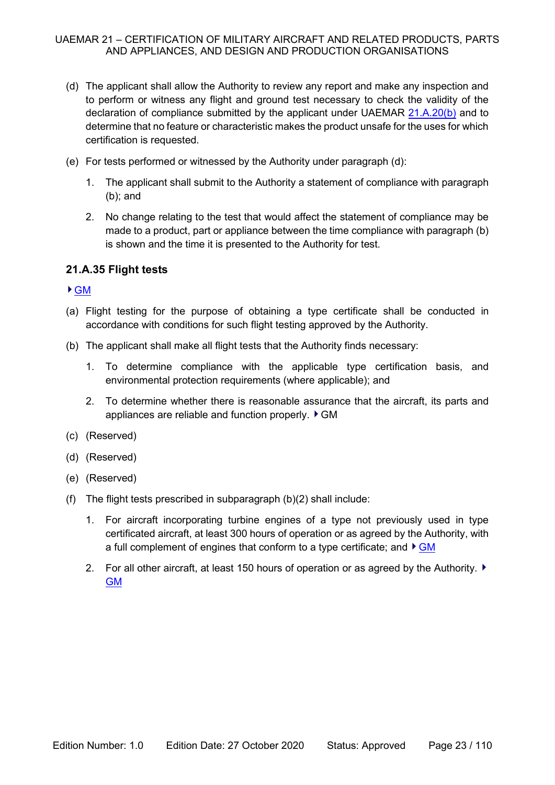- (d) The applicant shall allow the Authority to review any report and make any inspection and to perform or witness any flight and ground test necessary to check the validity of the declaration of compliance submitted by the applicant under UAEMAR 21.A.20(b) and to determine that no feature or characteristic makes the product unsafe for the uses for which certification is requested.
- (e) For tests performed or witnessed by the Authority under paragraph (d):
	- 1. The applicant shall submit to the Authority a statement of compliance with paragraph (b); and
	- 2. No change relating to the test that would affect the statement of compliance may be made to a product, part or appliance between the time compliance with paragraph (b) is shown and the time it is presented to the Authority for test.

#### <span id="page-22-0"></span>**21.A.35 Flight tests**

#### GM

- (a) Flight testing for the purpose of obtaining a type certificate shall be conducted in accordance with conditions for such flight testing approved by the Authority.
- (b) The applicant shall make all flight tests that the Authority finds necessary:
	- 1. To determine compliance with the applicable type certification basis, and environmental protection requirements (where applicable); and
	- 2. To determine whether there is reasonable assurance that the aircraft, its parts and appliances are reliable and function properly.  $\blacktriangleright$  GM
- (c) (Reserved)
- (d) (Reserved)
- (e) (Reserved)
- <span id="page-22-1"></span>(f) The flight tests prescribed in subparagraph (b)(2) shall include:
	- 1. For aircraft incorporating turbine engines of a type not previously used in type certificated aircraft, at least 300 hours of operation or as agreed by the Authority, with a full complement of engines that conform to a type certificate; and  $\overrightarrow{GM}$
	- 2. For all other aircraft, at least 150 hours of operation or as agreed by the Authority. ▶ GM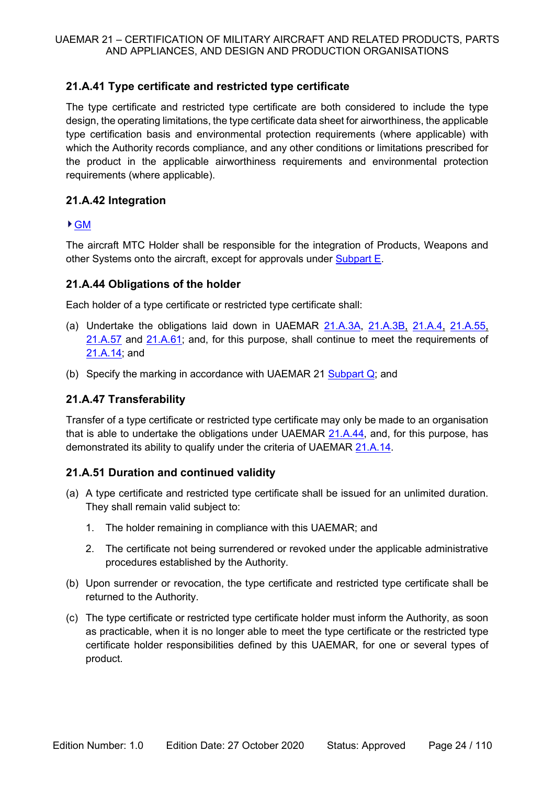## **21.A.41 Type certificate and restricted type certificate**

The type certificate and restricted type certificate are both considered to include the type design, the operating limitations, the type certificate data sheet for airworthiness, the applicable type certification basis and environmental protection requirements (where applicable) with which the Authority records compliance, and any other conditions or limitations prescribed for the product in the applicable airworthiness requirements and environmental protection requirements (where applicable).

## <span id="page-23-0"></span>**21.A.42 Integration**

## GM

The aircraft MTC Holder shall be responsible for the integration of Products, Weapons and other Systems onto the aircraft, except for approvals under Subpart E.

## <span id="page-23-1"></span>**21.A.44 Obligations of the holder**

Each holder of a type certificate or restricted type certificate shall:

- (a) Undertake the obligations laid down in UAEMAR 21.A.3A, 21.A.3B, 21.A.4, 21.A.55, 21.A.57 and 21.A.61; and, for this purpose, shall continue to meet the requirements of 21.A.14; and
- (b) Specify the marking in accordance with UAEMAR 21 Subpart Q; and

## <span id="page-23-2"></span>**21.A.47 Transferability**

Transfer of a type certificate or restricted type certificate may only be made to an organisation that is able to undertake the obligations under UAEMAR [21.A.44,](#page-23-1) and, for this purpose, has demonstrated its ability to qualify under the criteria of UAEMAR [21.A.14.](#page-17-3)

## <span id="page-23-3"></span>**21.A.51 Duration and continued validity**

- (a) A type certificate and restricted type certificate shall be issued for an unlimited duration. They shall remain valid subject to:
	- 1. The holder remaining in compliance with this UAEMAR; and
	- 2. The certificate not being surrendered or revoked under the applicable administrative procedures established by the Authority.
- (b) Upon surrender or revocation, the type certificate and restricted type certificate shall be returned to the Authority.
- <span id="page-23-4"></span>(c) The type certificate or restricted type certificate holder must inform the Authority, as soon as practicable, when it is no longer able to meet the type certificate or the restricted type certificate holder responsibilities defined by this UAEMAR, for one or several types of product.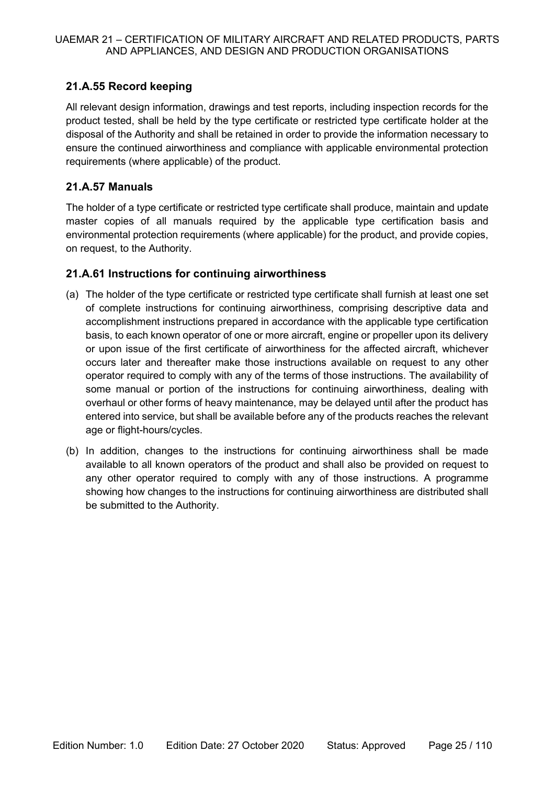## **21.A.55 Record keeping**

All relevant design information, drawings and test reports, including inspection records for the product tested, shall be held by the type certificate or restricted type certificate holder at the disposal of the Authority and shall be retained in order to provide the information necessary to ensure the continued airworthiness and compliance with applicable environmental protection requirements (where applicable) of the product.

## <span id="page-24-0"></span>**21.A.57 Manuals**

The holder of a type certificate or restricted type certificate shall produce, maintain and update master copies of all manuals required by the applicable type certification basis and environmental protection requirements (where applicable) for the product, and provide copies, on request, to the Authority.

## <span id="page-24-1"></span>**21.A.61 Instructions for continuing airworthiness**

- (a) The holder of the type certificate or restricted type certificate shall furnish at least one set of complete instructions for continuing airworthiness, comprising descriptive data and accomplishment instructions prepared in accordance with the applicable type certification basis, to each known operator of one or more aircraft, engine or propeller upon its delivery or upon issue of the first certificate of airworthiness for the affected aircraft, whichever occurs later and thereafter make those instructions available on request to any other operator required to comply with any of the terms of those instructions. The availability of some manual or portion of the instructions for continuing airworthiness, dealing with overhaul or other forms of heavy maintenance, may be delayed until after the product has entered into service, but shall be available before any of the products reaches the relevant age or flight-hours/cycles.
- (b) In addition, changes to the instructions for continuing airworthiness shall be made available to all known operators of the product and shall also be provided on request to any other operator required to comply with any of those instructions. A programme showing how changes to the instructions for continuing airworthiness are distributed shall be submitted to the Authority.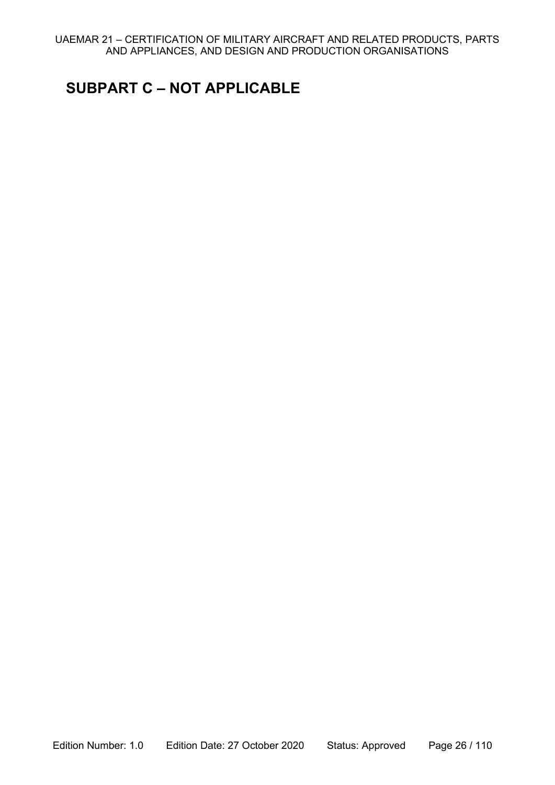## <span id="page-25-0"></span>**SUBPART C – NOT APPLICABLE**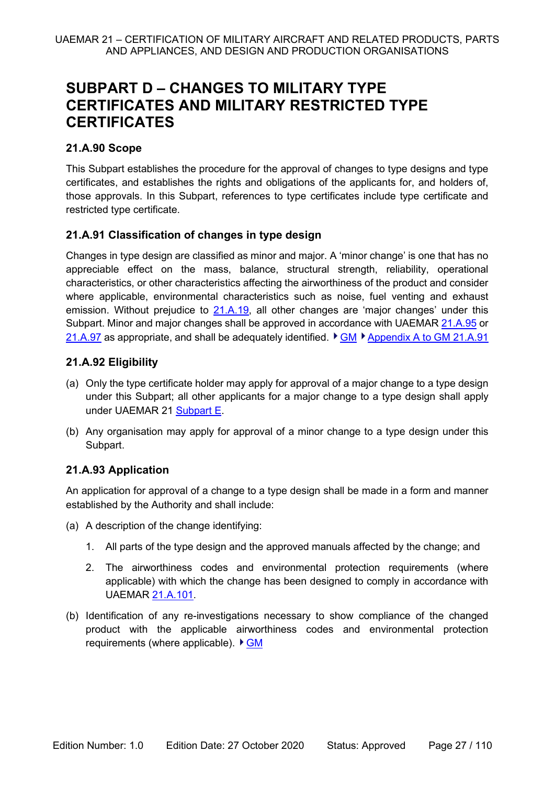## <span id="page-26-0"></span>**SUBPART D – CHANGES TO MILITARY TYPE CERTIFICATES AND MILITARY RESTRICTED TYPE CERTIFICATES**

## <span id="page-26-1"></span>**21.A.90 Scope**

This Subpart establishes the procedure for the approval of changes to type designs and type certificates, and establishes the rights and obligations of the applicants for, and holders of, those approvals. In this Subpart, references to type certificates include type certificate and restricted type certificate.

## <span id="page-26-2"></span>**21.A.91 Classification of changes in type design**

Changes in type design are classified as minor and major. A 'minor change' is one that has no appreciable effect on the mass, balance, structural strength, reliability, operational characteristics, or other characteristics affecting the airworthiness of the product and consider where applicable, environmental characteristics such as noise, fuel venting and exhaust emission. Without prejudice to 21.A.19, all other changes are 'major changes' under this Subpart. Minor and major changes shall be approved in accordance with UAEMAR 21.A.95 or 21.A.97 as appropriate, and shall be adequately identified.  $\blacktriangleright$  GM  $\blacktriangleright$  Appendix A to GM 21.A.91

## <span id="page-26-3"></span>**21.A.92 Eligibility**

- (a) Only the type certificate holder may apply for approval of a major change to a type design under this Subpart; all other applicants for a major change to a type design shall apply under UAEMAR 21 Subpart E.
- (b) Any organisation may apply for approval of a minor change to a type design under this Subpart.

## <span id="page-26-4"></span>**21.A.93 Application**

An application for approval of a change to a type design shall be made in a form and manner established by the Authority and shall include:

- (a) A description of the change identifying:
	- 1. All parts of the type design and the approved manuals affected by the change; and
	- 2. The airworthiness codes and environmental protection requirements (where applicable) with which the change has been designed to comply in accordance with UAEMAR 21.A.101.
- (b) Identification of any re-investigations necessary to show compliance of the changed product with the applicable airworthiness codes and environmental protection requirements (where applicable).  $\triangleright$  GM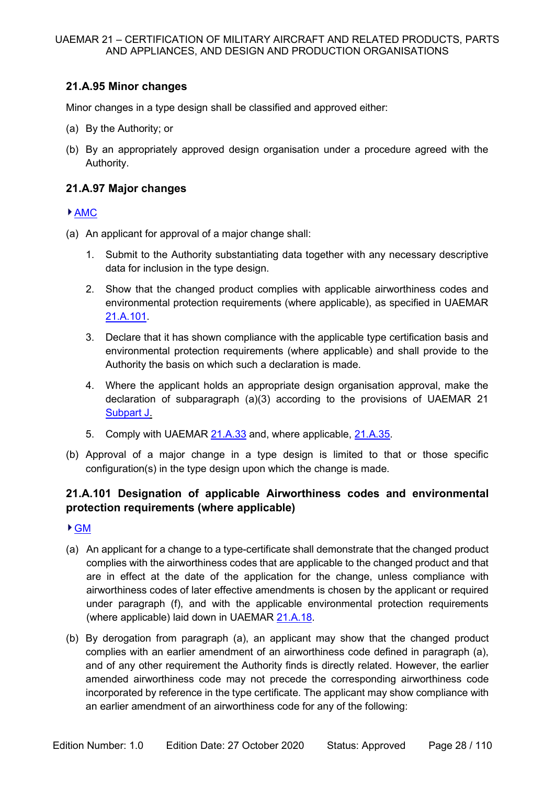## <span id="page-27-0"></span>**21.A.95 Minor changes**

Minor changes in a type design shall be classified and approved either:

- (a) By the Authority; or
- (b) By an appropriately approved design organisation under a procedure agreed with the Authority.

#### <span id="page-27-1"></span>**21.A.97 Major changes**

#### ▶ AMC

- (a) An applicant for approval of a major change shall:
	- 1. Submit to the Authority substantiating data together with any necessary descriptive data for inclusion in the type design.
	- 2. Show that the changed product complies with applicable airworthiness codes and environmental protection requirements (where applicable), as specified in [UAEMAR](#page-27-1) 21.A.101.
	- 3. Declare that it has shown compliance with the applicable type certification basis and environmental protection requirements (where applicable) and shall provide to the Authority the basis on which such a declaration is made.
	- 4. Where the applicant holds an appropriate design organisation approval, make the declaration of subparagraph (a)(3) according to the provisions of UAEMAR 21 Subpart J.
	- 5. Comply with UAEMAR 21.A.33 and, where applicable, 21.A.35.
- (b) Approval of a major change in a type design is limited to that or those specific configuration(s) in the type design upon which the change is made.

## <span id="page-27-2"></span>**21.A.101 Designation of applicable Airworthiness codes and environmental protection requirements (where applicable)**

#### GM

- (a) An applicant for a change to a type-certificate shall demonstrate that the changed product complies with the airworthiness codes that are applicable to the changed product and that are in effect at the date of the application for the change, unless compliance with airworthiness codes of later effective amendments is chosen by the applicant or required under paragraph (f), and with the applicable environmental protection requirements (where applicable) laid down in UAEMAR 21.A.18.
- (b) By derogation from paragraph (a), an applicant may show that the changed product complies with an earlier amendment of an airworthiness code defined in paragraph (a), and of any other requirement the Authority finds is directly related. However, the earlier amended airworthiness code may not precede the corresponding airworthiness code incorporated by reference in the type certificate. The applicant may show compliance with an earlier amendment of an airworthiness code for any of the following: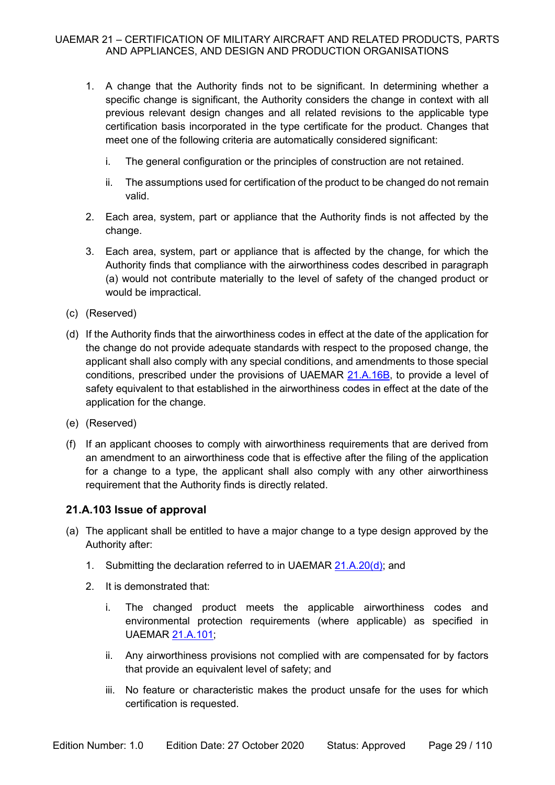- 1. A change that the Authority finds not to be significant. In determining whether a specific change is significant, the Authority considers the change in context with all previous relevant design changes and all related revisions to the applicable type certification basis incorporated in the type certificate for the product. Changes that meet one of the following criteria are automatically considered significant:
	- i. The general configuration or the principles of construction are not retained.
	- ii. The assumptions used for certification of the product to be changed do not remain valid.
- 2. Each area, system, part or appliance that the Authority finds is not affected by the change.
- 3. Each area, system, part or appliance that is affected by the change, for which the Authority finds that compliance with the airworthiness codes described in paragraph (a) would not contribute materially to the level of safety of the changed product or would be impractical.
- (c) (Reserved)
- (d) If the Authority finds that the airworthiness codes in effect at the date of the application for the change do not provide adequate standards with respect to the proposed change, the applicant shall also comply with any special conditions, and amendments to those special conditions, prescribed under the provisions of UAEMAR 21.A.16B, to provide a level of safety equivalent to that established in the airworthiness codes in effect at the date of the application for the change.
- (e) (Reserved)
- (f) If an applicant chooses to comply with airworthiness requirements that are derived from an amendment to an airworthiness code that is effective after the filing of the application for a change to a type, the applicant shall also comply with any other airworthiness requirement that the Authority finds is directly related.

## <span id="page-28-0"></span>**21.A.103 Issue of approval**

- (a) The applicant shall be entitled to have a major change to a type design approved by the Authority after:
	- 1. Submitting the declaration referred to in UAEMAR 21.A.20(d); and
	- 2. It is demonstrated that:
		- i. The changed product meets the applicable airworthiness codes and environmental protection requirements (where applicable) as specified in UAEMAR 21.A.101;
		- ii. Any airworthiness provisions not complied with are compensated for by factors that provide an equivalent level of safety; and
		- iii. No feature or characteristic makes the product unsafe for the uses for which certification is requested.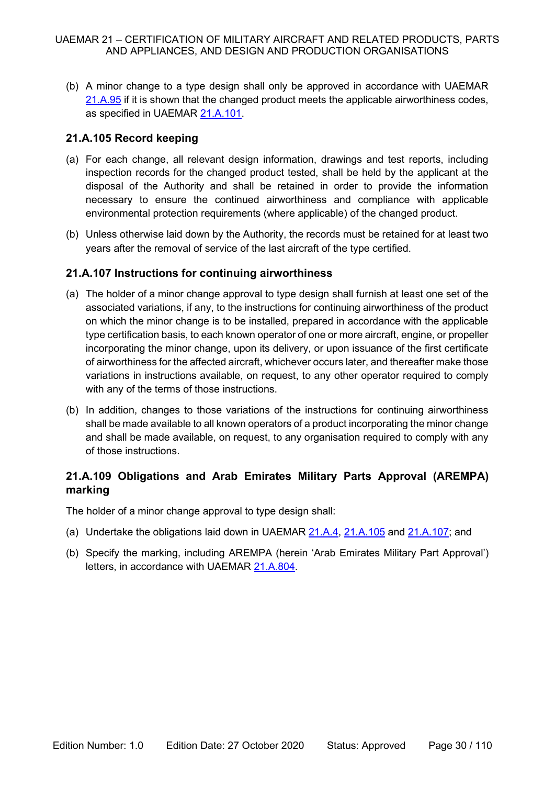(b) A minor change to a type design shall only be approved in accordance with UAEMAR 21.A.95 if it is shown that the changed product meets the applicable airworthiness codes, as specified in UAEMAR 21.A.101.

## <span id="page-29-0"></span>**21.A.105 Record keeping**

- (a) For each change, all relevant design information, drawings and test reports, including inspection records for the changed product tested, shall be held by the applicant at the disposal of the Authority and shall be retained in order to provide the information necessary to ensure the continued airworthiness and compliance with applicable environmental protection requirements (where applicable) of the changed product.
- (b) Unless otherwise laid down by the Authority, the records must be retained for at least two years after the removal of service of the last aircraft of the type certified.

#### <span id="page-29-1"></span>**21.A.107 Instructions for continuing airworthiness**

- (a) The holder of a minor change approval to type design shall furnish at least one set of the associated variations, if any, to the instructions for continuing airworthiness of the product on which the minor change is to be installed, prepared in accordance with the applicable type certification basis, to each known operator of one or more aircraft, engine, or propeller incorporating the minor change, upon its delivery, or upon issuance of the first certificate of airworthiness for the affected aircraft, whichever occurs later, and thereafter make those variations in instructions available, on request, to any other operator required to comply with any of the terms of those instructions.
- (b) In addition, changes to those variations of the instructions for continuing airworthiness shall be made available to all known operators of a product incorporating the minor change and shall be made available, on request, to any organisation required to comply with any of those instructions.

## <span id="page-29-2"></span>**21.A.109 Obligations and Arab Emirates Military Parts Approval (AREMPA) marking**

The holder of a minor change approval to type design shall:

- (a) Undertake the obligations laid down in UAEMAR 21.A.4, 21.A.105 and 21.A.107; and
- (b) Specify the marking, including AREMPA (herein 'Arab Emirates Military Part Approval') letters, in accordance with UAEMAR 21.A.804.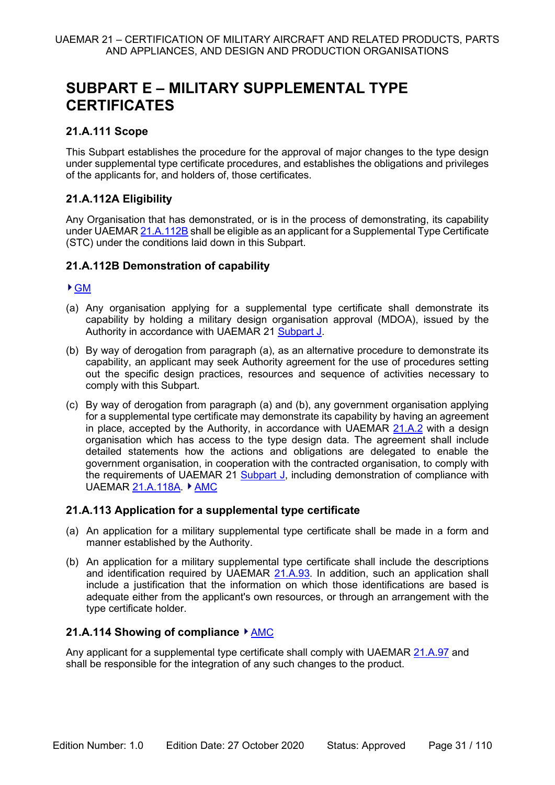## <span id="page-30-0"></span>**SUBPART E – MILITARY SUPPLEMENTAL TYPE CERTIFICATES**

#### <span id="page-30-1"></span>**21.A.111 Scope**

This Subpart establishes the procedure for the approval of major changes to the type design under supplemental type certificate procedures, and establishes the obligations and privileges of the applicants for, and holders of, those certificates.

## <span id="page-30-2"></span>**21.A.112A Eligibility**

Any Organisation that has demonstrated, or is in the process of demonstrating, its capability under UAEMAR 21.A.112B shall be eligible as an applicant for a Supplemental Type Certificate (STC) under the conditions laid down in this Subpart.

#### <span id="page-30-3"></span>**21.A.112B Demonstration of capability**

#### GM

- (a) Any organisation applying for a supplemental type certificate shall demonstrate its capability by holding a military design organisation approval (MDOA), issued by the Authority in accordance with UAEMAR 21 Subpart J.
- (b) By way of derogation from paragraph (a), as an alternative procedure to demonstrate its capability, an applicant may seek Authority agreement for the use of procedures setting out the specific design practices, resources and sequence of activities necessary to comply with this Subpart.
- (c) By way of derogation from paragraph (a) and (b), any government organisation applying for a supplemental type certificate may demonstrate its capability by having an agreement in place, accepted by the Authority, in accordance with UAEMAR 21.A.2 with a design organisation which has access to the type design data. The agreement shall include detailed statements how the actions and obligations are delegated to enable the government organisation, in cooperation with the contracted organisation, to comply with the requirements of UAEMAR 21 Subpart J, including demonstration of compliance with UAEMAR 21.A.118A $\blacktriangleright$  AMC

#### <span id="page-30-4"></span>**21.A.113 Application for a supplemental type certificate**

- (a) An application for a military supplemental type certificate shall be made in a form and manner established by the Authority.
- (b) An application for a military supplemental type certificate shall include the descriptions and identification required by UAEMAR 21.A.93. In addition, such an application shall include a justification that the information on which those identifications are based is adequate either from the applicant's own resources, or through an arrangement with the type certificate holder.

#### <span id="page-30-5"></span>**21.A.114 Showing of compliance ▶ AMC**

Any applicant for a supplemental type certificate shall comply with UAEMAR 21.A.97 and shall be responsible for the integration of any such changes to the product.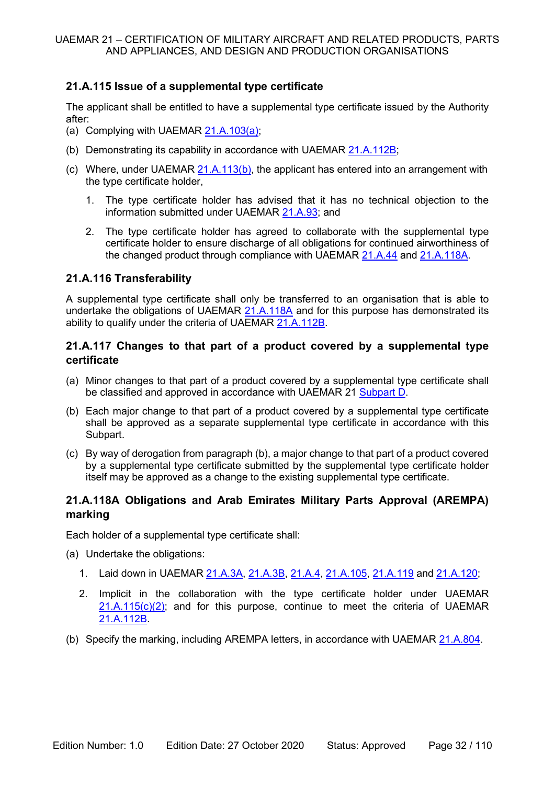## <span id="page-31-0"></span>**21.A.115 Issue of a supplemental type certificate**

The applicant shall be entitled to have a supplemental type certificate issued by the Authority after:

- (a) Complying with UAEMAR 21.A.103(a);
- (b) Demonstrating its capability in accordance with UAEMAR 21.A.112B;
- (c) Where, under UAEMAR 21.A.113(b), the applicant has entered into an arrangement with the type certificate holder.
	- 1. The type certificate holder has advised that it has no technical objection to the information submitted under UAEMAR 21.A.93; and
	- 2. The type certificate holder has agreed to collaborate with the supplemental type certificate holder to ensure discharge of all obligations for continued airworthiness of the changed product through compliance with UAEMAR 21.A.44 and 21.A.118A.

#### <span id="page-31-1"></span>**21.A.116 Transferability**

A supplemental type certificate shall only be transferred to an organisation that is able to undertake the obligations of UAEMAR 21.A.118A and for this purpose has demonstrated its ability to qualify under the criteria of UAEMAR 21.A.112B.

## <span id="page-31-2"></span>**21.A.117 Changes to that part of a product covered by a supplemental type certificate**

- (a) Minor changes to that part of a product covered by a supplemental type certificate shall be classified and approved in accordance with UAEMAR 21 Subpart D.
- (b) Each major change to that part of a product covered by a supplemental type certificate shall be approved as a separate supplemental type certificate in accordance with this Subpart.
- (c) By way of derogation from paragraph (b), a major change to that part of a product covered by a supplemental type certificate submitted by the supplemental type certificate holder itself may be approved as a change to the existing supplemental type certificate.

## <span id="page-31-3"></span>**21.A.118A Obligations and Arab Emirates Military Parts Approval (AREMPA) marking**

Each holder of a supplemental type certificate shall:

- (a) Undertake the obligations:
	- 1. Laid down in UAEMAR 21.A.3A, 21.A.3B, 21.A.4, 21.A.105, 21.A.119 and 21.A.120;
	- 2. Implicit in the collaboration with the type certificate holder under UAEMAR  $21.A.115(c)(2)$ ; and for this purpose, continue to meet the criteria of UAEMAR 21.A.112B.
- (b) Specify the marking, including AREMPA letters, in accordance with UAEMAR 21.A.804.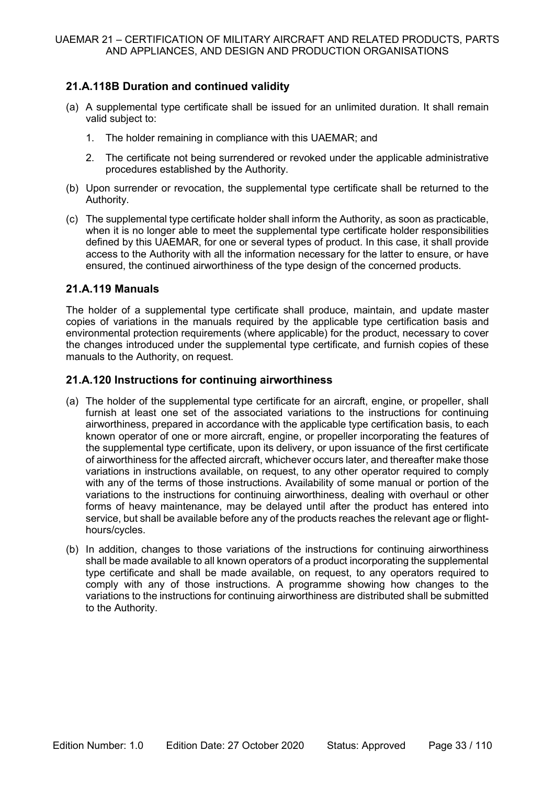## <span id="page-32-0"></span>**21.A.118B Duration and continued validity**

- (a) A supplemental type certificate shall be issued for an unlimited duration. It shall remain valid subject to:
	- 1. The holder remaining in compliance with this UAEMAR; and
	- 2. The certificate not being surrendered or revoked under the applicable administrative procedures established by the Authority.
- (b) Upon surrender or revocation, the supplemental type certificate shall be returned to the Authority.
- (c) The supplemental type certificate holder shall inform the Authority, as soon as practicable, when it is no longer able to meet the supplemental type certificate holder responsibilities defined by this UAEMAR, for one or several types of product. In this case, it shall provide access to the Authority with all the information necessary for the latter to ensure, or have ensured, the continued airworthiness of the type design of the concerned products.

#### <span id="page-32-1"></span>**21.A.119 Manuals**

The holder of a supplemental type certificate shall produce, maintain, and update master copies of variations in the manuals required by the applicable type certification basis and environmental protection requirements (where applicable) for the product, necessary to cover the changes introduced under the supplemental type certificate, and furnish copies of these manuals to the Authority, on request.

#### <span id="page-32-2"></span>**21.A.120 Instructions for continuing airworthiness**

- (a) The holder of the supplemental type certificate for an aircraft, engine, or propeller, shall furnish at least one set of the associated variations to the instructions for continuing airworthiness, prepared in accordance with the applicable type certification basis, to each known operator of one or more aircraft, engine, or propeller incorporating the features of the supplemental type certificate, upon its delivery, or upon issuance of the first certificate of airworthiness for the affected aircraft, whichever occurs later, and thereafter make those variations in instructions available, on request, to any other operator required to comply with any of the terms of those instructions. Availability of some manual or portion of the variations to the instructions for continuing airworthiness, dealing with overhaul or other forms of heavy maintenance, may be delayed until after the product has entered into service, but shall be available before any of the products reaches the relevant age or flighthours/cycles.
- (b) In addition, changes to those variations of the instructions for continuing airworthiness shall be made available to all known operators of a product incorporating the supplemental type certificate and shall be made available, on request, to any operators required to comply with any of those instructions. A programme showing how changes to the variations to the instructions for continuing airworthiness are distributed shall be submitted to the Authority.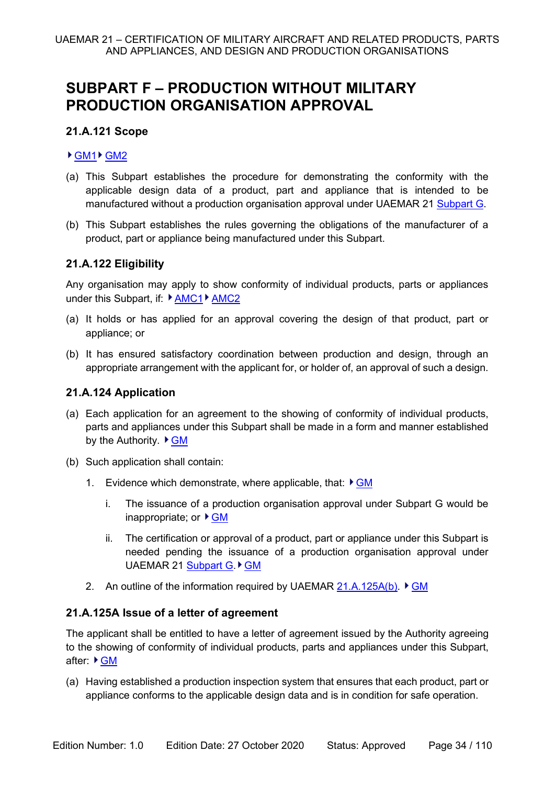## <span id="page-33-0"></span>**SUBPART F – PRODUCTION WITHOUT MILITARY PRODUCTION ORGANISATION APPROVAL**

## <span id="page-33-1"></span>**21.A.121 Scope**

#### ▶ GM1 ▶ GM2

- (a) This Subpart establishes the procedure for demonstrating the conformity with the applicable design data of a product, part and appliance that is intended to be manufactured without a production organisation approval under UAEMAR 21 Subpart G.
- (b) This Subpart establishes the rules governing the obligations of the manufacturer of a product, part or appliance being manufactured under this Subpart.

## <span id="page-33-2"></span>**21.A.122 Eligibility**

Any organisation may apply to show conformity of individual products, parts or appliances under this Subpart, if: ▶ AMC1 ▶ AMC2

- (a) It holds or has applied for an approval covering the design of that product, part or appliance; or
- (b) It has ensured satisfactory coordination between production and design, through an appropriate arrangement with the applicant for, or holder of, an approval of such a design.

## <span id="page-33-3"></span>**21.A.124 Application**

- (a) Each application for an agreement to the showing of conformity of individual products, parts and appliances under this Subpart shall be made in a form and manner established by the Authority.  $\triangleright$  **GM**
- (b) Such application shall contain:
	- 1. Evidence which demonstrate, where applicable, that:  $\sqrt{GM}$ 
		- i. The issuance of a production organisation approval under Subpart G would be inappropriate; or  $\overline{G}$  GM
		- ii. The certification or approval of a product, part or appliance under this Subpart is needed pending the issuance of a production organisation approval under UAEMAR 21 Subpart G ▶ GM
	- 2. An outline of the information required by UAEMAR  $21.A.125A(b)$ .  $\blacktriangleright$  GM

## <span id="page-33-4"></span>**21.A.125A Issue of a letter of agreement**

The applicant shall be entitled to have a letter of agreement issued by the Authority agreeing to the showing of conformity of individual products, parts and appliances under this Subpart, after: ▶ GM

(a) Having established a production inspection system that ensures that each product, part or appliance conforms to the applicable design data and is in condition for safe operation.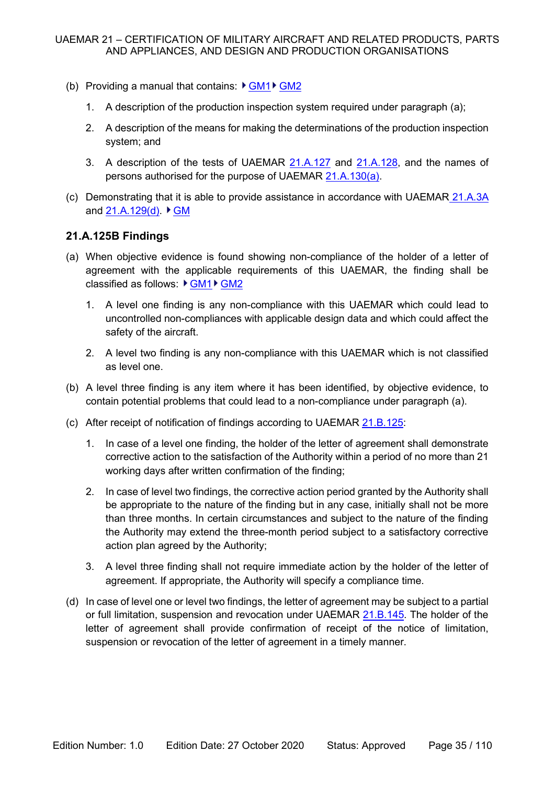- (b) Providing a manual that contains:  $\sqrt{GM1}$  GM2
	- 1. A description of the production inspection system required under paragraph (a);
	- 2. A description of the means for making the determinations of the production inspection system; and
	- 3. A description of the tests of UAEMAR 21.A.127 and 21.A.128, and the names of persons authorised for the purpose of UAEMAR 21.A.130(a).
- (c) Demonstrating that it is able to provide assistance in accordance with UAEMAR 21.A.3A and  $21.A.129(d)$ . GM

#### <span id="page-34-0"></span>**21.A.125B Findings**

- (a) When objective evidence is found showing non-compliance of the holder of a letter of agreement with the applicable requirements of this UAEMAR, the finding shall be classified as follows: ▶ GM1 ▶ GM2
	- 1. A level one finding is any non-compliance with this UAEMAR which could lead to uncontrolled non-compliances with applicable design data and which could affect the safety of the aircraft.
	- 2. A level two finding is any non-compliance with this UAEMAR which is not classified as level one.
- (b) A level three finding is any item where it has been identified, by objective evidence, to contain potential problems that could lead to a non-compliance under paragraph (a).
- (c) After receipt of notification of findings according to UAEMAR 21.B.125:
	- 1. In case of a level one finding, the holder of the letter of agreement shall demonstrate corrective action to the satisfaction of the Authority within a period of no more than 21 working days after written confirmation of the finding;
	- 2. In case of level two findings, the corrective action period granted by the Authority shall be appropriate to the nature of the finding but in any case, initially shall not be more than three months. In certain circumstances and subject to the nature of the finding the Authority may extend the three-month period subject to a satisfactory corrective action plan agreed by the Authority;
	- 3. A level three finding shall not require immediate action by the holder of the letter of agreement. If appropriate, the Authority will specify a compliance time.
- <span id="page-34-1"></span>(d) In case of level one or level two findings, the letter of agreement may be subject to a partial or full limitation, suspension and revocation under UAEMAR 21.B.145. The holder of the letter of agreement shall provide confirmation of receipt of the notice of limitation, suspension or revocation of the letter of agreement in a timely manner.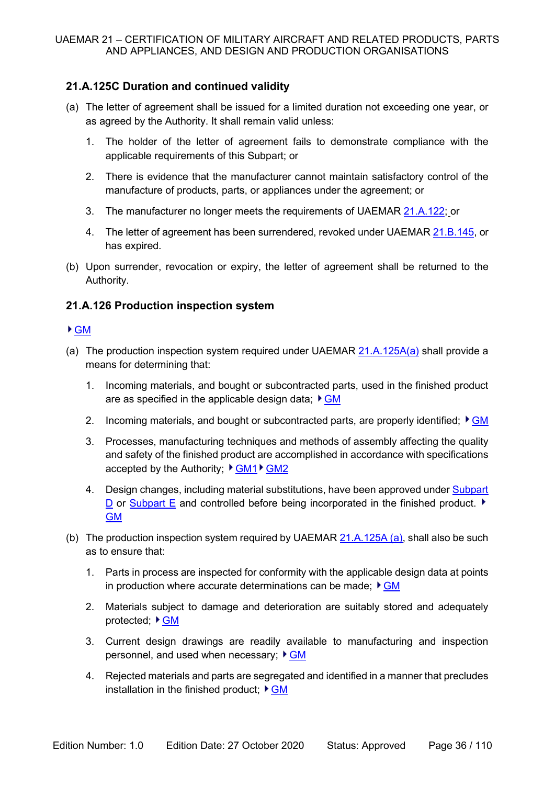## **21.A.125C Duration and continued validity**

- (a) The letter of agreement shall be issued for a limited duration not exceeding one year, or as agreed by the Authority. It shall remain valid unless:
	- 1. The holder of the letter of agreement fails to demonstrate compliance with the applicable requirements of this Subpart; or
	- 2. There is evidence that the manufacturer cannot maintain satisfactory control of the manufacture of products, parts, or appliances under the agreement; or
	- 3. The manufacturer no longer meets the requirements of UAEMAR 21.A.122; or
	- 4. The letter of agreement has been surrendered, revoked under UAEMAR 21.B.145, or has expired.
- (b) Upon surrender, revocation or expiry, the letter of agreement shall be returned to the Authority.

## <span id="page-35-0"></span>**21.A.126 Production inspection system**

#### GM

- (a) The production inspection system required under UAEMAR 21.A.125A(a) shall provide a means for determining that:
	- 1. Incoming materials, and bought or subcontracted parts, used in the finished product are as specified in the applicable design data;  $\triangleright$  GM
	- 2. Incoming materials, and bought or subcontracted parts, are properly identified;  $\triangleright$  GM
	- 3. Processes, manufacturing techniques and methods of assembly affecting the quality and safety of the finished product are accomplished in accordance with specifications accepted by the Authority;  $\sqrt{GM1}$  GM2
	- 4. Design changes, including material substitutions, have been approved under Subpart D or Subpart E and controlled before being incorporated in the finished product.  $\blacktriangleright$ GM
- (b) The production inspection system required by UAEMAR 21.A.125A (a), shall also be such as to ensure that:
	- 1. Parts in process are inspected for conformity with the applicable design data at points in production where accurate determinations can be made;  $\triangleright$  GM
	- 2. Materials subject to damage and deterioration are suitably stored and adequately protected;  $\triangleright$  GM
	- 3. Current design drawings are readily available to manufacturing and inspection personnel, and used when necessary;  $\triangleright$  GM
	- 4. Rejected materials and parts are segregated and identified in a manner that precludes installation in the finished product;  $\triangleright$  GM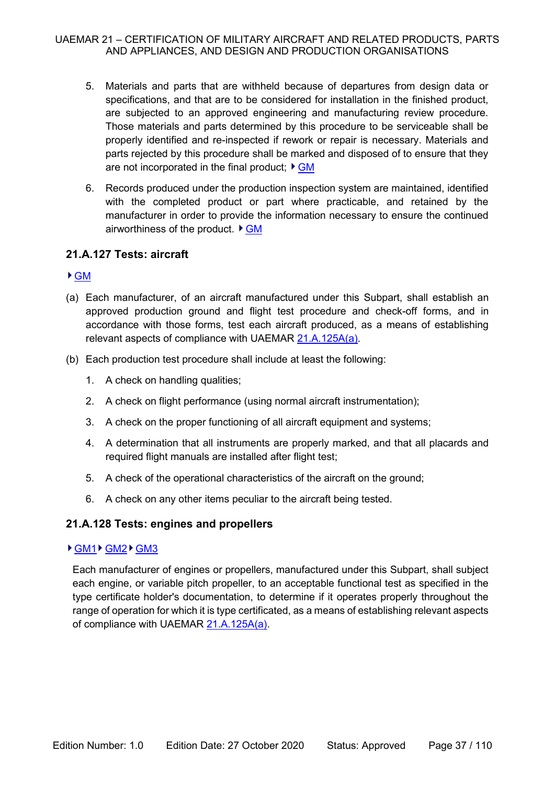- 5. Materials and parts that are withheld because of departures from design data or specifications, and that are to be considered for installation in the finished product, are subjected to an approved engineering and manufacturing review procedure. Those materials and parts determined by this procedure to be serviceable shall be properly identified and re-inspected if rework or repair is necessary. Materials and parts rejected by this procedure shall be marked and disposed of to ensure that they are not incorporated in the final product;  $\blacktriangleright$  GM
- 6. Records produced under the production inspection system are maintained, identified with the completed product or part where practicable, and retained by the manufacturer in order to provide the information necessary to ensure the continued airworthiness of the product.  $\triangleright$  GM

#### **21.A.127 Tests: aircraft**

#### GM

- (a) Each manufacturer, of an aircraft manufactured under this Subpart, shall establish an approved production ground and flight test procedure and check-off forms, and in accordance with those forms, test each aircraft produced, as a means of establishing relevant aspects of compliance with UAEMAR 21.A.125A(a).
- (b) Each production test procedure shall include at least the following:
	- 1. A check on handling qualities;
	- 2. A check on flight performance (using normal aircraft instrumentation);
	- 3. A check on the proper functioning of all aircraft equipment and systems;
	- 4. A determination that all instruments are properly marked, and that all placards and required flight manuals are installed after flight test;
	- 5. A check of the operational characteristics of the aircraft on the ground;
	- 6. A check on any other items peculiar to the aircraft being tested.

## **21.A.128 Tests: engines and propellers**

#### ▶ GM1 ▶ GM2 ▶ GM3

Each manufacturer of engines or propellers, manufactured under this Subpart, shall subject each engine, or variable pitch propeller, to an acceptable functional test as specified in the type certificate holder's documentation, to determine if it operates properly throughout the range of operation for which it is type certificated, as a means of establishing relevant aspects of compliance with UAEMAR 21.A.125A(a).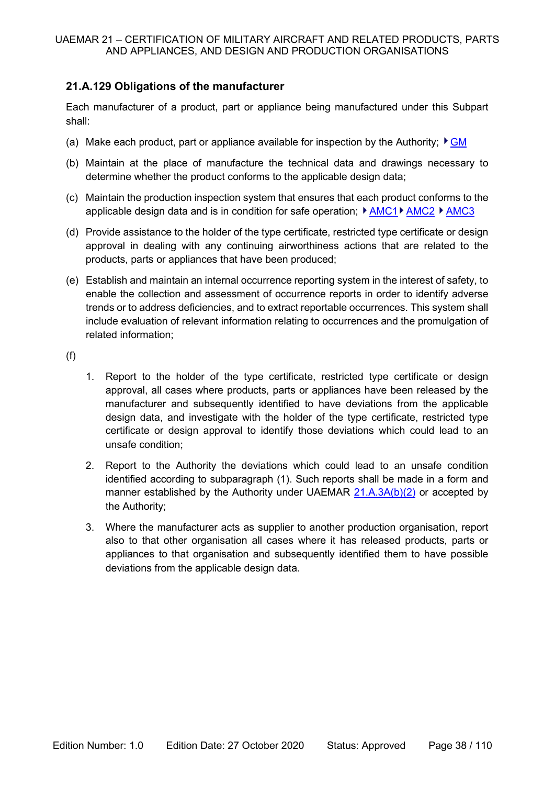# **21.A.129 Obligations of the manufacturer**

Each manufacturer of a product, part or appliance being manufactured under this Subpart shall:

- (a) Make each product, part or appliance available for inspection by the Authority;  $\blacktriangleright$  GM
- (b) Maintain at the place of manufacture the technical data and drawings necessary to determine whether the product conforms to the applicable design data;
- (c) Maintain the production inspection system that ensures that each product conforms to the applicable design data and is in condition for safe operation:  $\triangleright$  AMC1  $\triangleright$  AMC2  $\triangleright$  AMC3
- (d) Provide assistance to the holder of the type certificate, restricted type certificate or design approval in dealing with any continuing airworthiness actions that are related to the products, parts or appliances that have been produced;
- (e) Establish and maintain an internal occurrence reporting system in the interest of safety, to enable the collection and assessment of occurrence reports in order to identify adverse trends or to address deficiencies, and to extract reportable occurrences. This system shall include evaluation of relevant information relating to occurrences and the promulgation of related information;
- (f)
- 1. Report to the holder of the type certificate, restricted type certificate or design approval, all cases where products, parts or appliances have been released by the manufacturer and subsequently identified to have deviations from the applicable design data, and investigate with the holder of the type certificate, restricted type certificate or design approval to identify those deviations which could lead to an unsafe condition;
- 2. Report to the Authority the deviations which could lead to an unsafe condition identified according to subparagraph (1). Such reports shall be made in a form and manner established by the Authority under UAEMAR  $21.A.3A(b)(2)$  or accepted by the Authority;
- 3. Where the manufacturer acts as supplier to another production organisation, report also to that other organisation all cases where it has released products, parts or appliances to that organisation and subsequently identified them to have possible deviations from the applicable design data.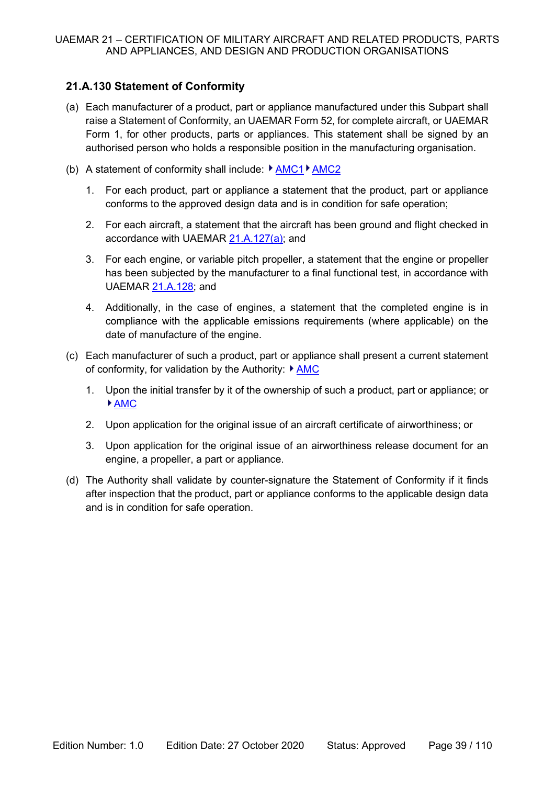# **21.A.130 Statement of Conformity**

- (a) Each manufacturer of a product, part or appliance manufactured under this Subpart shall raise a Statement of Conformity, an UAEMAR Form 52, for complete aircraft, or UAEMAR Form 1, for other products, parts or appliances. This statement shall be signed by an authorised person who holds a responsible position in the manufacturing organisation.
- (b) A statement of conformity shall include:  $\sqrt{AMC1}$  AMC2
	- 1. For each product, part or appliance a statement that the product, part or appliance conforms to the approved design data and is in condition for safe operation;
	- 2. For each aircraft, a statement that the aircraft has been ground and flight checked in accordance with UAEMAR 21.A.127(a); and
	- 3. For each engine, or variable pitch propeller, a statement that the engine or propeller has been subjected by the manufacturer to a final functional test, in accordance with UAEMAR 21.A.128; and
	- 4. Additionally, in the case of engines, a statement that the completed engine is in compliance with the applicable emissions requirements (where applicable) on the date of manufacture of the engine.
- (c) Each manufacturer of such a product, part or appliance shall present a current statement of conformity, for validation by the Authority:  $\blacktriangleright$  AMC
	- 1. Upon the initial transfer by it of the ownership of such a product, part or appliance; or AMC
	- 2. Upon application for the original issue of an aircraft certificate of airworthiness; or
	- 3. Upon application for the original issue of an airworthiness release document for an engine, a propeller, a part or appliance.
- (d) The Authority shall validate by counter-signature the Statement of Conformity if it finds after inspection that the product, part or appliance conforms to the applicable design data and is in condition for safe operation.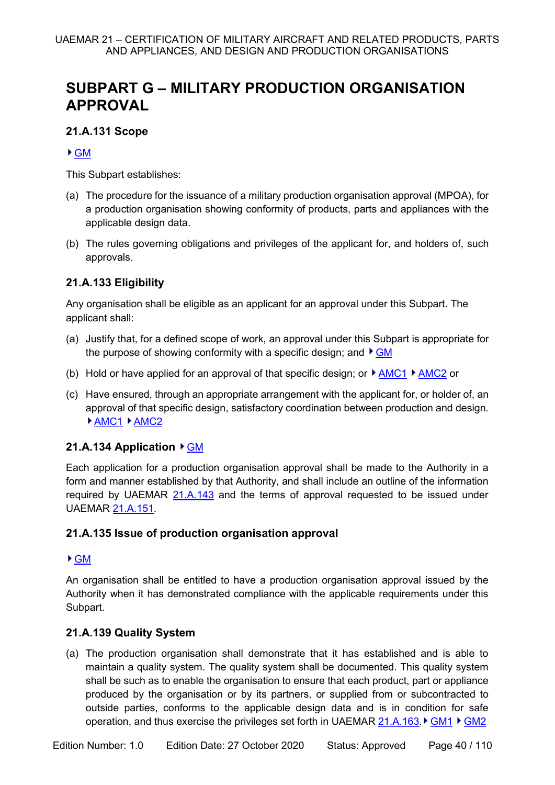# **SUBPART G – MILITARY PRODUCTION ORGANISATION APPROVAL**

# **21.A.131 Scope**

## GM

This Subpart establishes:

- (a) The procedure for the issuance of a military production organisation approval (MPOA), for a production organisation showing conformity of products, parts and appliances with the applicable design data.
- (b) The rules governing obligations and privileges of the applicant for, and holders of, such approvals.

# **21.A.133 Eligibility**

Any organisation shall be eligible as an applicant for an approval under this Subpart. The applicant shall:

- (a) Justify that, for a defined scope of work, an approval under this Subpart is appropriate for the purpose of showing conformity with a specific design; and  $\triangleright$  GM
- (b) Hold or have applied for an approval of that specific design; or  $\blacktriangleright$  AMC1  $\blacktriangleright$  AMC2 or
- (c) Have ensured, through an appropriate arrangement with the applicant for, or holder of, an approval of that specific design, satisfactory coordination between production and design. ▶ AMC1 ▶ AMC2

## **21.A.134 Application ▶ GM**

Each application for a production organisation approval shall be made to the Authority in a form and manner established by that Authority, and shall include an outline of the information required by UAEMAR 21.A.143 and the terms of approval requested to be issued under UAEMAR 21.A.151.

## **21.A.135 Issue of production organisation approval**

## GM

An organisation shall be entitled to have a production organisation approval issued by the Authority when it has demonstrated compliance with the applicable requirements under this Subpart.

## **21.A.139 Quality System**

(a) The production organisation shall demonstrate that it has established and is able to maintain a quality system. The quality system shall be documented. This quality system shall be such as to enable the organisation to ensure that each product, part or appliance produced by the organisation or by its partners, or supplied from or subcontracted to outside parties, conforms to the applicable design data and is in condition for safe operation, and thus exercise the privileges set forth in UAEMAR 21.A.163. GM1  $\blacktriangleright$  GM2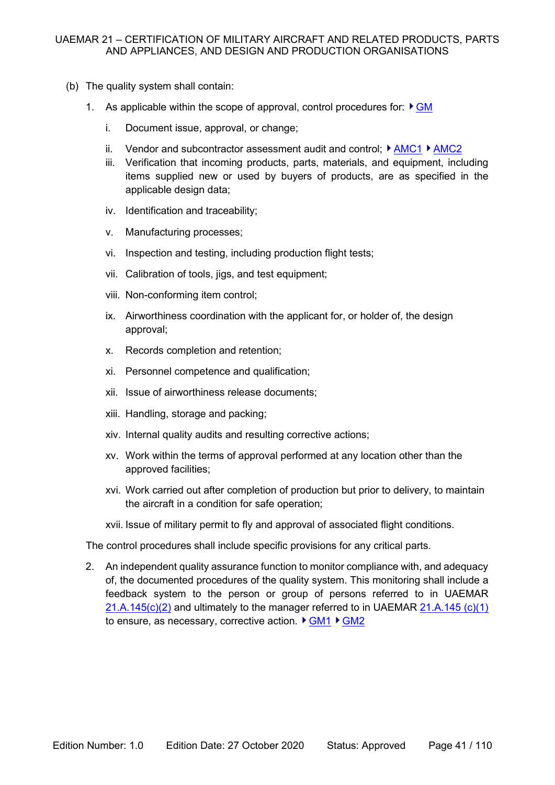- (b) The quality system shall contain:
	- 1. As applicable within the scope of approval, control procedures for:  $\overrightarrow{FGM}$ 
		- i. Document issue, approval, or change;
		- ii. Vendor and subcontractor assessment audit and control;  $\blacktriangleright$  AMC1  $\blacktriangleright$  AMC2
		- iii. Verification that incoming products, parts, materials, and equipment, including items supplied new or used by buyers of products, are as specified in the applicable design data;
		- iv. Identification and traceability;
		- v. Manufacturing processes;
		- vi. Inspection and testing, including production flight tests;
		- vii. Calibration of tools, jigs, and test equipment;
		- viii. Non-conforming item control;
		- ix. Airworthiness coordination with the applicant for, or holder of, the design approval;
		- x. Records completion and retention;
		- xi. Personnel competence and qualification;
		- xii. Issue of airworthiness release documents;
		- xiii. Handling, storage and packing;
		- xiv. Internal quality audits and resulting corrective actions;
		- xv. Work within the terms of approval performed at any location other than the approved facilities;
		- xvi. Work carried out after completion of production but prior to delivery, to maintain the aircraft in a condition for safe operation;
		- xvii. Issue of military permit to fly and approval of associated flight conditions.

The control procedures shall include specific provisions for any critical parts.

2. An independent quality assurance function to monitor compliance with, and adequacy of, the documented procedures of the quality system. This monitoring shall include a feedback system to the person or group of persons referred to in UAEMAR  $21.A.145(c)(2)$  and ultimately to the manager referred to in UAEMAR  $21.A.145(c)(1)$ to ensure, as necessary, corrective action.  $\triangleright$  GM1  $\triangleright$  GM2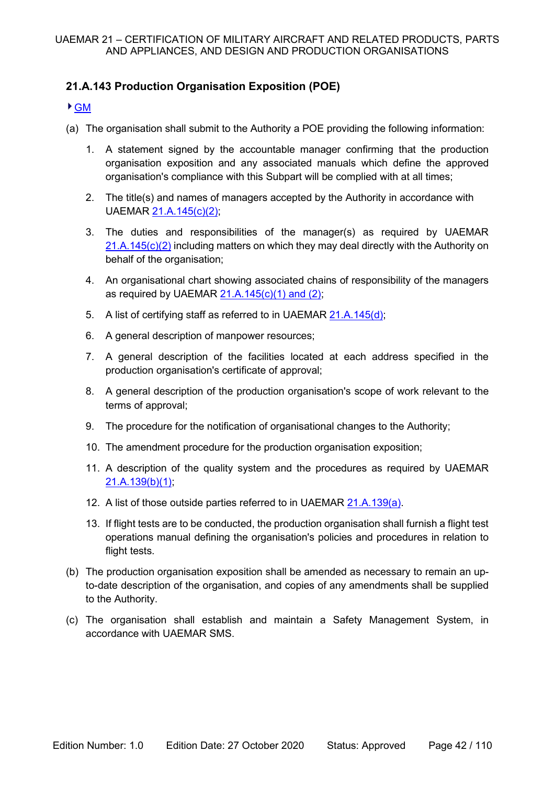# **21.A.143 Production Organisation Exposition (POE)**

#### GM

- (a) The organisation shall submit to the Authority a POE providing the following information:
	- 1. A statement signed by the accountable manager confirming that the production organisation exposition and any associated manuals which define the approved organisation's compliance with this Subpart will be complied with at all times;
	- 2. The title(s) and names of managers accepted by the Authority in accordance with UAEMAR 21.A.145(c)(2);
	- 3. The duties and responsibilities of the manager(s) as required by UAEMAR  $21.A.145(c)(2)$  including matters on which they may deal directly with the Authority on behalf of the organisation;
	- 4. An organisational chart showing associated chains of responsibility of the managers as required by UAEMAR  $21.A.145(c)(1)$  and  $(2)$ ;
	- 5. A list of certifying staff as referred to in UAEMAR 21.A.145(d);
	- 6. A general description of manpower resources;
	- 7. A general description of the facilities located at each address specified in the production organisation's certificate of approval;
	- 8. A general description of the production organisation's scope of work relevant to the terms of approval;
	- 9. The procedure for the notification of organisational changes to the Authority;
	- 10. The amendment procedure for the production organisation exposition;
	- 11. A description of the quality system and the procedures as required by UAEMAR 21.A.139(b)(1);
	- 12. A list of those outside parties referred to in UAEMAR 21.A.139(a).
	- 13. If flight tests are to be conducted, the production organisation shall furnish a flight test operations manual defining the organisation's policies and procedures in relation to flight tests.
- (b) The production organisation exposition shall be amended as necessary to remain an upto-date description of the organisation, and copies of any amendments shall be supplied to the Authority.
- (c) The organisation shall establish and maintain a Safety Management System, in accordance with UAEMAR SMS.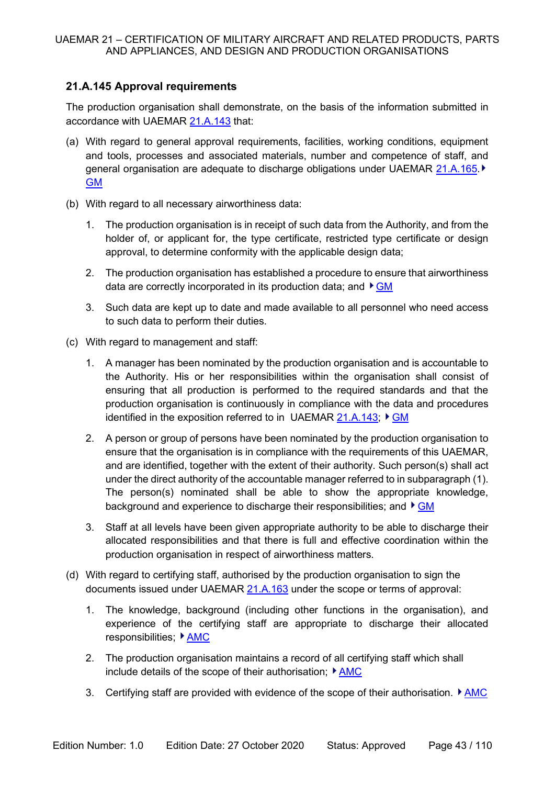## **21.A.145 Approval requirements**

The production organisation shall demonstrate, on the basis of the information submitted in accordance with UAEMAR 21.A.143 that:

- (a) With regard to general approval requirements, facilities, working conditions, equipment and tools, processes and associated materials, number and competence of staff, and general organisation are adequate to discharge obligations under UAEMAR 21.A.165. ▶ GM
- (b) With regard to all necessary airworthiness data:
	- 1. The production organisation is in receipt of such data from the Authority, and from the holder of, or applicant for, the type certificate, restricted type certificate or design approval, to determine conformity with the applicable design data;
	- 2. The production organisation has established a procedure to ensure that airworthiness data are correctly incorporated in its production data; and  $\blacktriangleright$  GM
	- 3. Such data are kept up to date and made available to all personnel who need access to such data to perform their duties.
- (c) With regard to management and staff:
	- 1. A manager has been nominated by the production organisation and is accountable to the Authority. His or her responsibilities within the organisation shall consist of ensuring that all production is performed to the required standards and that the production organisation is continuously in compliance with the data and procedures identified in the exposition referred to in UAEMAR  $21.A.143$ ;  $\blacktriangleright$  GM
	- 2. A person or group of persons have been nominated by the production organisation to ensure that the organisation is in compliance with the requirements of this UAEMAR, and are identified, together with the extent of their authority. Such person(s) shall act under the direct authority of the accountable manager referred to in subparagraph (1). The person(s) nominated shall be able to show the appropriate knowledge, background and experience to discharge their responsibilities; and  $\blacktriangleright$  GM
	- 3. Staff at all levels have been given appropriate authority to be able to discharge their allocated responsibilities and that there is full and effective coordination within the production organisation in respect of airworthiness matters.
- (d) With regard to certifying staff, authorised by the production organisation to sign the documents issued under UAEMAR 21.A.163 under the scope or terms of approval:
	- 1. The knowledge, background (including other functions in the organisation), and experience of the certifying staff are appropriate to discharge their allocated responsibilities; ▶ AMC
	- 2. The production organisation maintains a record of all certifying staff which shall include details of the scope of their authorisation;  $\triangleright$  AMC
	- 3. Certifying staff are provided with evidence of the scope of their authorisation.  $\blacktriangleright$  AMC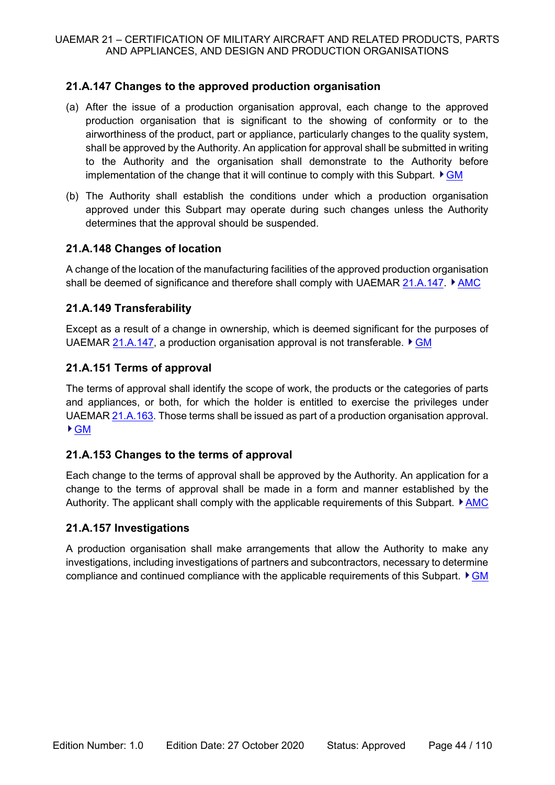# **21.A.147 Changes to the approved production organisation**

- (a) After the issue of a production organisation approval, each change to the approved production organisation that is significant to the showing of conformity or to the airworthiness of the product, part or appliance, particularly changes to the quality system, shall be approved by the Authority. An application for approval shall be submitted in writing to the Authority and the organisation shall demonstrate to the Authority before implementation of the change that it will continue to comply with this Subpart.  $\blacktriangleright$  GM
- (b) The Authority shall establish the conditions under which a production organisation approved under this Subpart may operate during such changes unless the Authority determines that the approval should be suspended.

# **21.A.148 Changes of location**

A change of the location of the manufacturing facilities of the approved production organisation shall be deemed of significance and therefore shall comply with UAEMAR  $21.A.147.$  AMC

# **21.A.149 Transferability**

Except as a result of a change in ownership, which is deemed significant for the purposes of UAEMAR 21.A.147, a production organisation approval is not transferable.  $\triangleright$  GM

# **21.A.151 Terms of approval**

The terms of approval shall identify the scope of work, the products or the categories of parts and appliances, or both, for which the holder is entitled to exercise the privileges under UAEMAR 21.A.163. Those terms shall be issued as part of a production organisation approval. GM

## **21.A.153 Changes to the terms of approval**

Each change to the terms of approval shall be approved by the Authority. An application for a change to the terms of approval shall be made in a form and manner established by the Authority. The applicant shall comply with the applicable requirements of this Subpart.  $\sqrt{P_{\text{AMC}}}$ 

## **21.A.157 Investigations**

A production organisation shall make arrangements that allow the Authority to make any investigations, including investigations of partners and subcontractors, necessary to determine compliance and continued compliance with the applicable requirements of this Subpart.  $\blacktriangleright$  GM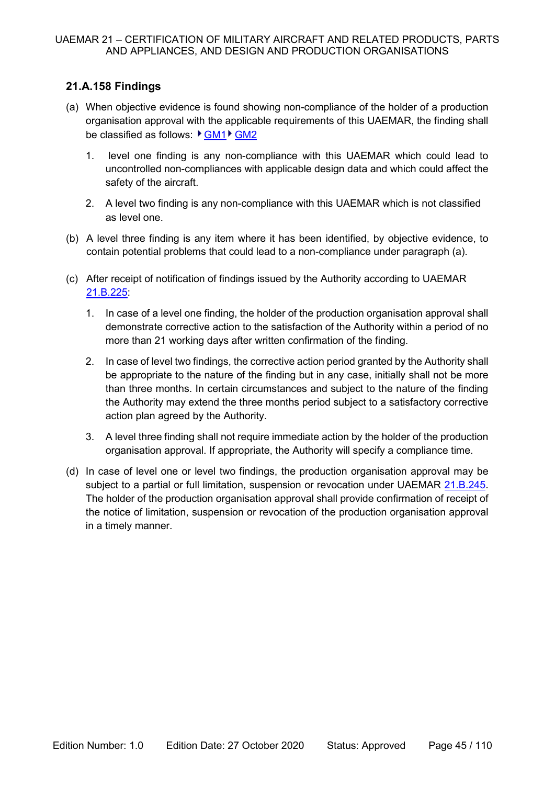# **21.A.158 Findings**

- (a) When objective evidence is found showing non-compliance of the holder of a production organisation approval with the applicable requirements of this UAEMAR, the finding shall be classified as follows: ▶ GM1 ▶ GM2
	- 1. level one finding is any non-compliance with this UAEMAR which could lead to uncontrolled non-compliances with applicable design data and which could affect the safety of the aircraft.
	- 2. A level two finding is any non-compliance with this UAEMAR which is not classified as level one.
- (b) A level three finding is any item where it has been identified, by objective evidence, to contain potential problems that could lead to a non-compliance under paragraph (a).
- (c) After receipt of notification of findings issued by the Authority according to UAEMAR 21.B.225:
	- 1. In case of a level one finding, the holder of the production organisation approval shall demonstrate corrective action to the satisfaction of the Authority within a period of no more than 21 working days after written confirmation of the finding.
	- 2. In case of level two findings, the corrective action period granted by the Authority shall be appropriate to the nature of the finding but in any case, initially shall not be more than three months. In certain circumstances and subject to the nature of the finding the Authority may extend the three months period subject to a satisfactory corrective action plan agreed by the Authority.
	- 3. A level three finding shall not require immediate action by the holder of the production organisation approval. If appropriate, the Authority will specify a compliance time.
- (d) In case of level one or level two findings, the production organisation approval may be subject to a partial or full limitation, suspension or revocation under UAEMAR 21.B.245. The holder of the production organisation approval shall provide confirmation of receipt of the notice of limitation, suspension or revocation of the production organisation approval in a timely manner.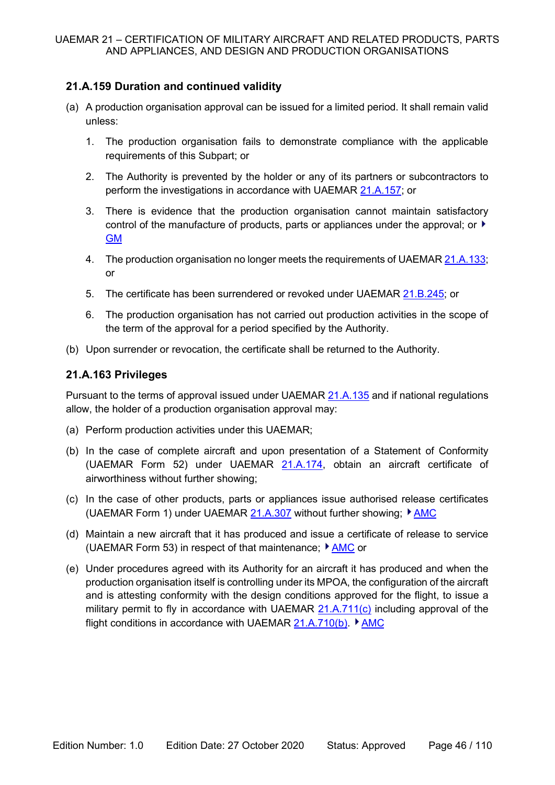## **21.A.159 Duration and continued validity**

- (a) A production organisation approval can be issued for a limited period. It shall remain valid unless:
	- 1. The production organisation fails to demonstrate compliance with the applicable requirements of this Subpart; or
	- 2. The Authority is prevented by the holder or any of its partners or subcontractors to perform the investigations in accordance with UAEMAR 21.A.157; or
	- 3. There is evidence that the production organisation cannot maintain satisfactory control of the manufacture of products, parts or appliances under the approval; or  $\blacktriangleright$ GM
	- 4. The production organisation no longer meets the requirements of UAEMAR 21.A.133; or
	- 5. The certificate has been surrendered or revoked under UAEMAR 21.B.245; or
	- 6. The production organisation has not carried out production activities in the scope of the term of the approval for a period specified by the Authority.
- (b) Upon surrender or revocation, the certificate shall be returned to the Authority.

# **21.A.163 Privileges**

Pursuant to the terms of approval issued under UAEMAR 21.A.135 and if national regulations allow, the holder of a production organisation approval may:

- (a) Perform production activities under this UAEMAR;
- (b) In the case of complete aircraft and upon presentation of a Statement of Conformity (UAEMAR Form 52) under UAEMAR 21.A.174, obtain an aircraft certificate of airworthiness without further showing;
- (c) In the case of other products, parts or appliances issue authorised release certificates (UAEMAR Form 1) under UAEMAR 21.A.307 without further showing;  $\blacktriangleright$  AMC
- (d) Maintain a new aircraft that it has produced and issue a certificate of release to service (UAEMAR Form 53) in respect of that maintenance:  $\blacktriangleright$  AMC or
- (e) Under procedures agreed with its Authority for an aircraft it has produced and when the production organisation itself is controlling under its MPOA, the configuration of the aircraft and is attesting conformity with the design conditions approved for the flight, to issue a military permit to fly in accordance with UAEMAR 21.A.711(c) including approval of the flight conditions in accordance with UAEMAR  $21.A.710(b)$ . AMC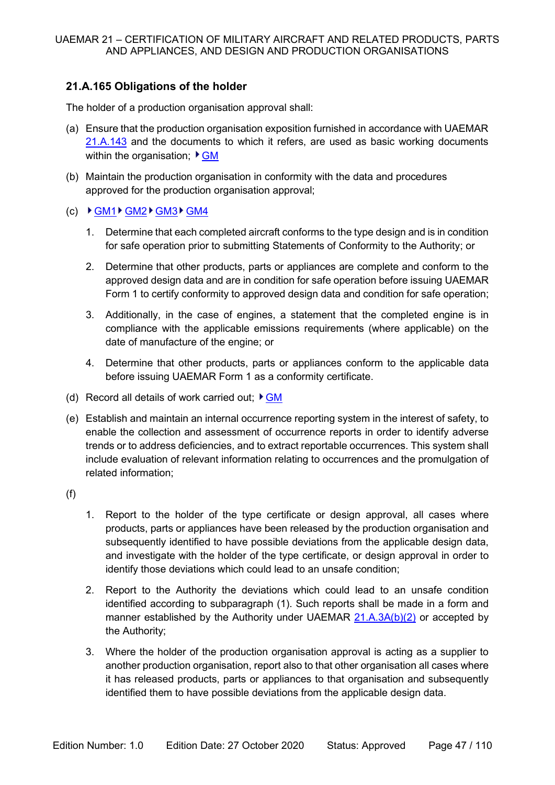# **21.A.165 Obligations of the holder**

The holder of a production organisation approval shall:

- (a) Ensure that the production organisation exposition furnished in accordance with UAEMAR 21.A.143 and the documents to which it refers, are used as basic working documents within the organisation;  $\triangleright$  GM
- (b) Maintain the production organisation in conformity with the data and procedures approved for the production organisation approval;
- $\text{(c)}$   $\rightarrow$  GM1  $\rightarrow$  GM2  $\rightarrow$  GM3  $\rightarrow$  GM4
	- 1. Determine that each completed aircraft conforms to the type design and is in condition for safe operation prior to submitting Statements of Conformity to the Authority; or
	- 2. Determine that other products, parts or appliances are complete and conform to the approved design data and are in condition for safe operation before issuing UAEMAR Form 1 to certify conformity to approved design data and condition for safe operation;
	- 3. Additionally, in the case of engines, a statement that the completed engine is in compliance with the applicable emissions requirements (where applicable) on the date of manufacture of the engine; or
	- 4. Determine that other products, parts or appliances conform to the applicable data before issuing UAEMAR Form 1 as a conformity certificate.
- (d) Record all details of work carried out;  $\blacktriangleright$  GM
- (e) Establish and maintain an internal occurrence reporting system in the interest of safety, to enable the collection and assessment of occurrence reports in order to identify adverse trends or to address deficiencies, and to extract reportable occurrences. This system shall include evaluation of relevant information relating to occurrences and the promulgation of related information;
- (f)
- 1. Report to the holder of the type certificate or design approval, all cases where products, parts or appliances have been released by the production organisation and subsequently identified to have possible deviations from the applicable design data, and investigate with the holder of the type certificate, or design approval in order to identify those deviations which could lead to an unsafe condition;
- 2. Report to the Authority the deviations which could lead to an unsafe condition identified according to subparagraph (1). Such reports shall be made in a form and manner established by the Authority under UAEMAR 21.A.3A(b)(2) or accepted by the Authority;
- 3. Where the holder of the production organisation approval is acting as a supplier to another production organisation, report also to that other organisation all cases where it has released products, parts or appliances to that organisation and subsequently identified them to have possible deviations from the applicable design data.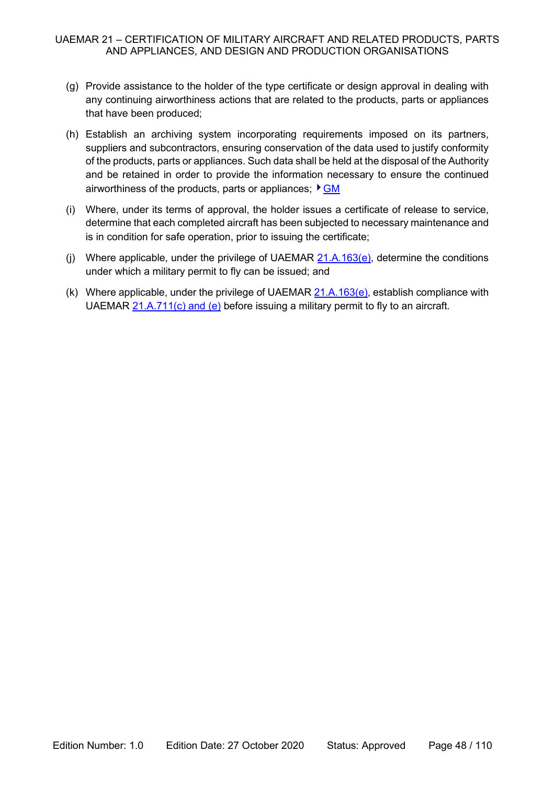- (g) Provide assistance to the holder of the type certificate or design approval in dealing with any continuing airworthiness actions that are related to the products, parts or appliances that have been produced;
- (h) Establish an archiving system incorporating requirements imposed on its partners, suppliers and subcontractors, ensuring conservation of the data used to justify conformity of the products, parts or appliances. Such data shall be held at the disposal of the Authority and be retained in order to provide the information necessary to ensure the continued airworthiness of the products, parts or appliances;  $\sqrt{GM}$
- (i) Where, under its terms of approval, the holder issues a certificate of release to service, determine that each completed aircraft has been subjected to necessary maintenance and is in condition for safe operation, prior to issuing the certificate;
- (j) Where applicable, under the privilege of UAEMAR  $21.A.163(e)$ , determine the conditions under which a military permit to fly can be issued; and
- (k) Where applicable, under the privilege of UAEMAR  $21.A.163(e)$ , establish compliance with UAEMAR 21.A.711(c) and (e) before issuing a military permit to fly to an aircraft.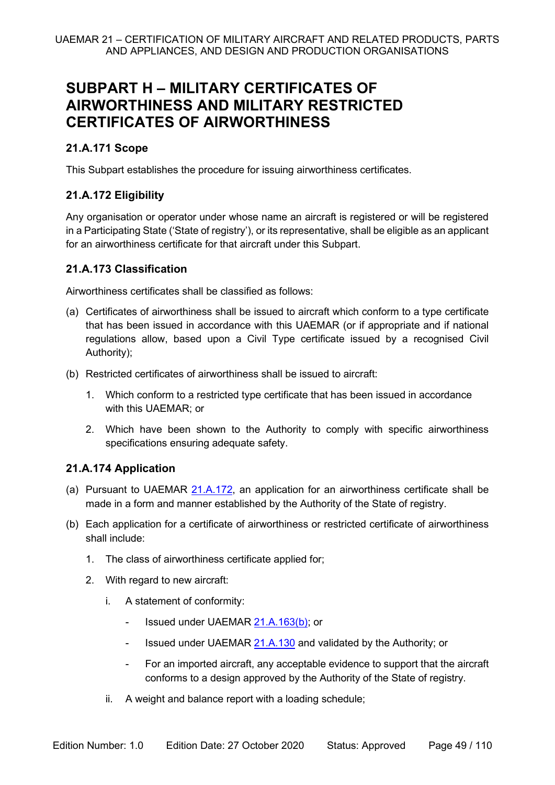# **SUBPART H – MILITARY CERTIFICATES OF AIRWORTHINESS AND MILITARY RESTRICTED CERTIFICATES OF AIRWORTHINESS**

# **21.A.171 Scope**

This Subpart establishes the procedure for issuing airworthiness certificates.

# **21.A.172 Eligibility**

Any organisation or operator under whose name an aircraft is registered or will be registered in a Participating State ('State of registry'), or its representative, shall be eligible as an applicant for an airworthiness certificate for that aircraft under this Subpart.

# **21.A.173 Classification**

Airworthiness certificates shall be classified as follows:

- (a) Certificates of airworthiness shall be issued to aircraft which conform to a type certificate that has been issued in accordance with this UAEMAR (or if appropriate and if national regulations allow, based upon a Civil Type certificate issued by a recognised Civil Authority);
- (b) Restricted certificates of airworthiness shall be issued to aircraft:
	- 1. Which conform to a restricted type certificate that has been issued in accordance with this UAEMAR; or
	- 2. Which have been shown to the Authority to comply with specific airworthiness specifications ensuring adequate safety.

# **21.A.174 Application**

- (a) Pursuant to UAEMAR 21.A.172, an application for an airworthiness certificate shall be made in a form and manner established by the Authority of the State of registry.
- (b) Each application for a certificate of airworthiness or restricted certificate of airworthiness shall include:
	- 1. The class of airworthiness certificate applied for;
	- 2. With regard to new aircraft:
		- i. A statement of conformity:
			- Issued under UAEMAR 21.A.163(b); or
			- Issued under UAEMAR 21.A.130 and validated by the Authority; or
			- For an imported aircraft, any acceptable evidence to support that the aircraft conforms to a design approved by the Authority of the State of registry.
		- ii. A weight and balance report with a loading schedule;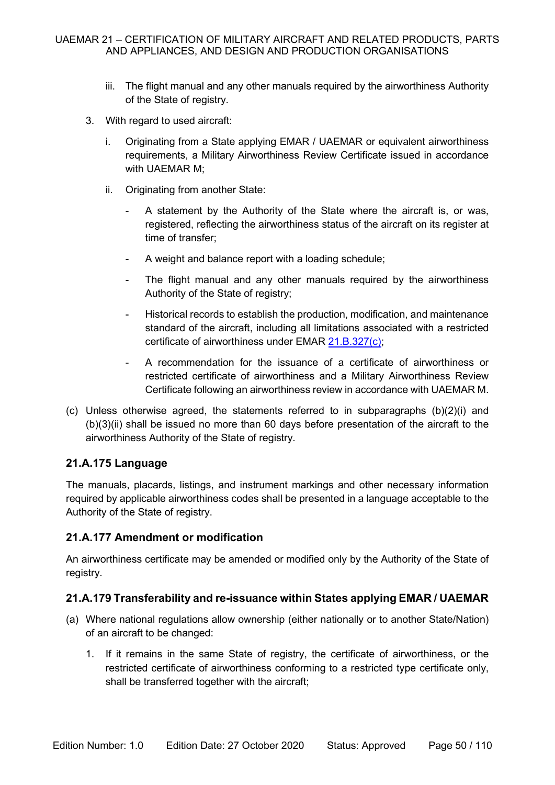- iii. The flight manual and any other manuals required by the airworthiness Authority of the State of registry.
- 3. With regard to used aircraft:
	- i. Originating from a State applying EMAR / UAEMAR or equivalent airworthiness requirements, a Military Airworthiness Review Certificate issued in accordance with UAEMAR M;
	- ii. Originating from another State:
		- A statement by the Authority of the State where the aircraft is, or was, registered, reflecting the airworthiness status of the aircraft on its register at time of transfer;
		- A weight and balance report with a loading schedule;
		- The flight manual and any other manuals required by the airworthiness Authority of the State of registry;
		- Historical records to establish the production, modification, and maintenance standard of the aircraft, including all limitations associated with a restricted certificate of airworthiness under EMAR 21.B.327(c);
		- A recommendation for the issuance of a certificate of airworthiness or restricted certificate of airworthiness and a Military Airworthiness Review Certificate following an airworthiness review in accordance with UAEMAR M.
- (c) Unless otherwise agreed, the statements referred to in subparagraphs (b)(2)(i) and (b)(3)(ii) shall be issued no more than 60 days before presentation of the aircraft to the airworthiness Authority of the State of registry.

## **21.A.175 Language**

The manuals, placards, listings, and instrument markings and other necessary information required by applicable airworthiness codes shall be presented in a language acceptable to the Authority of the State of registry.

## **21.A.177 Amendment or modification**

An airworthiness certificate may be amended or modified only by the Authority of the State of registry.

## **21.A.179 Transferability and re-issuance within States applying EMAR / UAEMAR**

- (a) Where national regulations allow ownership (either nationally or to another State/Nation) of an aircraft to be changed:
	- 1. If it remains in the same State of registry, the certificate of airworthiness, or the restricted certificate of airworthiness conforming to a restricted type certificate only, shall be transferred together with the aircraft;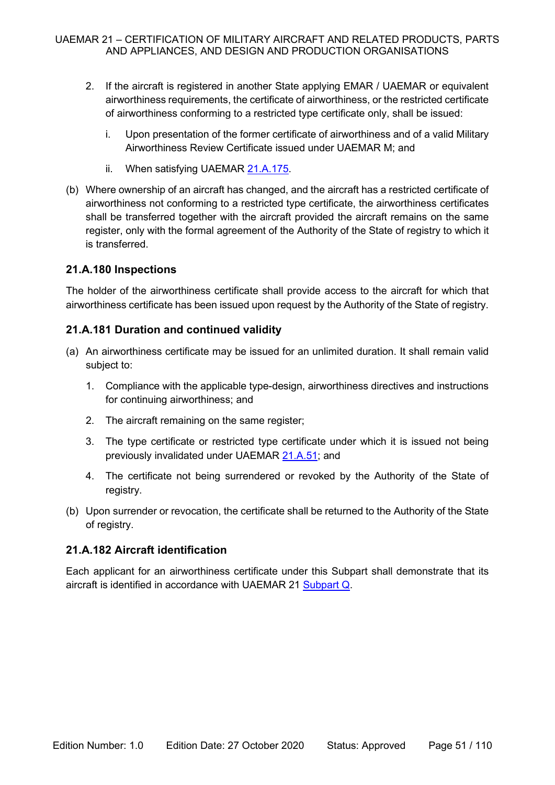- 2. If the aircraft is registered in another State applying EMAR / UAEMAR or equivalent airworthiness requirements, the certificate of airworthiness, or the restricted certificate of airworthiness conforming to a restricted type certificate only, shall be issued:
	- i. Upon presentation of the former certificate of airworthiness and of a valid Military Airworthiness Review Certificate issued under UAEMAR M; and
	- ii. When satisfying UAEMAR 21.A.175.
- (b) Where ownership of an aircraft has changed, and the aircraft has a restricted certificate of airworthiness not conforming to a restricted type certificate, the airworthiness certificates shall be transferred together with the aircraft provided the aircraft remains on the same register, only with the formal agreement of the Authority of the State of registry to which it is transferred.

## **21.A.180 Inspections**

The holder of the airworthiness certificate shall provide access to the aircraft for which that airworthiness certificate has been issued upon request by the Authority of the State of registry.

## **21.A.181 Duration and continued validity**

- (a) An airworthiness certificate may be issued for an unlimited duration. It shall remain valid subject to:
	- 1. Compliance with the applicable type-design, airworthiness directives and instructions for continuing airworthiness; and
	- 2. The aircraft remaining on the same register;
	- 3. The type certificate or restricted type certificate under which it is issued not being previously invalidated under UAEMAR 21.A.51; and
	- 4. The certificate not being surrendered or revoked by the Authority of the State of registry.
- (b) Upon surrender or revocation, the certificate shall be returned to the Authority of the State of registry.

## **21.A.182 Aircraft identification**

Each applicant for an airworthiness certificate under this Subpart shall demonstrate that its aircraft is identified in accordance with UAEMAR 21 Subpart Q.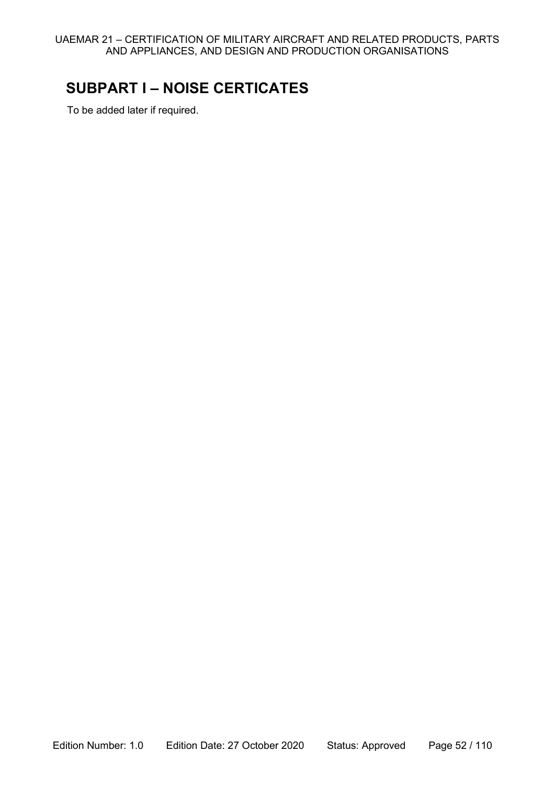# **SUBPART I – NOISE CERTICATES**

To be added later if required.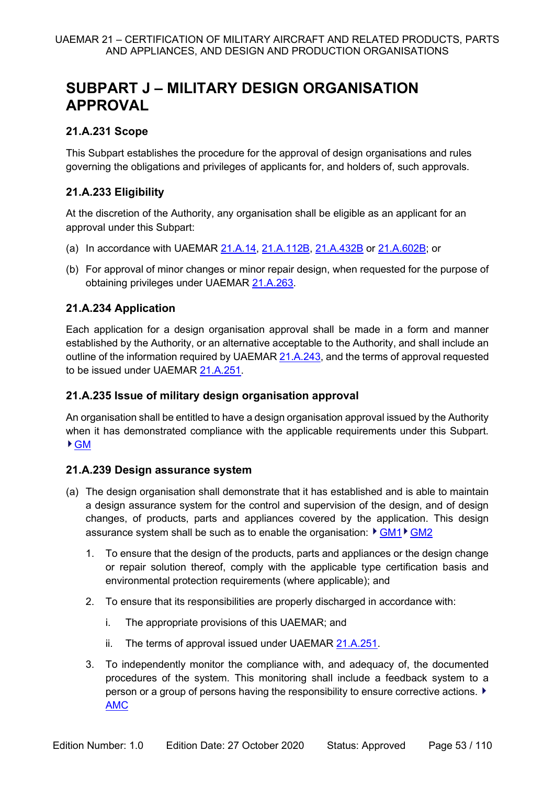# **SUBPART J – MILITARY DESIGN ORGANISATION APPROVAL**

# **21.A.231 Scope**

This Subpart establishes the procedure for the approval of design organisations and rules governing the obligations and privileges of applicants for, and holders of, such approvals.

# **21.A.233 Eligibility**

At the discretion of the Authority, any organisation shall be eligible as an applicant for an approval under this Subpart:

- (a) In accordance with UAEMAR 21.A.14, 21.A.112B, 21.A.432B or 21.A.602B; or
- (b) For approval of minor changes or minor repair design, when requested for the purpose of obtaining privileges under UAEMAR 21.A.263.

# **21.A.234 Application**

Each application for a design organisation approval shall be made in a form and manner established by the Authority, or an alternative acceptable to the Authority, and shall include an outline of the information required by UAEMAR 21.A.243, and the terms of approval requested to be issued under UAEMAR 21.A.251.

## **21.A.235 Issue of military design organisation approval**

An organisation shall be entitled to have a design organisation approval issued by the Authority when it has demonstrated compliance with the applicable requirements under this Subpart. GM

## **21.A.239 Design assurance system**

- (a) The design organisation shall demonstrate that it has established and is able to maintain a design assurance system for the control and supervision of the design, and of design changes, of products, parts and appliances covered by the application. This design assurance system shall be such as to enable the organisation:  $\sqrt{GM1}$  GM2
	- 1. To ensure that the design of the products, parts and appliances or the design change or repair solution thereof, comply with the applicable type certification basis and environmental protection requirements (where applicable); and
	- 2. To ensure that its responsibilities are properly discharged in accordance with:
		- i. The appropriate provisions of this UAEMAR; and
		- ii. The terms of approval issued under UAEMAR  $21.A.251$ .
	- 3. To independently monitor the compliance with, and adequacy of, the documented procedures of the system. This monitoring shall include a feedback system to a personor a group of persons having the responsibility to ensure corrective actions. ▶ AMC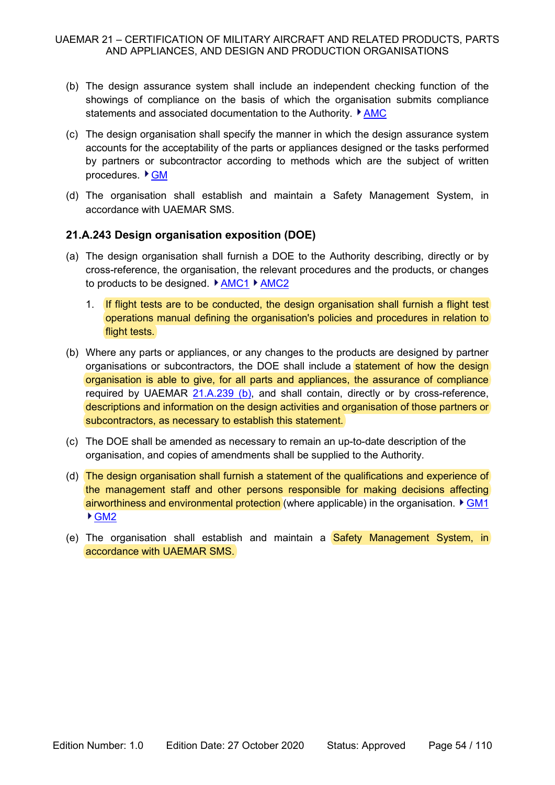- (b) The design assurance system shall include an independent checking function of the showings of compliance on the basis of which the organisation submits compliance statements and associated documentation to the Authority.  $\blacktriangleright$  AMC
- (c) The design organisation shall specify the manner in which the design assurance system accounts for the acceptability of the parts or appliances designed or the tasks performed by partners or subcontractor according to methods which are the subject of written procedures.  $\blacktriangleright$  GM
- (d) The organisation shall establish and maintain a Safety Management System, in accordance with UAEMAR SMS.

#### **21.A.243 Design organisation exposition (DOE)**

- (a) The design organisation shall furnish a DOE to the Authority describing, directly or by cross-reference, the organisation, the relevant procedures and the products, or changes to products to be designed.  $\blacktriangleright$  AMC1  $\blacktriangleright$  AMC2
	- 1. If flight tests are to be conducted, the design organisation shall furnish a flight test operations manual defining the organisation's policies and procedures in relation to flight tests.
- (b) Where any parts or appliances, or any changes to the products are designed by partner organisations or subcontractors, the DOE shall include a **statement of how the design** organisation is able to give, for all parts and appliances, the assurance of compliance required by UAEMAR 21.A.239 (b), and shall contain, directly or by cross-reference, descriptions and information on the design activities and organisation of those partners or subcontractors, as necessary to establish this statement.
- (c) The DOE shall be amended as necessary to remain an up-to-date description of the organisation, and copies of amendments shall be supplied to the Authority.
- (d) The design organisation shall furnish a statement of the qualifications and experience of the management staff and other persons responsible for making decisions affecting airworthiness and environmental protection (where applicable) in the organisation.  $\blacktriangleright$  GM1 GM2
- (e) The organisation shall establish and maintain a Safety Management System, in accordance with UAEMAR SMS.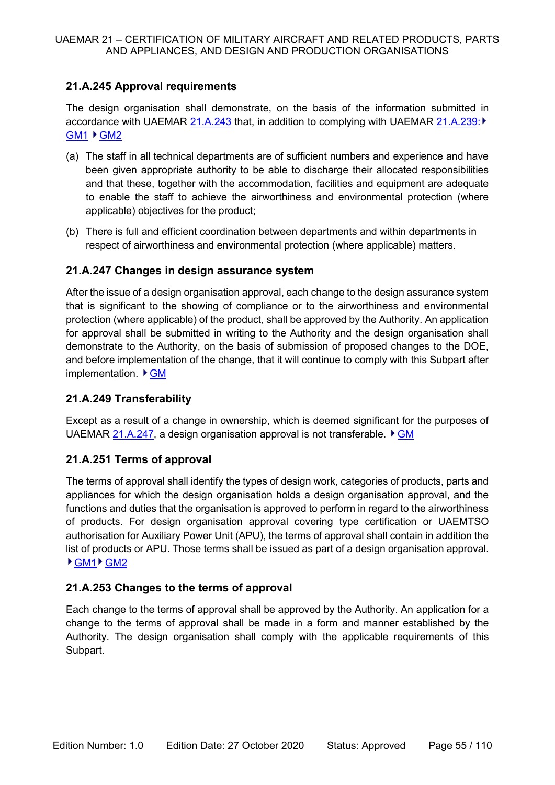# **21.A.245 Approval requirements**

The design organisation shall demonstrate, on the basis of the information submitted in accordance with UAEMAR 21.A.243 that, in addition to complying with UAEMAR 21.A.239: ▶ GM1 ▶ GM2

- (a) The staff in all technical departments are of sufficient numbers and experience and have been given appropriate authority to be able to discharge their allocated responsibilities and that these, together with the accommodation, facilities and equipment are adequate to enable the staff to achieve the airworthiness and environmental protection (where applicable) objectives for the product;
- (b) There is full and efficient coordination between departments and within departments in respect of airworthiness and environmental protection (where applicable) matters.

# **21.A.247 Changes in design assurance system**

After the issue of a design organisation approval, each change to the design assurance system that is significant to the showing of compliance or to the airworthiness and environmental protection (where applicable) of the product, shall be approved by the Authority. An application for approval shall be submitted in writing to the Authority and the design organisation shall demonstrate to the Authority, on the basis of submission of proposed changes to the DOE, and before implementation of the change, that it will continue to comply with this Subpart after implementation.  $\triangleright$  GM

# **21.A.249 Transferability**

Except as a result of a change in ownership, which is deemed significant for the purposes of UAEMAR 21.A.247, a design organisation approval is not transferable. ▶ GM

## **21.A.251 Terms of approval**

The terms of approval shall identify the types of design work, categories of products, parts and appliances for which the design organisation holds a design organisation approval, and the functions and duties that the organisation is approved to perform in regard to the airworthiness of products. For design organisation approval covering type certification or UAEMTSO authorisation for Auxiliary Power Unit (APU), the terms of approval shall contain in addition the list of products or APU. Those terms shall be issued as part of a design organisation approval. ▶ GM1 ▶ GM2

## **21.A.253 Changes to the terms of approval**

Each change to the terms of approval shall be approved by the Authority. An application for a change to the terms of approval shall be made in a form and manner established by the Authority. The design organisation shall comply with the applicable requirements of this Subpart.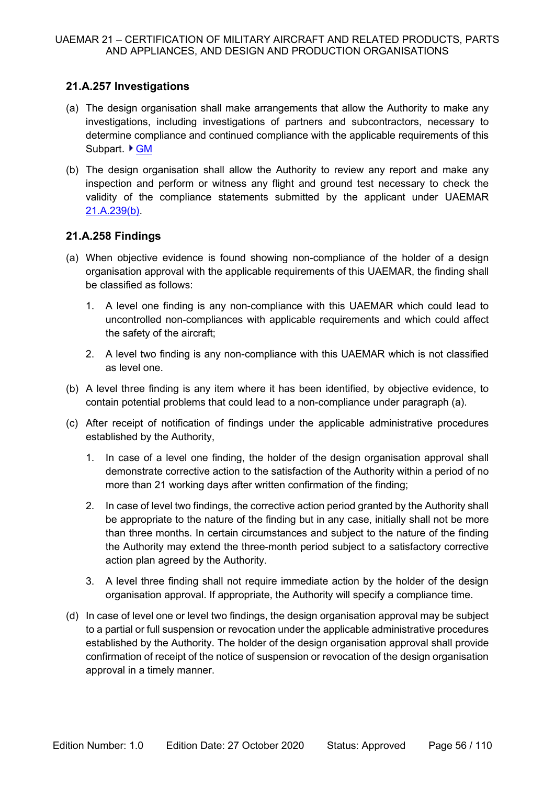# **21.A.257 Investigations**

- (a) The design organisation shall make arrangements that allow the Authority to make any investigations, including investigations of partners and subcontractors, necessary to determine compliance and continued compliance with the applicable requirements of this Subpart. ▶ GM
- (b) The design organisation shall allow the Authority to review any report and make any inspection and perform or witness any flight and ground test necessary to check the validity of the compliance statements submitted by the applicant under UAEMAR 21.A.239(b).

# **21.A.258 Findings**

- (a) When objective evidence is found showing non-compliance of the holder of a design organisation approval with the applicable requirements of this UAEMAR, the finding shall be classified as follows:
	- 1. A level one finding is any non-compliance with this UAEMAR which could lead to uncontrolled non-compliances with applicable requirements and which could affect the safety of the aircraft;
	- 2. A level two finding is any non-compliance with this UAEMAR which is not classified as level one.
- (b) A level three finding is any item where it has been identified, by objective evidence, to contain potential problems that could lead to a non-compliance under paragraph (a).
- (c) After receipt of notification of findings under the applicable administrative procedures established by the Authority,
	- 1. In case of a level one finding, the holder of the design organisation approval shall demonstrate corrective action to the satisfaction of the Authority within a period of no more than 21 working days after written confirmation of the finding;
	- 2. In case of level two findings, the corrective action period granted by the Authority shall be appropriate to the nature of the finding but in any case, initially shall not be more than three months. In certain circumstances and subject to the nature of the finding the Authority may extend the three-month period subject to a satisfactory corrective action plan agreed by the Authority.
	- 3. A level three finding shall not require immediate action by the holder of the design organisation approval. If appropriate, the Authority will specify a compliance time.
- (d) In case of level one or level two findings, the design organisation approval may be subject to a partial or full suspension or revocation under the applicable administrative procedures established by the Authority. The holder of the design organisation approval shall provide confirmation of receipt of the notice of suspension or revocation of the design organisation approval in a timely manner.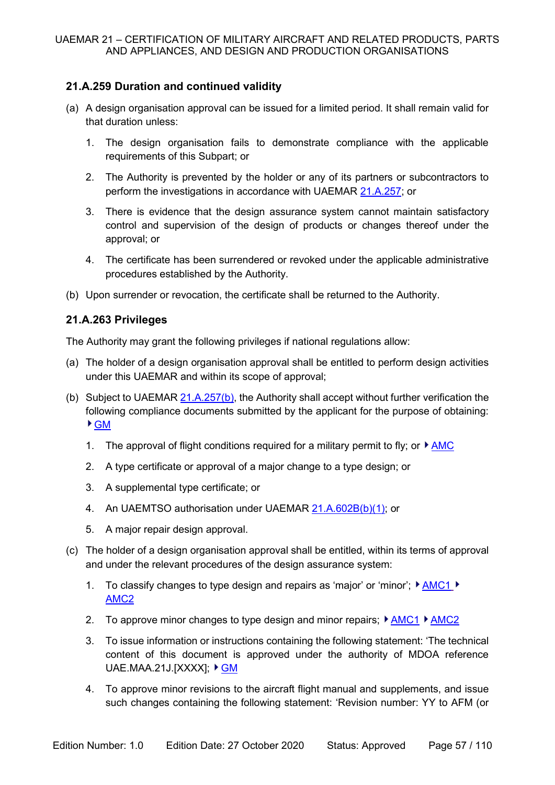# **21.A.259 Duration and continued validity**

- (a) A design organisation approval can be issued for a limited period. It shall remain valid for that duration unless:
	- 1. The design organisation fails to demonstrate compliance with the applicable requirements of this Subpart; or
	- 2. The Authority is prevented by the holder or any of its partners or subcontractors to perform the investigations in accordance with UAEMAR 21.A.257; or
	- 3. There is evidence that the design assurance system cannot maintain satisfactory control and supervision of the design of products or changes thereof under the approval; or
	- 4. The certificate has been surrendered or revoked under the applicable administrative procedures established by the Authority.
- (b) Upon surrender or revocation, the certificate shall be returned to the Authority.

# **21.A.263 Privileges**

The Authority may grant the following privileges if national regulations allow:

- (a) The holder of a design organisation approval shall be entitled to perform design activities under this UAEMAR and within its scope of approval;
- (b) Subject to UAEMAR 21.A.257(b), the Authority shall accept without further verification the following compliance documents submitted by the applicant for the purpose of obtaining: GM
	- 1. The approval of flight conditions required for a military permit to fly; or  $\sqrt{\text{AMC}}$
	- 2. A type certificate or approval of a major change to a type design; or
	- 3. A supplemental type certificate; or
	- 4. An UAEMTSO authorisation under UAEMAR 21.A.602B(b)(1); or
	- 5. A major repair design approval.
- (c) The holder of a design organisation approval shall be entitled, within its terms of approval and under the relevant procedures of the design assurance system:
	- 1. To classify changes to type design and repairs as 'major' or 'minor';  $\blacktriangleright$  AMC1  $\blacktriangleright$ AMC2
	- 2. To approve minor changes to type design and minor repairs;  $\triangleright$  AMC1  $\triangleright$  AMC2
	- 3. To issue information or instructions containing the following statement: 'The technical content of this document is approved under the authority of MDOA reference UAE.MAA.21J.[XXXX];  $\triangleright$  GM
	- 4. To approve minor revisions to the aircraft flight manual and supplements, and issue such changes containing the following statement: 'Revision number: YY to AFM (or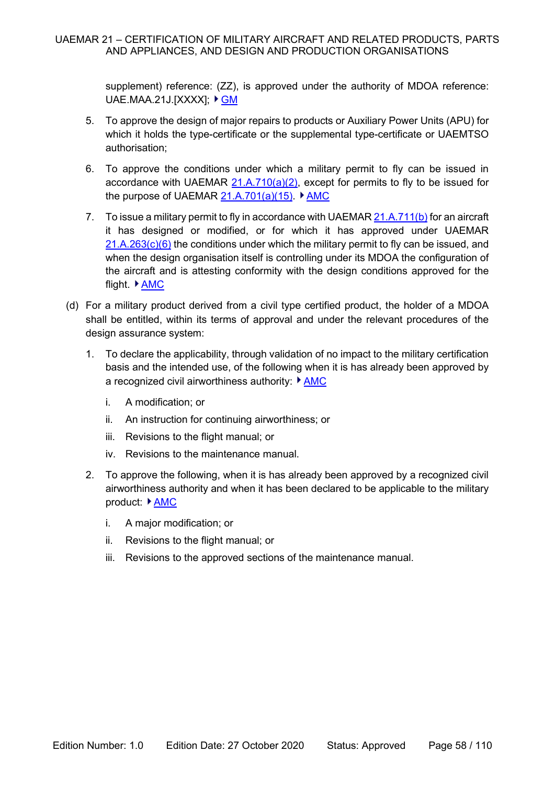supplement) reference: (ZZ), is approved under the authority of MDOA reference: UAE.MAA.21J.[XXXX]; ▶ GM

- 5. To approve the design of major repairs to products or Auxiliary Power Units (APU) for which it holds the type-certificate or the supplemental type-certificate or UAEMTSO authorisation;
- 6. To approve the conditions under which a military permit to fly can be issued in accordance with UAEMAR  $21.A.710(a)(2)$ , except for permits to fly to be issued for the purpose of UAEMAR  $21.A.701(a)(15)$ . AMC
- 7. To issue a military permit to fly in accordance with UAEMAR 21.A.711(b) for an aircraft it has designed or modified, or for which it has approved under UAEMAR  $21.A.263(c)(6)$  the conditions under which the military permit to fly can be issued, and when the design organisation itself is controlling under its MDOA the configuration of the aircraft and is attesting conformity with the design conditions approved for the flight. ▶ AMC
- (d) For a military product derived from a civil type certified product, the holder of a MDOA shall be entitled, within its terms of approval and under the relevant procedures of the design assurance system:
	- 1. To declare the applicability, through validation of no impact to the military certification basis and the intended use, of the following when it is has already been approved by a recognized civil airworthiness authority:  $\triangleright$  AMC
		- i. A modification; or
		- ii. An instruction for continuing airworthiness; or
		- iii. Revisions to the flight manual; or
		- iv. Revisions to the maintenance manual.
	- 2. To approve the following, when it is has already been approved by a recognized civil airworthiness authority and when it has been declared to be applicable to the military product: ▶ AMC
		- i. A major modification; or
		- ii. Revisions to the flight manual; or
		- iii. Revisions to the approved sections of the maintenance manual.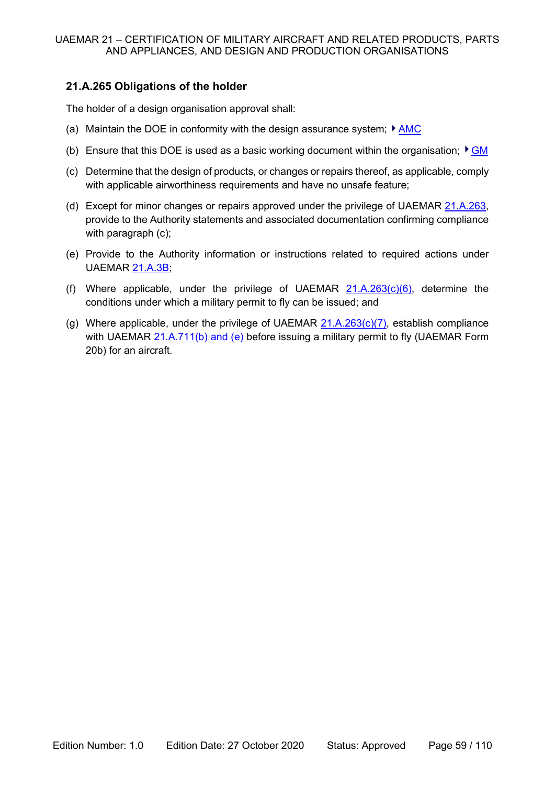## **21.A.265 Obligations of the holder**

The holder of a design organisation approval shall:

- (a) Maintain the DOE in conformity with the design assurance system;  $\blacktriangleright$  AMC
- (b) Ensure that this DOE is used as a basic working document within the organisation;  $\triangleright$  GM
- (c) Determine that the design of products, or changes or repairs thereof, as applicable, comply with applicable airworthiness requirements and have no unsafe feature;
- (d) Except for minor changes or repairs approved under the privilege of UAEMAR 21.A.263, provide to the Authority statements and associated documentation confirming compliance with paragraph (c);
- (e) Provide to the Authority information or instructions related to required actions under UAEMAR 21.A.3B;
- (f) Where applicable, under the privilege of UAEMAR  $21.A.263(c)(6)$ , determine the conditions under which a military permit to fly can be issued; and
- (g) Where applicable, under the privilege of UAEMAR  $21.A.263(c)(7)$ , establish compliance with UAEMAR 21.A.711(b) and (e) before issuing a military permit to fly (UAEMAR Form 20b) for an aircraft.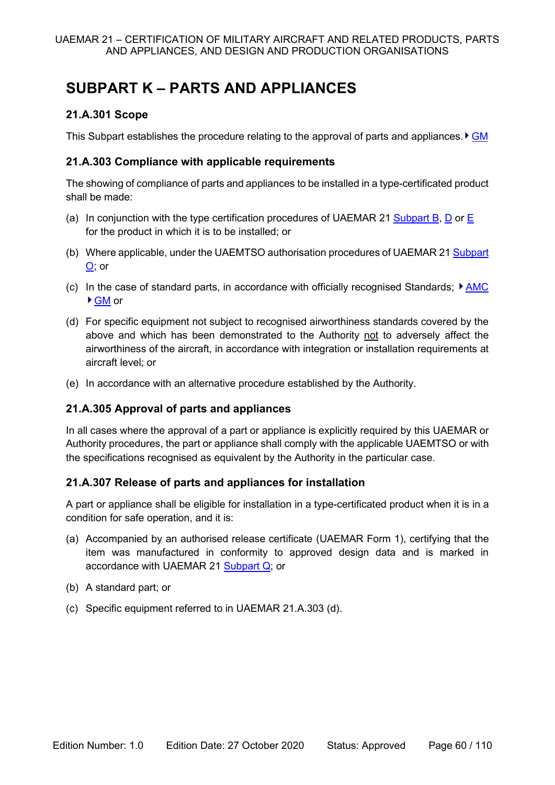# **SUBPART K – PARTS AND APPLIANCES**

# **21.A.301 Scope**

This Subpart establishes the procedure relating to the approval of parts and appliances.  $\blacktriangleright$  GM

## **21.A.303 Compliance with applicable requirements**

The showing of compliance of parts and appliances to be installed in a type-certificated product shall be made:

- (a) In conjunction with the type certification procedures of UAEMAR 21 Subpart B, D or E for the product in which it is to be installed; or
- (b) Where applicable, under the UAEMTSO authorisation procedures of UAEMAR 21 Subpart O; or
- (c) In the case of standard parts, in accordance with officially recognised Standards;  $\blacktriangleright$  AMC ▶ GM or
- (d) For specific equipment not subject to recognised airworthiness standards covered by the above and which has been demonstrated to the Authority not to adversely affect the airworthiness of the aircraft, in accordance with integration or installation requirements at aircraft level; or
- (e) In accordance with an alternative procedure established by the Authority.

## **21.A.305 Approval of parts and appliances**

In all cases where the approval of a part or appliance is explicitly required by this UAEMAR or Authority procedures, the part or appliance shall comply with the applicable UAEMTSO or with the specifications recognised as equivalent by the Authority in the particular case.

## **21.A.307 Release of parts and appliances for installation**

A part or appliance shall be eligible for installation in a type-certificated product when it is in a condition for safe operation, and it is:

- (a) Accompanied by an authorised release certificate (UAEMAR Form 1), certifying that the item was manufactured in conformity to approved design data and is marked in accordance with UAEMAR 21 Subpart Q; or
- (b) A standard part; or
- (c) Specific equipment referred to in UAEMAR 21.A.303 (d).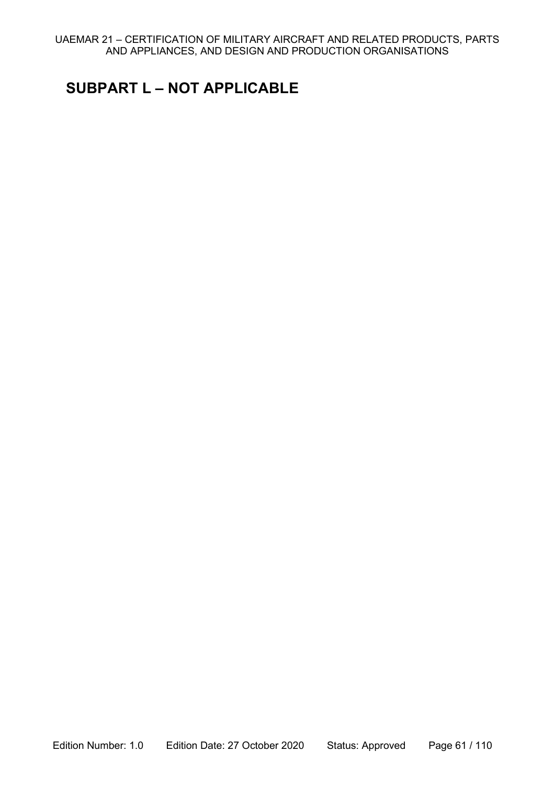# **SUBPART L – NOT APPLICABLE**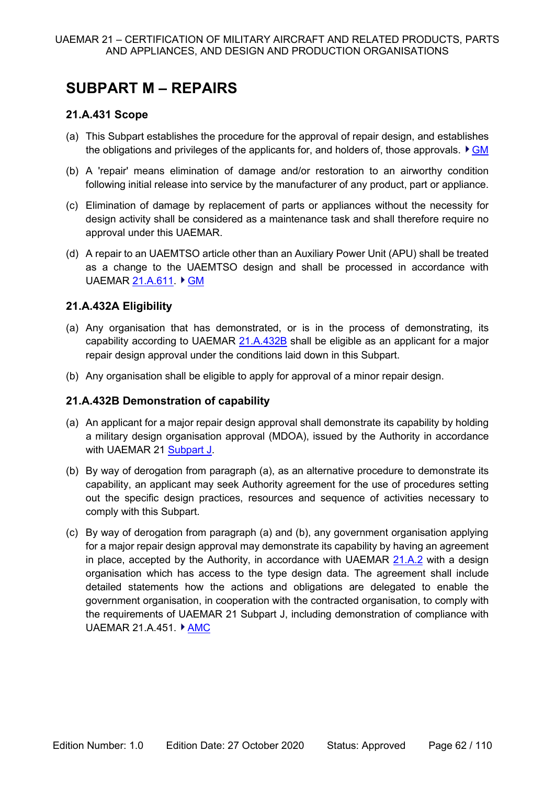# **SUBPART M – REPAIRS**

## **21.A.431 Scope**

- (a) This Subpart establishes the procedure for the approval of repair design, and establishes the obligations and privileges of the applicants for, and holders of, those approvals.  $\triangleright$  GM
- (b) A 'repair' means elimination of damage and/or restoration to an airworthy condition following initial release into service by the manufacturer of any product, part or appliance.
- (c) Elimination of damage by replacement of parts or appliances without the necessity for design activity shall be considered as a maintenance task and shall therefore require no approval under this UAEMAR.
- (d) A repair to an UAEMTSO article other than an Auxiliary Power Unit (APU) shall be treated as a change to the UAEMTSO design and shall be processed in accordance with UAEMAR 21.A.611 ▶ GM

## **21.A.432A Eligibility**

- (a) Any organisation that has demonstrated, or is in the process of demonstrating, its capability according to UAEMAR 21.A.432B shall be eligible as an applicant for a major repair design approval under the conditions laid down in this Subpart.
- (b) Any organisation shall be eligible to apply for approval of a minor repair design.

## **21.A.432B Demonstration of capability**

- (a) An applicant for a major repair design approval shall demonstrate its capability by holding a military design organisation approval (MDOA), issued by the Authority in accordance with UAEMAR 21 Subpart J.
- (b) By way of derogation from paragraph (a), as an alternative procedure to demonstrate its capability, an applicant may seek Authority agreement for the use of procedures setting out the specific design practices, resources and sequence of activities necessary to comply with this Subpart.
- (c) By way of derogation from paragraph (a) and (b), any government organisation applying for a major repair design approval may demonstrate its capability by having an agreement in place, accepted by the Authority, in accordance with UAEMAR 21.A.2 with a design organisation which has access to the type design data. The agreement shall include detailed statements how the actions and obligations are delegated to enable the government organisation, in cooperation with the contracted organisation, to comply with the requirements of UAEMAR 21 Subpart J, including demonstration of compliance with UAEMAR 21.A.451. ▶ AMC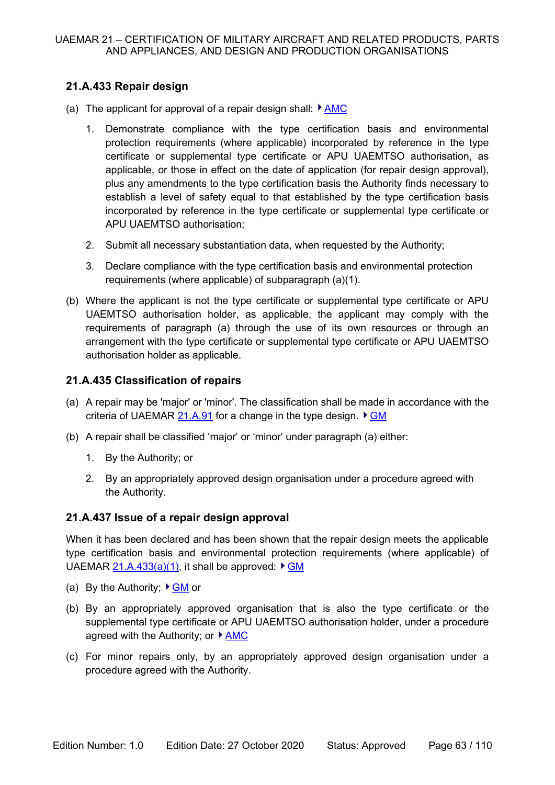## **21.A.433 Repair design**

- (a) The applicant for approval of a repair design shall:  $\triangleright$  AMC
	- 1. Demonstrate compliance with the type certification basis and environmental protection requirements (where applicable) incorporated by reference in the type certificate or supplemental type certificate or APU UAEMTSO authorisation, as applicable, or those in effect on the date of application (for repair design approval), plus any amendments to the type certification basis the Authority finds necessary to establish a level of safety equal to that established by the type certification basis incorporated by reference in the type certificate or supplemental type certificate or APU UAEMTSO authorisation;
	- 2. Submit all necessary substantiation data, when requested by the Authority;
	- 3. Declare compliance with the type certification basis and environmental protection requirements (where applicable) of subparagraph (a)(1).
- (b) Where the applicant is not the type certificate or supplemental type certificate or APU UAEMTSO authorisation holder, as applicable, the applicant may comply with the requirements of paragraph (a) through the use of its own resources or through an arrangement with the type certificate or supplemental type certificate or APU UAEMTSO authorisation holder as applicable.

#### **21.A.435 Classification of repairs**

- (a) A repair may be 'major' or 'minor'. The classification shall be made in accordance with the criteria of UAEMAR 21.A.91 for a change in the type design.  $\triangleright$  GM
- (b) A repair shall be classified 'major' or 'minor' under paragraph (a) either:
	- 1. By the Authority; or
	- 2. By an appropriately approved design organisation under a procedure agreed with the Authority.

#### **21.A.437 Issue of a repair design approval**

When it has been declared and has been shown that the repair design meets the applicable type certification basis and environmental protection requirements (where applicable) of UAEMAR  $21.A.433(a)(1)$ , it shall be approved:  $▶ GM$ 

- (a) By the Authority;  $\blacktriangleright$  GM or
- (b) By an appropriately approved organisation that is also the type certificate or the supplemental type certificate or APU UAEMTSO authorisation holder, under a procedure agreed with the Authority; or  $\blacktriangleright$  AMC
- (c) For minor repairs only, by an appropriately approved design organisation under a procedure agreed with the Authority.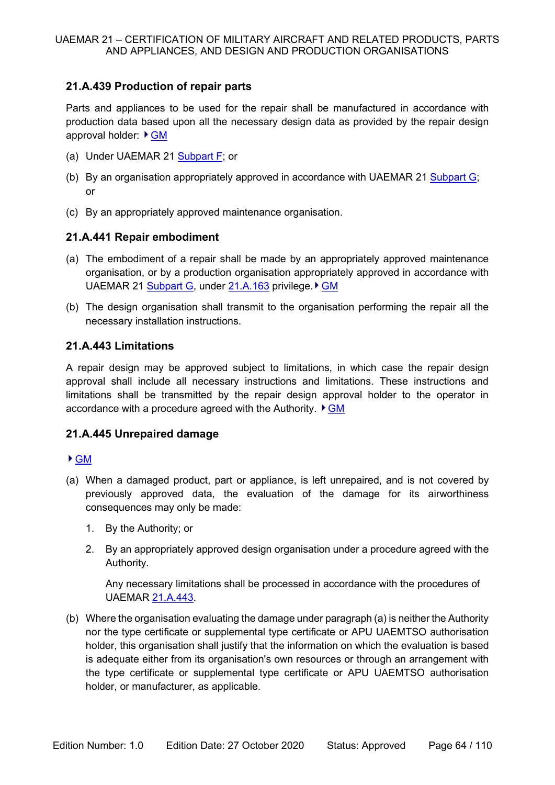# **21.A.439 Production of repair parts**

Parts and appliances to be used for the repair shall be manufactured in accordance with production data based upon all the necessary design data as provided by the repair design approval holder:  $\triangleright$  GM

- (a) Under UAEMAR 21 Subpart F; or
- (b) By an organisation appropriately approved in accordance with UAEMAR 21 Subpart G; or
- (c) By an appropriately approved maintenance organisation.

# **21.A.441 Repair embodiment**

- (a) The embodiment of a repair shall be made by an appropriately approved maintenance organisation, or by a production organisation appropriately approved in accordance with UAEMAR 21 Subpart G, under 21.A.163 privilege. ▶ GM
- (b) The design organisation shall transmit to the organisation performing the repair all the necessary installation instructions.

# **21.A.443 Limitations**

A repair design may be approved subject to limitations, in which case the repair design approval shall include all necessary instructions and limitations. These instructions and limitations shall be transmitted by the repair design approval holder to the operator in accordance with a procedure agreed with the Authority.  $\triangleright$  GM

## **21.A.445 Unrepaired damage**

## GM

- (a) When a damaged product, part or appliance, is left unrepaired, and is not covered by previously approved data, the evaluation of the damage for its airworthiness consequences may only be made:
	- 1. By the Authority; or
	- 2. By an appropriately approved design organisation under a procedure agreed with the Authority.

Any necessary limitations shall be processed in accordance with the procedures of UAEMAR 21.A.443.

(b) Where the organisation evaluating the damage under paragraph (a) is neither the Authority nor the type certificate or supplemental type certificate or APU UAEMTSO authorisation holder, this organisation shall justify that the information on which the evaluation is based is adequate either from its organisation's own resources or through an arrangement with the type certificate or supplemental type certificate or APU UAEMTSO authorisation holder, or manufacturer, as applicable.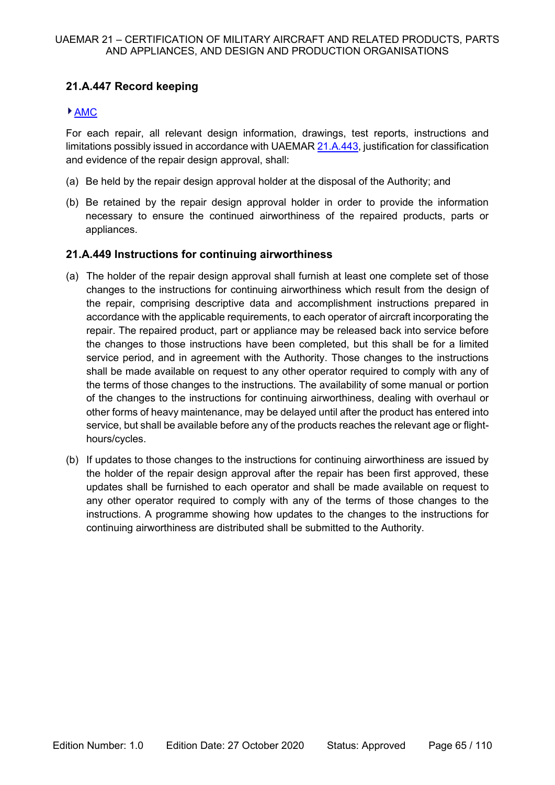# **21.A.447 Record keeping**

#### ▶ AMC

For each repair, all relevant design information, drawings, test reports, instructions and limitations possibly issued in accordance with UAEMAR  $21.A.443$ , justification for classification and evidence of the repair design approval, shall:

- (a) Be held by the repair design approval holder at the disposal of the Authority; and
- (b) Be retained by the repair design approval holder in order to provide the information necessary to ensure the continued airworthiness of the repaired products, parts or appliances.

#### **21.A.449 Instructions for continuing airworthiness**

- (a) The holder of the repair design approval shall furnish at least one complete set of those changes to the instructions for continuing airworthiness which result from the design of the repair, comprising descriptive data and accomplishment instructions prepared in accordance with the applicable requirements, to each operator of aircraft incorporating the repair. The repaired product, part or appliance may be released back into service before the changes to those instructions have been completed, but this shall be for a limited service period, and in agreement with the Authority. Those changes to the instructions shall be made available on request to any other operator required to comply with any of the terms of those changes to the instructions. The availability of some manual or portion of the changes to the instructions for continuing airworthiness, dealing with overhaul or other forms of heavy maintenance, may be delayed until after the product has entered into service, but shall be available before any of the products reaches the relevant age or flighthours/cycles.
- (b) If updates to those changes to the instructions for continuing airworthiness are issued by the holder of the repair design approval after the repair has been first approved, these updates shall be furnished to each operator and shall be made available on request to any other operator required to comply with any of the terms of those changes to the instructions. A programme showing how updates to the changes to the instructions for continuing airworthiness are distributed shall be submitted to the Authority.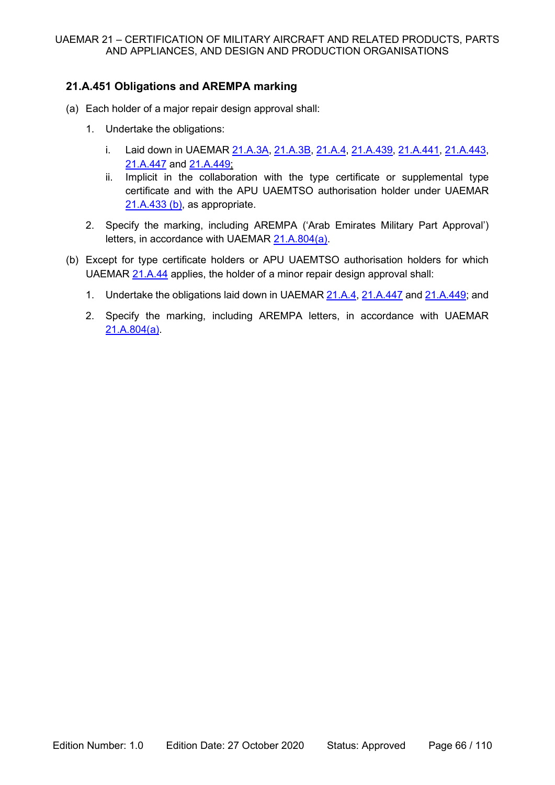# **21.A.451 Obligations and AREMPA marking**

- (a) Each holder of a major repair design approval shall:
	- 1. Undertake the obligations:
		- i. Laid down in UAEMAR 21.A.3A, 21.A.3B, 21.A.4, 21.A.439, 21.A.441, 21.A.443, 21.A.447 and 21.A.449;
		- ii. Implicit in the collaboration with the type certificate or supplemental type certificate and with the APU UAEMTSO authorisation holder under UAEMAR 21.A.433 (b), as appropriate.
	- 2. Specify the marking, including AREMPA ('Arab Emirates Military Part Approval') letters, in accordance with UAEMAR 21.A.804(a).
- (b) Except for type certificate holders or APU UAEMTSO authorisation holders for which UAEMAR 21.A.44 applies, the holder of a minor repair design approval shall:
	- 1. Undertake the obligations laid down in UAEMAR 21.A.4, 21.A.447 and 21.A.449; and
	- 2. Specify the marking, including AREMPA letters, in accordance with UAEMAR 21.A.804(a).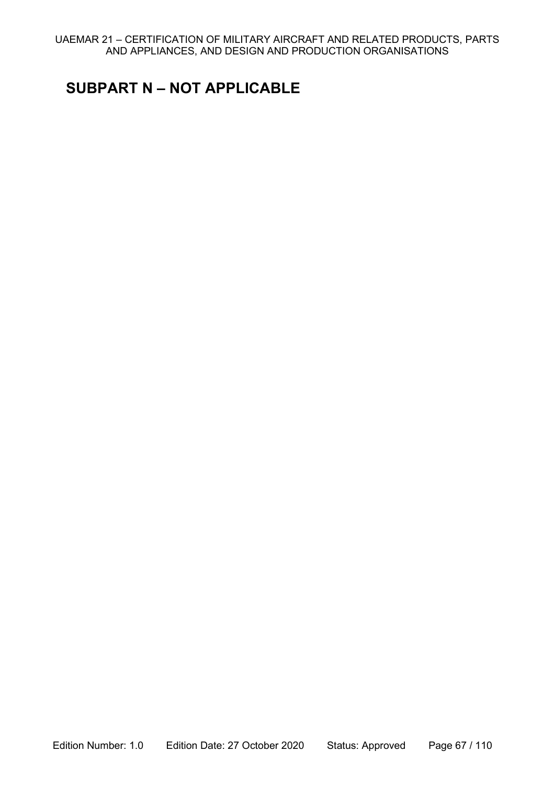# **SUBPART N – NOT APPLICABLE**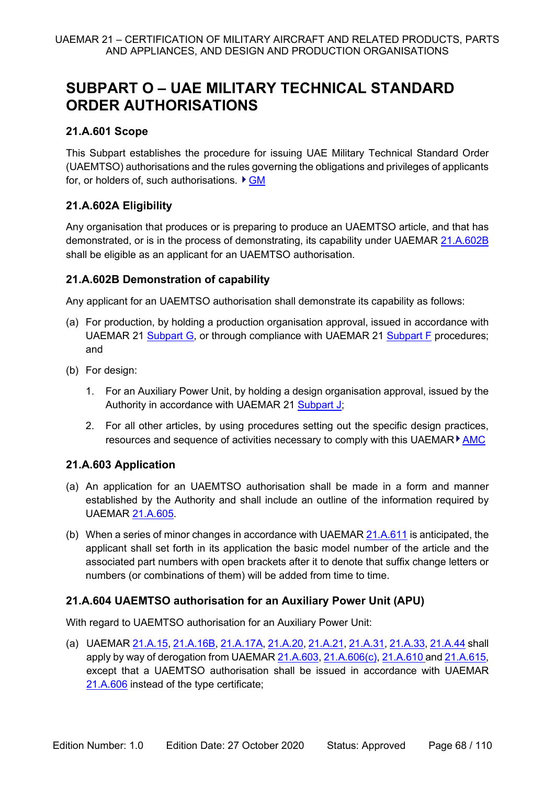# **SUBPART O – UAE MILITARY TECHNICAL STANDARD ORDER AUTHORISATIONS**

# **21.A.601 Scope**

This Subpart establishes the procedure for issuing UAE Military Technical Standard Order (UAEMTSO) authorisations and the rules governing the obligations and privileges of applicants for, or holders of, such authorisations.  $\blacktriangleright$  GM

# **21.A.602A Eligibility**

Any organisation that produces or is preparing to produce an UAEMTSO article, and that has demonstrated, or is in the process of demonstrating, its capability under UAEMAR 21.A.602B shall be eligible as an applicant for an UAEMTSO authorisation.

# **21.A.602B Demonstration of capability**

Any applicant for an UAEMTSO authorisation shall demonstrate its capability as follows:

- (a) For production, by holding a production organisation approval, issued in accordance with UAEMAR 21 Subpart G, or through compliance with UAEMAR 21 Subpart F procedures; and
- (b) For design:
	- 1. For an Auxiliary Power Unit, by holding a design organisation approval, issued by the Authority in accordance with UAEMAR 21 Subpart J;
	- 2. For all other articles, by using procedures setting out the specific design practices, resources and sequence of activities necessary to comply with this UAEMAR $\blacktriangleright$  AMC

# **21.A.603 Application**

- (a) An application for an UAEMTSO authorisation shall be made in a form and manner established by the Authority and shall include an outline of the information required by UAEMAR 21.A.605.
- (b) When a series of minor changes in accordance with UAEMAR  $21.A.611$  is anticipated, the applicant shall set forth in its application the basic model number of the article and the associated part numbers with open brackets after it to denote that suffix change letters or numbers (or combinations of them) will be added from time to time.

## **21.A.604 UAEMTSO authorisation for an Auxiliary Power Unit (APU)**

With regard to UAEMTSO authorisation for an Auxiliary Power Unit:

(a) UAEMAR 21.A.15, 21.A.16B, 21.A.17A, 21.A.20, 21.A.21, 21.A.31, 21.A.33, 21.A.44 shall apply by way of derogation from UAEMAR 21.A.603, 21.A.606(c), 21.A.610 and 21.A.615, except that a UAEMTSO authorisation shall be issued in accordance with UAEMAR 21.A.606 instead of the type certificate;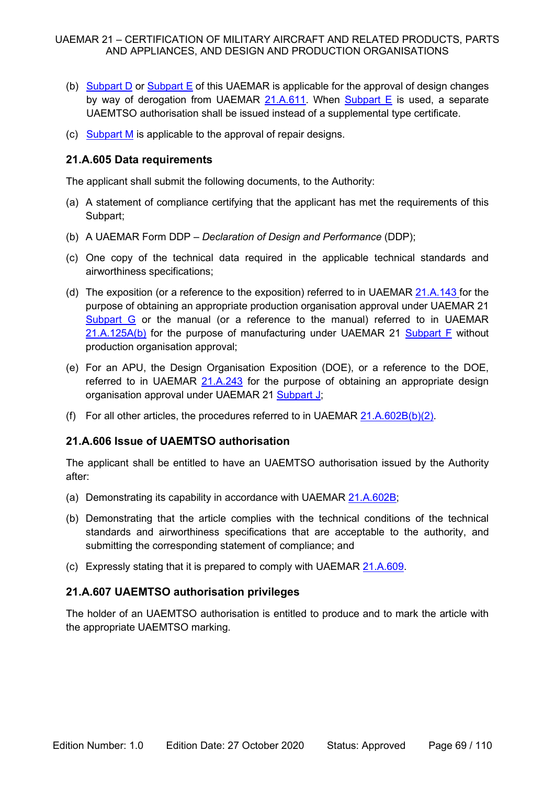- (b) Subpart D or Subpart E of this UAEMAR is applicable for the approval of design changes by way of derogation from UAEMAR  $21.A.611$ . When Subpart E is used, a separate UAEMTSO authorisation shall be issued instead of a supplemental type certificate.
- (c) Subpart M is applicable to the approval of repair designs.

#### **21.A.605 Data requirements**

The applicant shall submit the following documents, to the Authority:

- (a) A statement of compliance certifying that the applicant has met the requirements of this Subpart;
- (b) A UAEMAR Form DDP *Declaration of Design and Performance* (DDP);
- (c) One copy of the technical data required in the applicable technical standards and airworthiness specifications;
- (d) The exposition (or a reference to the exposition) referred to in UAEMAR 21.A.143 for the purpose of obtaining an appropriate production organisation approval under UAEMAR 21 Subpart G or the manual (or a reference to the manual) referred to in UAEMAR 21.A.125A(b) for the purpose of manufacturing under UAEMAR 21 Subpart F without production organisation approval;
- (e) For an APU, the Design Organisation Exposition (DOE), or a reference to the DOE, referred to in UAEMAR 21.A.243 for the purpose of obtaining an appropriate design organisation approval under UAEMAR 21 Subpart J;
- (f) For all other articles, the procedures referred to in UAEMAR  $21.A.602B(b)(2)$ .

## **21.A.606 Issue of UAEMTSO authorisation**

The applicant shall be entitled to have an UAEMTSO authorisation issued by the Authority after:

- (a) Demonstrating its capability in accordance with UAEMAR 21.A.602B;
- (b) Demonstrating that the article complies with the technical conditions of the technical standards and airworthiness specifications that are acceptable to the authority, and submitting the corresponding statement of compliance; and
- (c) Expressly stating that it is prepared to comply with UAEMAR 21.A.609.

#### **21.A.607 UAEMTSO authorisation privileges**

The holder of an UAEMTSO authorisation is entitled to produce and to mark the article with the appropriate UAEMTSO marking.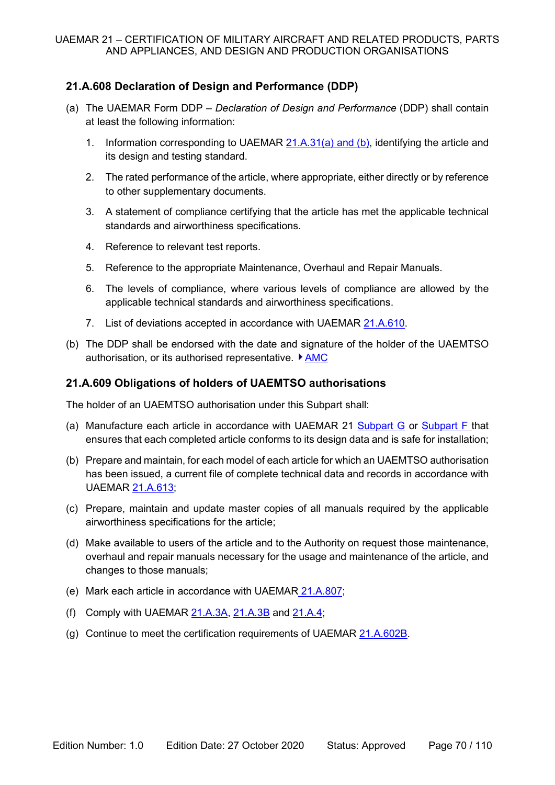# **21.A.608 Declaration of Design and Performance (DDP)**

- (a) The UAEMAR Form DDP *Declaration of Design and Performance* (DDP) shall contain at least the following information:
	- 1. Information corresponding to UAEMAR 21.A.31(a) and (b), identifying the article and its design and testing standard.
	- 2. The rated performance of the article, where appropriate, either directly or by reference to other supplementary documents.
	- 3. A statement of compliance certifying that the article has met the applicable technical standards and airworthiness specifications.
	- 4. Reference to relevant test reports.
	- 5. Reference to the appropriate Maintenance, Overhaul and Repair Manuals.
	- 6. The levels of compliance, where various levels of compliance are allowed by the applicable technical standards and airworthiness specifications.
	- 7. List of deviations accepted in accordance with UAEMAR 21.A.610.
- (b) The DDP shall be endorsed with the date and signature of the holder of the UAEMTSO authorisation, or its authorised representative.  $\blacktriangleright$  AMC

## **21.A.609 Obligations of holders of UAEMTSO authorisations**

The holder of an UAEMTSO authorisation under this Subpart shall:

- (a) Manufacture each article in accordance with UAEMAR 21 Subpart G or Subpart F that ensures that each completed article conforms to its design data and is safe for installation;
- (b) Prepare and maintain, for each model of each article for which an UAEMTSO authorisation has been issued, a current file of complete technical data and records in accordance with UAEMAR 21.A.613;
- (c) Prepare, maintain and update master copies of all manuals required by the applicable airworthiness specifications for the article;
- (d) Make available to users of the article and to the Authority on request those maintenance, overhaul and repair manuals necessary for the usage and maintenance of the article, and changes to those manuals;
- (e) Mark each article in accordance with UAEMAR 21.A.807;
- (f) Comply with UAEMAR 21.A.3A, 21.A.3B and 21.A.4;
- (g) Continue to meet the certification requirements of UAEMAR 21.A.602B.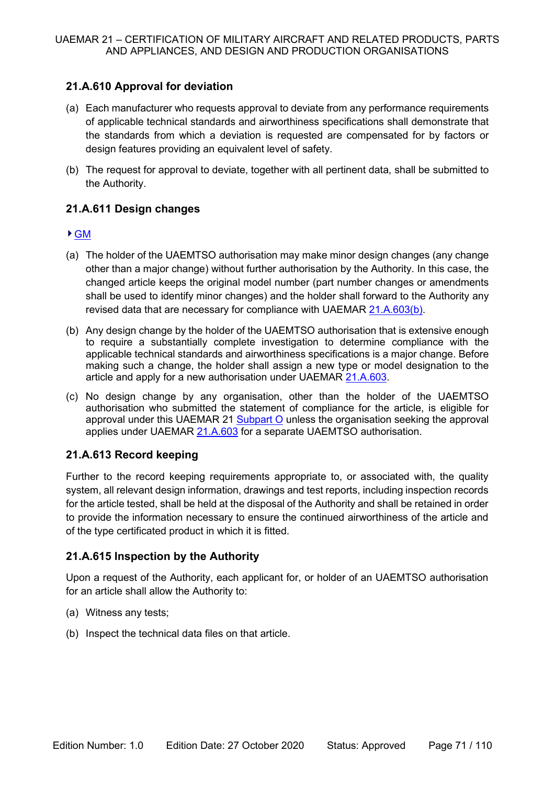# **21.A.610 Approval for deviation**

- (a) Each manufacturer who requests approval to deviate from any performance requirements of applicable technical standards and airworthiness specifications shall demonstrate that the standards from which a deviation is requested are compensated for by factors or design features providing an equivalent level of safety.
- (b) The request for approval to deviate, together with all pertinent data, shall be submitted to the Authority.

# **21.A.611 Design changes**

## GM

- (a) The holder of the UAEMTSO authorisation may make minor design changes (any change other than a major change) without further authorisation by the Authority. In this case, the changed article keeps the original model number (part number changes or amendments shall be used to identify minor changes) and the holder shall forward to the Authority any revised data that are necessary for compliance with UAEMAR 21.A.603(b).
- (b) Any design change by the holder of the UAEMTSO authorisation that is extensive enough to require a substantially complete investigation to determine compliance with the applicable technical standards and airworthiness specifications is a major change. Before making such a change, the holder shall assign a new type or model designation to the article and apply for a new authorisation under UAEMAR 21.A.603.
- (c) No design change by any organisation, other than the holder of the UAEMTSO authorisation who submitted the statement of compliance for the article, is eligible for approval under this UAEMAR 21 Subpart  $O$  unless the organisation seeking the approval applies under UAEMAR 21.A.603 for a separate UAEMTSO authorisation.

## **21.A.613 Record keeping**

Further to the record keeping requirements appropriate to, or associated with, the quality system, all relevant design information, drawings and test reports, including inspection records for the article tested, shall be held at the disposal of the Authority and shall be retained in order to provide the information necessary to ensure the continued airworthiness of the article and of the type certificated product in which it is fitted.

## **21.A.615 Inspection by the Authority**

Upon a request of the Authority, each applicant for, or holder of an UAEMTSO authorisation for an article shall allow the Authority to:

- (a) Witness any tests;
- (b) Inspect the technical data files on that article.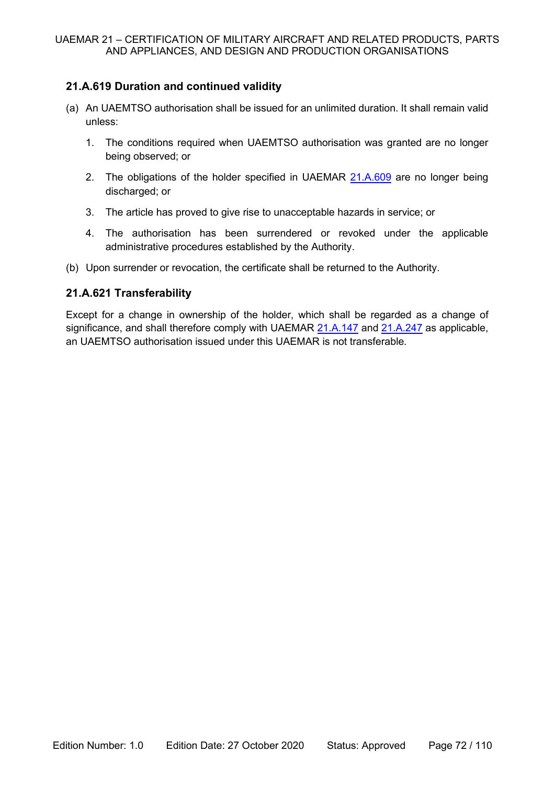## **21.A.619 Duration and continued validity**

- (a) An UAEMTSO authorisation shall be issued for an unlimited duration. It shall remain valid unless:
	- 1. The conditions required when UAEMTSO authorisation was granted are no longer being observed; or
	- 2. The obligations of the holder specified in UAEMAR 21.A.609 are no longer being discharged; or
	- 3. The article has proved to give rise to unacceptable hazards in service; or
	- 4. The authorisation has been surrendered or revoked under the applicable administrative procedures established by the Authority.
- (b) Upon surrender or revocation, the certificate shall be returned to the Authority.

# **21.A.621 Transferability**

Except for a change in ownership of the holder, which shall be regarded as a change of significance, and shall therefore comply with UAEMAR 21.A.147 and 21.A.247 as applicable, an UAEMTSO authorisation issued under this UAEMAR is not transferable.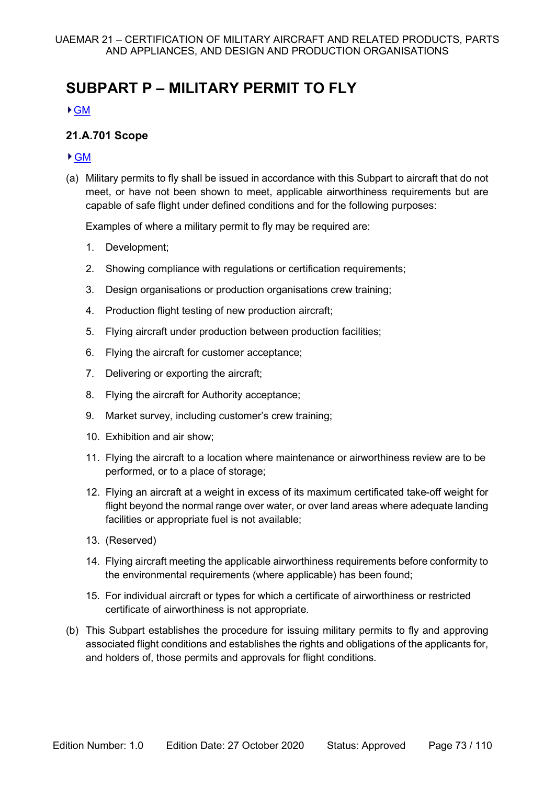# **SUBPART P – MILITARY PERMIT TO FLY**

GM

#### <span id="page-72-0"></span>**21.A.701 Scope**

#### GM

(a) Military permits to fly shall be issued in accordance with this Subpart to aircraft that do not meet, or have not been shown to meet, applicable airworthiness requirements but are capable of safe flight under defined conditions and for the following purposes:

Examples of where a military permit to fly may be required are:

- 1. Development;
- 2. Showing compliance with regulations or certification requirements;
- 3. Design organisations or production organisations crew training;
- 4. Production flight testing of new production aircraft;
- 5. Flying aircraft under production between production facilities;
- 6. Flying the aircraft for customer acceptance;
- 7. Delivering or exporting the aircraft;
- 8. Flying the aircraft for Authority acceptance;
- 9. Market survey, including customer's crew training;
- 10. Exhibition and air show;
- 11. Flying the aircraft to a location where maintenance or airworthiness review are to be performed, or to a place of storage;
- 12. Flying an aircraft at a weight in excess of its maximum certificated take-off weight for flight beyond the normal range over water, or over land areas where adequate landing facilities or appropriate fuel is not available;
- 13. (Reserved)
- 14. Flying aircraft meeting the applicable airworthiness requirements before conformity to the environmental requirements (where applicable) has been found;
- 15. For individual aircraft or types for which a certificate of airworthiness or restricted certificate of airworthiness is not appropriate.
- (b) This Subpart establishes the procedure for issuing military permits to fly and approving associated flight conditions and establishes the rights and obligations of the applicants for, and holders of, those permits and approvals for flight conditions.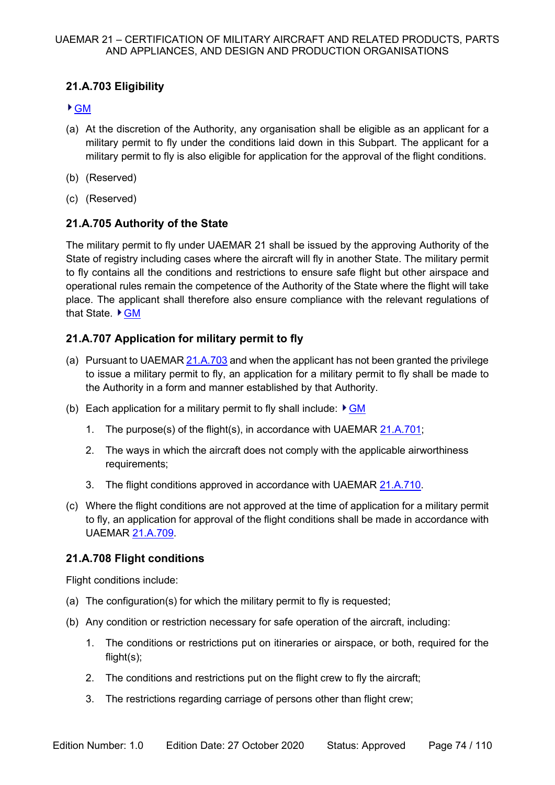### **21.A.703 Eligibility**

#### GM

- (a) At the discretion of the Authority, any organisation shall be eligible as an applicant for a military permit to fly under the conditions laid down in this Subpart. The applicant for a military permit to fly is also eligible for application for the approval of the flight conditions.
- (b) (Reserved)
- (c) (Reserved)

#### **21.A.705 Authority of the State**

The military permit to fly under UAEMAR 21 shall be issued by the approving Authority of the State of registry including cases where the aircraft will fly in another State. The military permit to fly contains all the conditions and restrictions to ensure safe flight but other airspace and operational rules remain the competence of the Authority of the State where the flight will take place. The applicant shall therefore also ensure compliance with the relevant regulations of that State.  $\triangleright$  GM

#### **21.A.707 Application for military permit to fly**

- (a) Pursuant to UAEMAR 21.A.703 and when the applicant has not been granted the privilege to issue a military permit to fly, an application for a military permit to fly shall be made to the Authority in a form and manner established by that Authority.
- (b) Each application for a military permit to fly shall include:  $\sqrt{GM}$ 
	- 1. The purpose(s) of the flight(s), in accordance with UAEMAR [21.A.701;](#page-72-0)
	- 2. The ways in which the aircraft does not comply with the applicable airworthiness requirements;
	- 3. The flight conditions approved in accordance with UAEMAR 21.A.710.
- (c) Where the flight conditions are not approved at the time of application for a military permit to fly, an application for approval of the flight conditions shall be made in accordance with UAEMAR 21.A.709.

#### **21.A.708 Flight conditions**

Flight conditions include:

- (a) The configuration(s) for which the military permit to fly is requested;
- (b) Any condition or restriction necessary for safe operation of the aircraft, including:
	- 1. The conditions or restrictions put on itineraries or airspace, or both, required for the flight(s);
	- 2. The conditions and restrictions put on the flight crew to fly the aircraft;
	- 3. The restrictions regarding carriage of persons other than flight crew;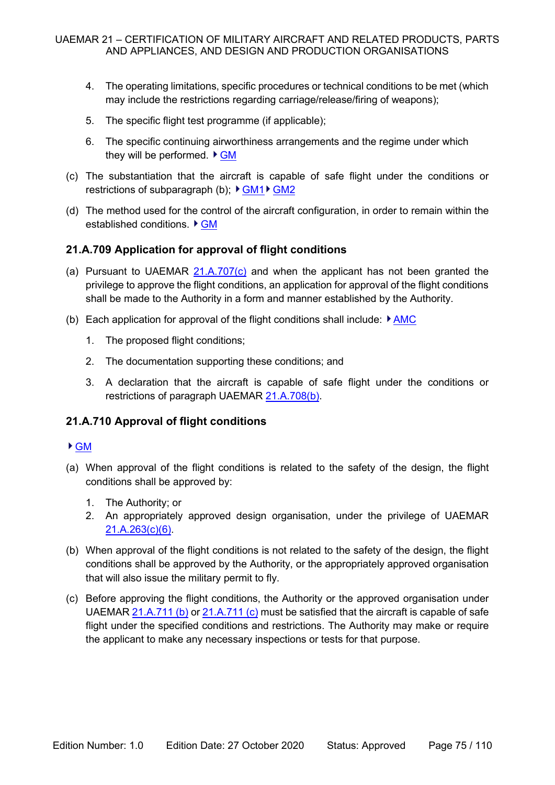- 4. The operating limitations, specific procedures or technical conditions to be met (which may include the restrictions regarding carriage/release/firing of weapons);
- 5. The specific flight test programme (if applicable);
- 6. The specific continuing airworthiness arrangements and the regime under which they will be performed.  $\blacktriangleright$  GM
- (c) The substantiation that the aircraft is capable of safe flight under the conditions or restrictions of subparagraph (b);  $\triangleright$  GM1  $\triangleright$  GM2
- (d) The method used for the control of the aircraft configuration, in order to remain within the established conditions.  $\blacktriangleright$  GM

#### **21.A.709 Application for approval of flight conditions**

- (a) Pursuant to UAEMAR 21.A.707(c) and when the applicant has not been granted the privilege to approve the flight conditions, an application for approval of the flight conditions shall be made to the Authority in a form and manner established by the Authority.
- (b) Each application for approval of the flight conditions shall include:  $\blacktriangleright$  AMC
	- 1. The proposed flight conditions;
	- 2. The documentation supporting these conditions; and
	- 3. A declaration that the aircraft is capable of safe flight under the conditions or restrictions of paragraph UAEMAR 21.A.708(b).

#### **21.A.710 Approval of flight conditions**

#### GM

- (a) When approval of the flight conditions is related to the safety of the design, the flight conditions shall be approved by:
	- 1. The Authority; or
	- 2. An appropriately approved design organisation, under the privilege of UAEMAR 21.A.263(c)(6).
- (b) When approval of the flight conditions is not related to the safety of the design, the flight conditions shall be approved by the Authority, or the appropriately approved organisation that will also issue the military permit to fly.
- (c) Before approving the flight conditions, the Authority or the approved organisation under UAEMAR 21.A.711 (b) or 21.A.711 (c) must be satisfied that the aircraft is capable of safe flight under the specified conditions and restrictions. The Authority may make or require the applicant to make any necessary inspections or tests for that purpose.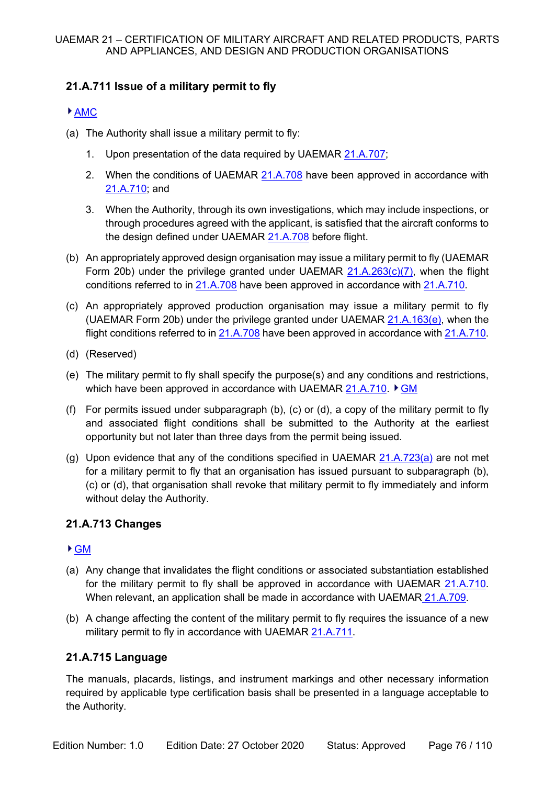### **21.A.711 Issue of a military permit to fly**

#### ▶ AMC

- (a) The Authority shall issue a military permit to fly:
	- 1. Upon presentation of the data required by UAEMAR 21.A.707;
	- 2. When the conditions of UAEMAR 21.A.708 have been approved in accordance with 21.A.710; and
	- 3. When the Authority, through its own investigations, which may include inspections, or through procedures agreed with the applicant, is satisfied that the aircraft conforms to the design defined under UAEMAR 21.A.708 before flight.
- (b) An appropriately approved design organisation may issue a military permit to fly (UAEMAR Form 20b) under the privilege granted under UAEMAR 21.A.263(c)(7), when the flight conditions referred to in 21.A.708 have been approved in accordance with 21.A.710.
- (c) An appropriately approved production organisation may issue a military permit to fly (UAEMAR Form 20b) under the privilege granted under UAEMAR 21.A.163(e), when the flight conditions referred to in 21.A.708 have been approved in accordance with 21.A.710.
- (d) (Reserved)
- (e) The military permit to fly shall specify the purpose(s) and any conditions and restrictions, which have been approved in accordance with UAEMAR 21.A.710.  $\blacktriangleright$  GM
- (f) For permits issued under subparagraph (b), (c) or (d), a copy of the military permit to fly and associated flight conditions shall be submitted to the Authority at the earliest opportunity but not later than three days from the permit being issued.
- (g) Upon evidence that any of the conditions specified in UAEMAR  $21.A.723(a)$  are not met for a military permit to fly that an organisation has issued pursuant to subparagraph (b), (c) or (d), that organisation shall revoke that military permit to fly immediately and inform without delay the Authority.

### **21.A.713 Changes**

#### GM

- (a) Any change that invalidates the flight conditions or associated substantiation established for the military permit to fly shall be approved in accordance with UAEMAR 21.A.710. When relevant, an application shall be made in accordance with UAEMAR 21.A.709.
- (b) A change affecting the content of the military permit to fly requires the issuance of a new military permit to fly in accordance with UAEMAR 21.A.711.

#### **21.A.715 Language**

The manuals, placards, listings, and instrument markings and other necessary information required by applicable type certification basis shall be presented in a language acceptable to the Authority.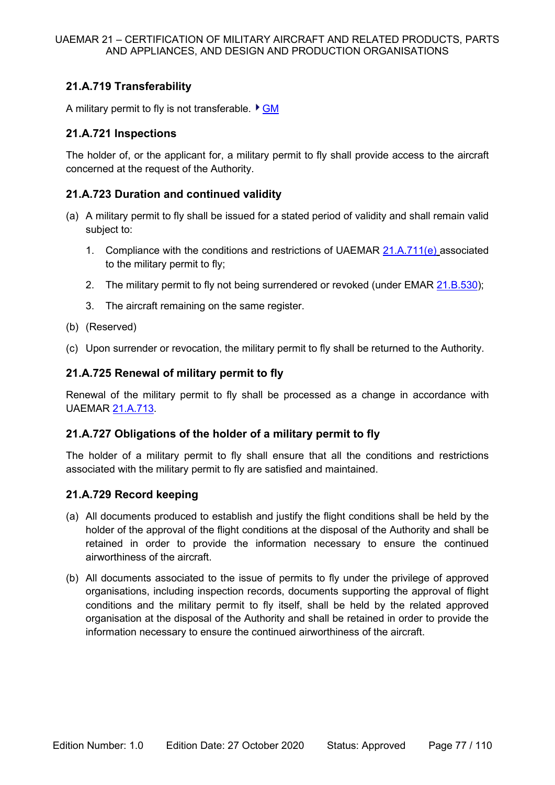#### **21.A.719 Transferability**

A military permit to fly is not transferable.  $\triangleright$  GM

#### **21.A.721 Inspections**

The holder of, or the applicant for, a military permit to fly shall provide access to the aircraft concerned at the request of the Authority.

#### **21.A.723 Duration and continued validity**

- (a) A military permit to fly shall be issued for a stated period of validity and shall remain valid subject to:
	- 1. Compliance with the conditions and restrictions of UAEMAR 21.A.711(e) associated to the military permit to fly;
	- 2. The military permit to fly not being surrendered or revoked (under EMAR 21.B.530);
	- 3. The aircraft remaining on the same register.
- (b) (Reserved)
- (c) Upon surrender or revocation, the military permit to fly shall be returned to the Authority.

#### **21.A.725 Renewal of military permit to fly**

Renewal of the military permit to fly shall be processed as a change in accordance with UAEMAR 21.A.713.

#### **21.A.727 Obligations of the holder of a military permit to fly**

The holder of a military permit to fly shall ensure that all the conditions and restrictions associated with the military permit to fly are satisfied and maintained.

#### **21.A.729 Record keeping**

- (a) All documents produced to establish and justify the flight conditions shall be held by the holder of the approval of the flight conditions at the disposal of the Authority and shall be retained in order to provide the information necessary to ensure the continued airworthiness of the aircraft.
- (b) All documents associated to the issue of permits to fly under the privilege of approved organisations, including inspection records, documents supporting the approval of flight conditions and the military permit to fly itself, shall be held by the related approved organisation at the disposal of the Authority and shall be retained in order to provide the information necessary to ensure the continued airworthiness of the aircraft.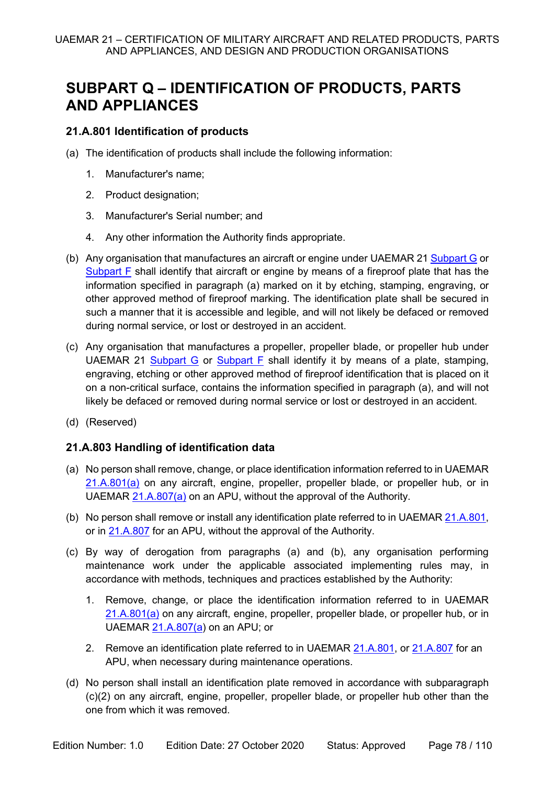# **SUBPART Q – IDENTIFICATION OF PRODUCTS, PARTS AND APPLIANCES**

#### **21.A.801 Identification of products**

- (a) The identification of products shall include the following information:
	- 1. Manufacturer's name;
	- 2. Product designation;
	- 3. Manufacturer's Serial number; and
	- 4. Any other information the Authority finds appropriate.
- (b) Any organisation that manufactures an aircraft or engine under UAEMAR 21 Subpart G or Subpart F shall identify that aircraft or engine by means of a fireproof plate that has the information specified in paragraph (a) marked on it by etching, stamping, engraving, or other approved method of fireproof marking. The identification plate shall be secured in such a manner that it is accessible and legible, and will not likely be defaced or removed during normal service, or lost or destroyed in an accident.
- (c) Any organisation that manufactures a propeller, propeller blade, or propeller hub under UAEMAR 21 Subpart G or Subpart F shall identify it by means of a plate, stamping, engraving, etching or other approved method of fireproof identification that is placed on it on a non-critical surface, contains the information specified in paragraph (a), and will not likely be defaced or removed during normal service or lost or destroyed in an accident.
- (d) (Reserved)

### **21.A.803 Handling of identification data**

- (a) No person shall remove, change, or place identification information referred to in UAEMAR 21.A.801(a) on any aircraft, engine, propeller, propeller blade, or propeller hub, or in UAEMAR 21.A.807(a) on an APU, without the approval of the Authority.
- (b) No person shall remove or install any identification plate referred to in UAEMAR 21.A.801, or in 21.A.807 for an APU, without the approval of the Authority.
- (c) By way of derogation from paragraphs (a) and (b), any organisation performing maintenance work under the applicable associated implementing rules may, in accordance with methods, techniques and practices established by the Authority:
	- 1. Remove, change, or place the identification information referred to in UAEMAR 21.A.801(a) on any aircraft, engine, propeller, propeller blade, or propeller hub, or in UAEMAR 21.A.807(a) on an APU; or
	- 2. Remove an identification plate referred to in UAEMAR 21.A.801, or 21.A.807 for an APU, when necessary during maintenance operations.
- (d) No person shall install an identification plate removed in accordance with subparagraph (c)(2) on any aircraft, engine, propeller, propeller blade, or propeller hub other than the one from which it was removed.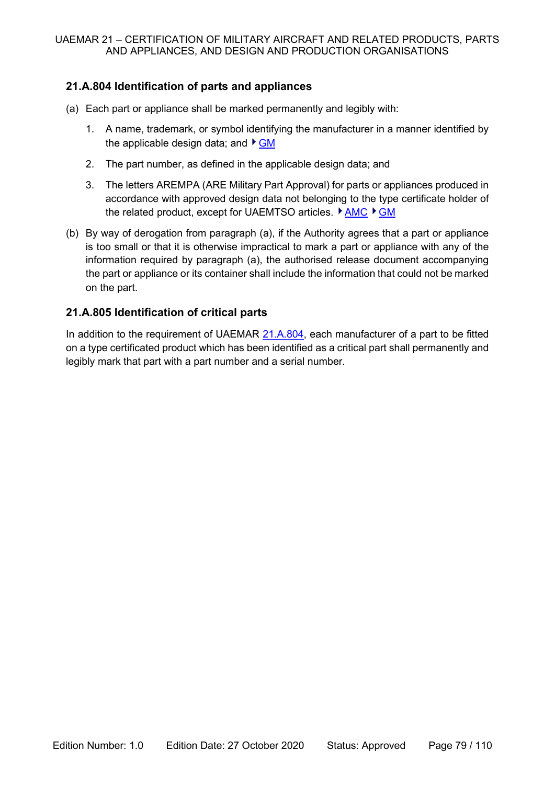#### **21.A.804 Identification of parts and appliances**

- (a) Each part or appliance shall be marked permanently and legibly with:
	- 1. A name, trademark, or symbol identifying the manufacturer in a manner identified by the applicable design data; and  $\blacktriangleright$  GM
	- 2. The part number, as defined in the applicable design data; and
	- 3. The letters AREMPA (ARE Military Part Approval) for parts or appliances produced in accordance with approved design data not belonging to the type certificate holder of the related product, except for UAEMTSO articles.  $\blacktriangleright$  AMC  $\blacktriangleright$  GM
- (b) By way of derogation from paragraph (a), if the Authority agrees that a part or appliance is too small or that it is otherwise impractical to mark a part or appliance with any of the information required by paragraph (a), the authorised release document accompanying the part or appliance or its container shall include the information that could not be marked on the part.

#### **21.A.805 Identification of critical parts**

In addition to the requirement of UAEMAR 21.A.804, each manufacturer of a part to be fitted on a type certificated product which has been identified as a critical part shall permanently and legibly mark that part with a part number and a serial number.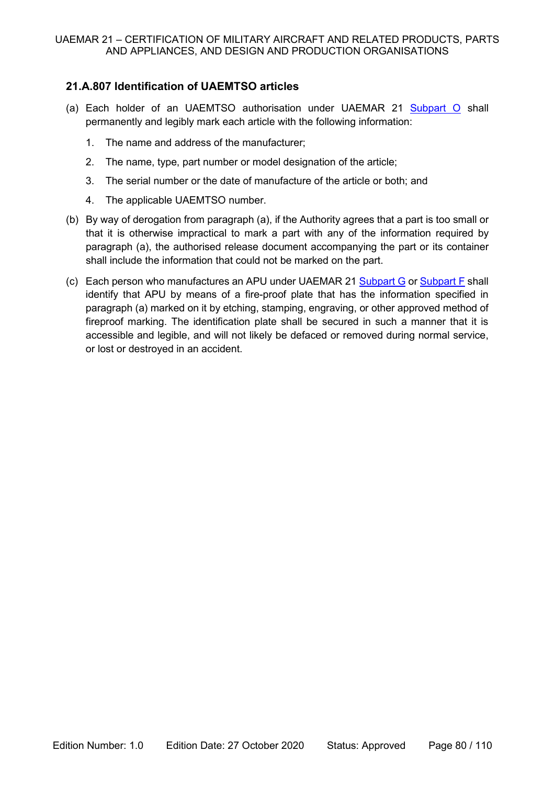#### **21.A.807 Identification of UAEMTSO articles**

- (a) Each holder of an UAEMTSO authorisation under UAEMAR 21 Subpart O shall permanently and legibly mark each article with the following information:
	- 1. The name and address of the manufacturer;
	- 2. The name, type, part number or model designation of the article;
	- 3. The serial number or the date of manufacture of the article or both; and
	- 4. The applicable UAEMTSO number.
- (b) By way of derogation from paragraph (a), if the Authority agrees that a part is too small or that it is otherwise impractical to mark a part with any of the information required by paragraph (a), the authorised release document accompanying the part or its container shall include the information that could not be marked on the part.
- (c) Each person who manufactures an APU under UAEMAR 21 Subpart G or Subpart F shall identify that APU by means of a fire-proof plate that has the information specified in paragraph (a) marked on it by etching, stamping, engraving, or other approved method of fireproof marking. The identification plate shall be secured in such a manner that it is accessible and legible, and will not likely be defaced or removed during normal service, or lost or destroyed in an accident.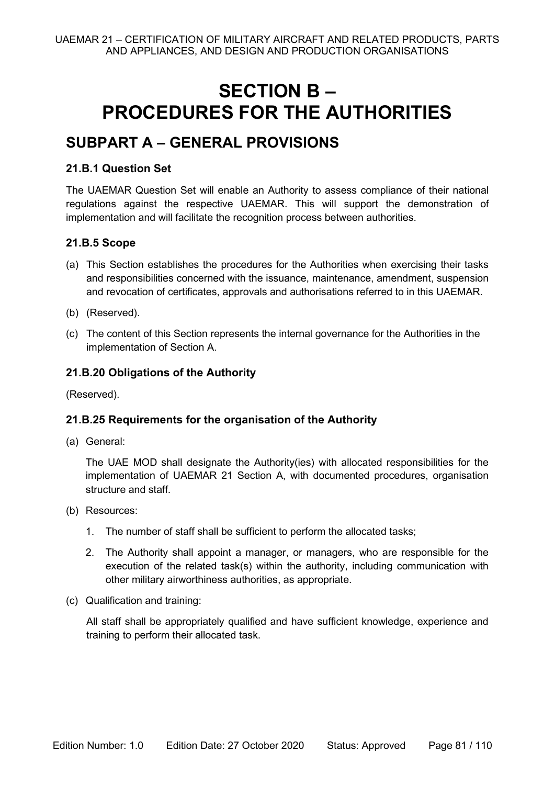# **SECTION B – PROCEDURES FOR THE AUTHORITIES**

### **SUBPART A – GENERAL PROVISIONS**

#### **21.B.1 Question Set**

The UAEMAR Question Set will enable an Authority to assess compliance of their national regulations against the respective UAEMAR. This will support the demonstration of implementation and will facilitate the recognition process between authorities.

### **21.B.5 Scope**

- (a) This Section establishes the procedures for the Authorities when exercising their tasks and responsibilities concerned with the issuance, maintenance, amendment, suspension and revocation of certificates, approvals and authorisations referred to in this UAEMAR.
- (b) (Reserved).
- (c) The content of this Section represents the internal governance for the Authorities in the implementation of Section A.

#### **21.B.20 Obligations of the Authority**

(Reserved).

#### **21.B.25 Requirements for the organisation of the Authority**

(a) General:

The UAE MOD shall designate the Authority(ies) with allocated responsibilities for the implementation of UAEMAR 21 Section A, with documented procedures, organisation structure and staff.

- (b) Resources:
	- 1. The number of staff shall be sufficient to perform the allocated tasks;
	- 2. The Authority shall appoint a manager, or managers, who are responsible for the execution of the related task(s) within the authority, including communication with other military airworthiness authorities, as appropriate.
- (c) Qualification and training:

All staff shall be appropriately qualified and have sufficient knowledge, experience and training to perform their allocated task.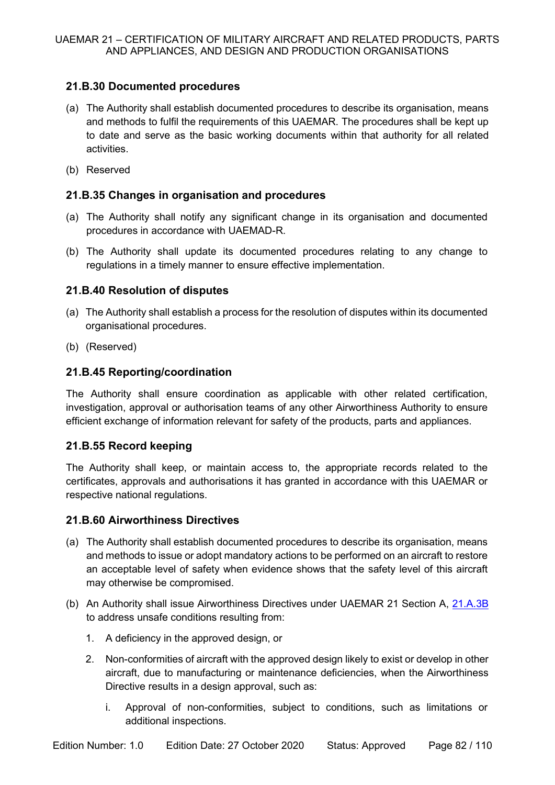#### **21.B.30 Documented procedures**

- (a) The Authority shall establish documented procedures to describe its organisation, means and methods to fulfil the requirements of this UAEMAR. The procedures shall be kept up to date and serve as the basic working documents within that authority for all related activities.
- (b) Reserved

#### **21.B.35 Changes in organisation and procedures**

- (a) The Authority shall notify any significant change in its organisation and documented procedures in accordance with UAEMAD-R.
- (b) The Authority shall update its documented procedures relating to any change to regulations in a timely manner to ensure effective implementation.

#### **21.B.40 Resolution of disputes**

- (a) The Authority shall establish a process for the resolution of disputes within its documented organisational procedures.
- (b) (Reserved)

#### **21.B.45 Reporting/coordination**

The Authority shall ensure coordination as applicable with other related certification, investigation, approval or authorisation teams of any other Airworthiness Authority to ensure efficient exchange of information relevant for safety of the products, parts and appliances.

#### **21.B.55 Record keeping**

The Authority shall keep, or maintain access to, the appropriate records related to the certificates, approvals and authorisations it has granted in accordance with this UAEMAR or respective national regulations.

#### **21.B.60 Airworthiness Directives**

- (a) The Authority shall establish documented procedures to describe its organisation, means and methods to issue or adopt mandatory actions to be performed on an aircraft to restore an acceptable level of safety when evidence shows that the safety level of this aircraft may otherwise be compromised.
- (b) An Authority shall issue Airworthiness Directives under UAEMAR 21 Section A, 21.A.3B to address unsafe conditions resulting from:
	- 1. A deficiency in the approved design, or
	- 2. Non-conformities of aircraft with the approved design likely to exist or develop in other aircraft, due to manufacturing or maintenance deficiencies, when the Airworthiness Directive results in a design approval, such as:
		- i. Approval of non-conformities, subject to conditions, such as limitations or additional inspections.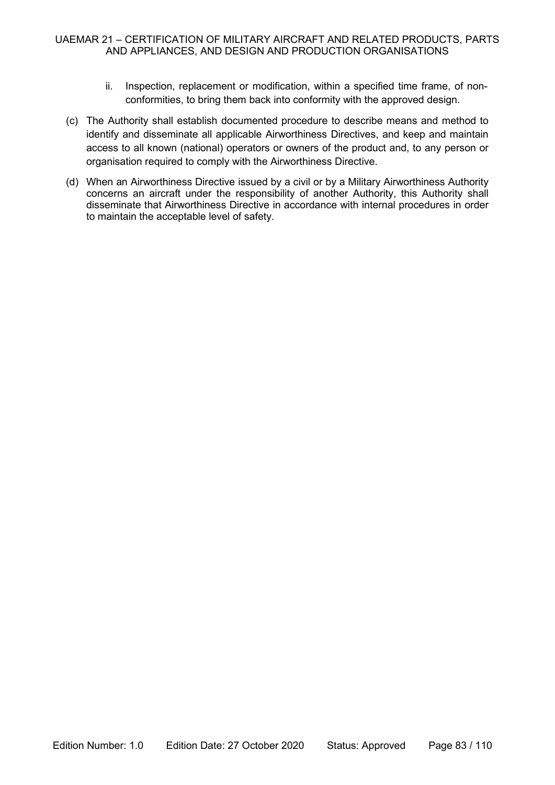- ii. Inspection, replacement or modification, within a specified time frame, of nonconformities, to bring them back into conformity with the approved design.
- (c) The Authority shall establish documented procedure to describe means and method to identify and disseminate all applicable Airworthiness Directives, and keep and maintain access to all known (national) operators or owners of the product and, to any person or organisation required to comply with the Airworthiness Directive.
- (d) When an Airworthiness Directive issued by a civil or by a Military Airworthiness Authority concerns an aircraft under the responsibility of another Authority, this Authority shall disseminate that Airworthiness Directive in accordance with internal procedures in order to maintain the acceptable level of safety.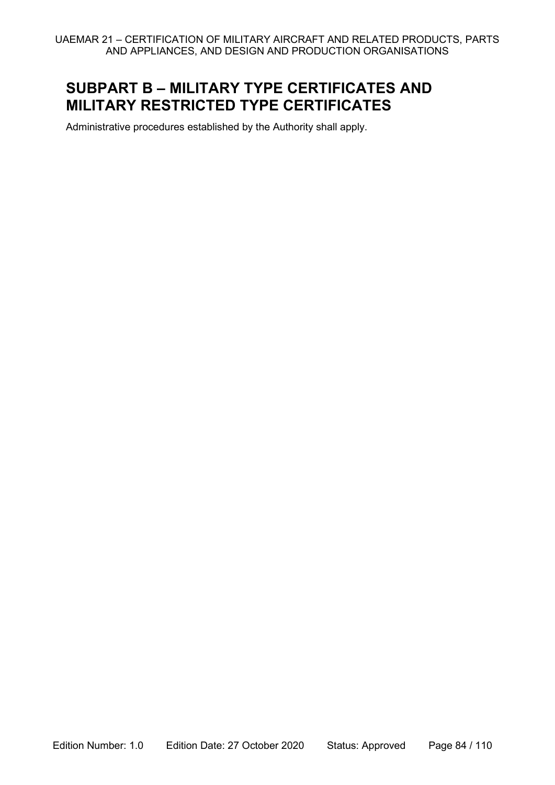### **SUBPART B – MILITARY TYPE CERTIFICATES AND MILITARY RESTRICTED TYPE CERTIFICATES**

Administrative procedures established by the Authority shall apply.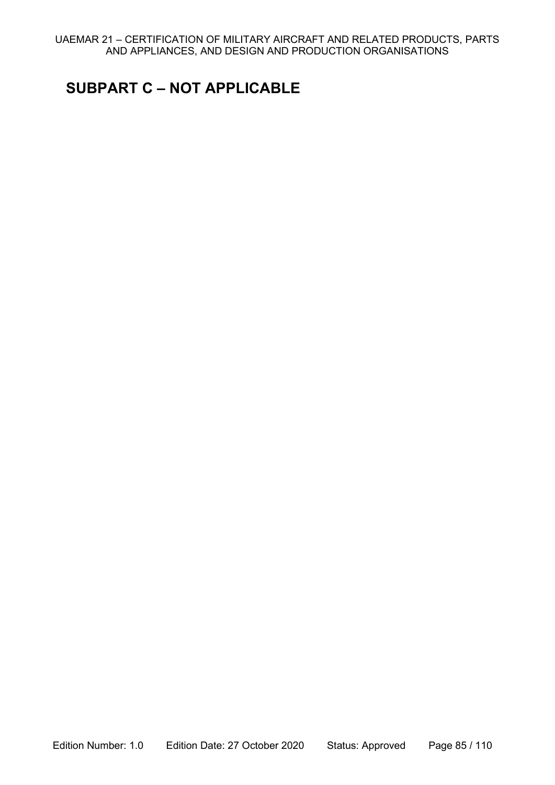### **SUBPART C – NOT APPLICABLE**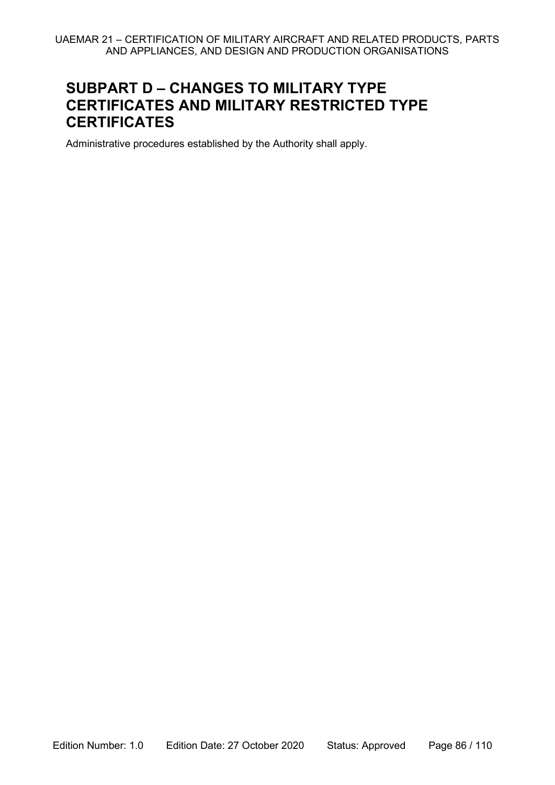### **SUBPART D – CHANGES TO MILITARY TYPE CERTIFICATES AND MILITARY RESTRICTED TYPE CERTIFICATES**

Administrative procedures established by the Authority shall apply.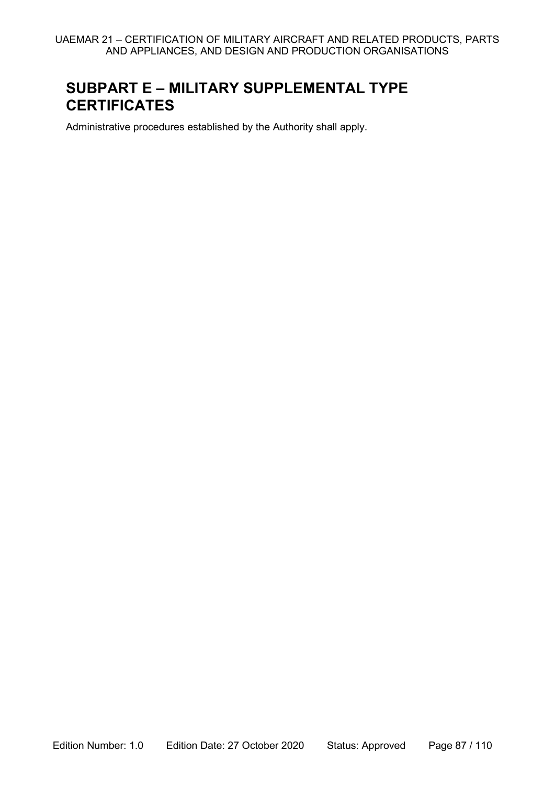# **SUBPART E – MILITARY SUPPLEMENTAL TYPE CERTIFICATES**

Administrative procedures established by the Authority shall apply.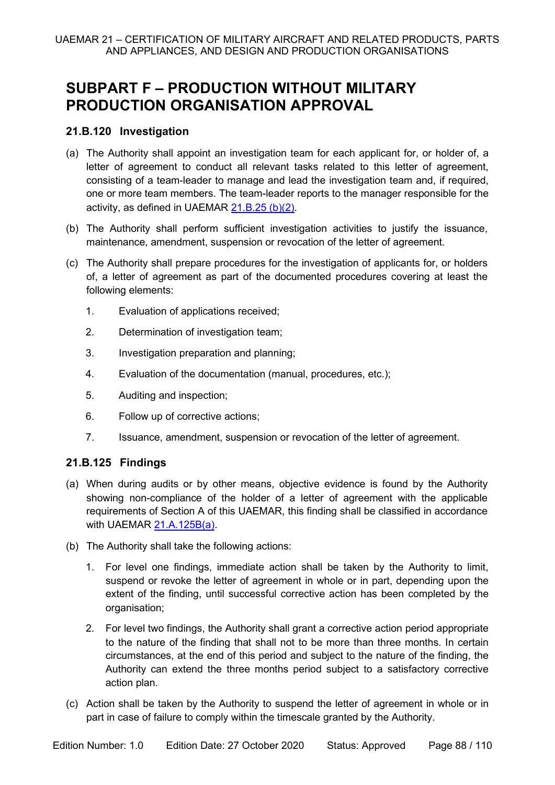### **SUBPART F – PRODUCTION WITHOUT MILITARY PRODUCTION ORGANISATION APPROVAL**

#### **21.B.120 Investigation**

- (a) The Authority shall appoint an investigation team for each applicant for, or holder of, a letter of agreement to conduct all relevant tasks related to this letter of agreement, consisting of a team-leader to manage and lead the investigation team and, if required, one or more team members. The team-leader reports to the manager responsible for the activity, as defined in UAEMAR 21.B.25 (b)(2).
- (b) The Authority shall perform sufficient investigation activities to justify the issuance, maintenance, amendment, suspension or revocation of the letter of agreement.
- (c) The Authority shall prepare procedures for the investigation of applicants for, or holders of, a letter of agreement as part of the documented procedures covering at least the following elements:
	- 1. Evaluation of applications received;
	- 2. Determination of investigation team;
	- 3. Investigation preparation and planning;
	- 4. Evaluation of the documentation (manual, procedures, etc.);
	- 5. Auditing and inspection;
	- 6. Follow up of corrective actions;
	- 7. Issuance, amendment, suspension or revocation of the letter of agreement.

#### **21.B.125 Findings**

- (a) When during audits or by other means, objective evidence is found by the Authority showing non-compliance of the holder of a letter of agreement with the applicable requirements of Section A of this UAEMAR, this finding shall be classified in accordance with UAEMAR 21.A.125B(a).
- (b) The Authority shall take the following actions:
	- 1. For level one findings, immediate action shall be taken by the Authority to limit, suspend or revoke the letter of agreement in whole or in part, depending upon the extent of the finding, until successful corrective action has been completed by the organisation;
	- 2. For level two findings, the Authority shall grant a corrective action period appropriate to the nature of the finding that shall not to be more than three months. In certain circumstances, at the end of this period and subject to the nature of the finding, the Authority can extend the three months period subject to a satisfactory corrective action plan.
- (c) Action shall be taken by the Authority to suspend the letter of agreement in whole or in part in case of failure to comply within the timescale granted by the Authority.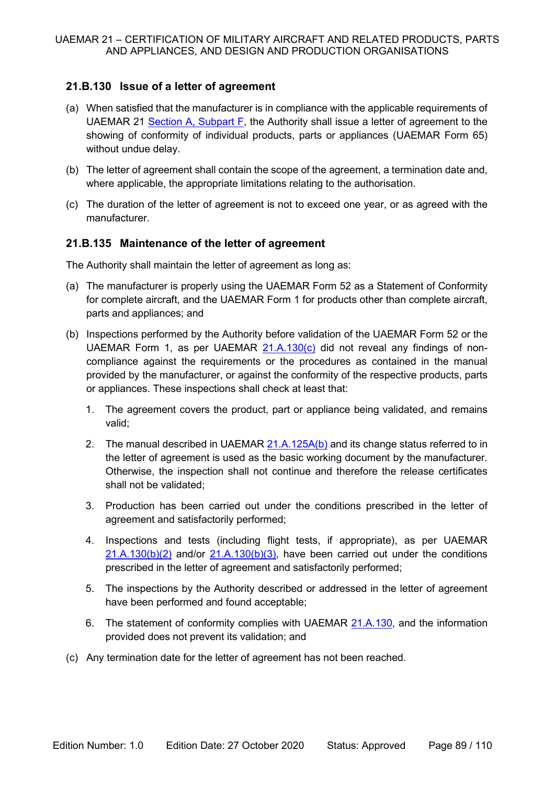#### **21.B.130 Issue of a letter of agreement**

- (a) When satisfied that the manufacturer is in compliance with the applicable requirements of UAEMAR 21 Section A, Subpart F, the Authority shall issue a letter of agreement to the showing of conformity of individual products, parts or appliances (UAEMAR Form 65) without undue delay.
- (b) The letter of agreement shall contain the scope of the agreement, a termination date and, where applicable, the appropriate limitations relating to the authorisation.
- (c) The duration of the letter of agreement is not to exceed one year, or as agreed with the manufacturer.

#### **21.B.135 Maintenance of the letter of agreement**

The Authority shall maintain the letter of agreement as long as:

- (a) The manufacturer is properly using the UAEMAR Form 52 as a Statement of Conformity for complete aircraft, and the UAEMAR Form 1 for products other than complete aircraft, parts and appliances; and
- (b) Inspections performed by the Authority before validation of the UAEMAR Form 52 or the UAEMAR Form 1, as per UAEMAR 21.A.130(c) did not reveal any findings of noncompliance against the requirements or the procedures as contained in the manual provided by the manufacturer, or against the conformity of the respective products, parts or appliances. These inspections shall check at least that:
	- 1. The agreement covers the product, part or appliance being validated, and remains valid;
	- 2. The manual described in UAEMAR 21.A.125A(b) and its change status referred to in the letter of agreement is used as the basic working document by the manufacturer. Otherwise, the inspection shall not continue and therefore the release certificates shall not be validated;
	- 3. Production has been carried out under the conditions prescribed in the letter of agreement and satisfactorily performed;
	- 4. Inspections and tests (including flight tests, if appropriate), as per U[AEMAR](#page-36-0)  $21.A.130(b)(2)$  and/or  $21.A.130(b)(3)$ , have been carried out under the conditions prescribed in the letter of agreement and satisfactorily performed;
	- 5. The inspections by the Authority described or addressed in the letter of agreement have been performed and found acceptable;
	- 6. The statement of conformity complies with UAEMAR 21.A.130, and the information provided does not prevent its validation; and
- (c) Any termination date for the letter of agreement has not been reached.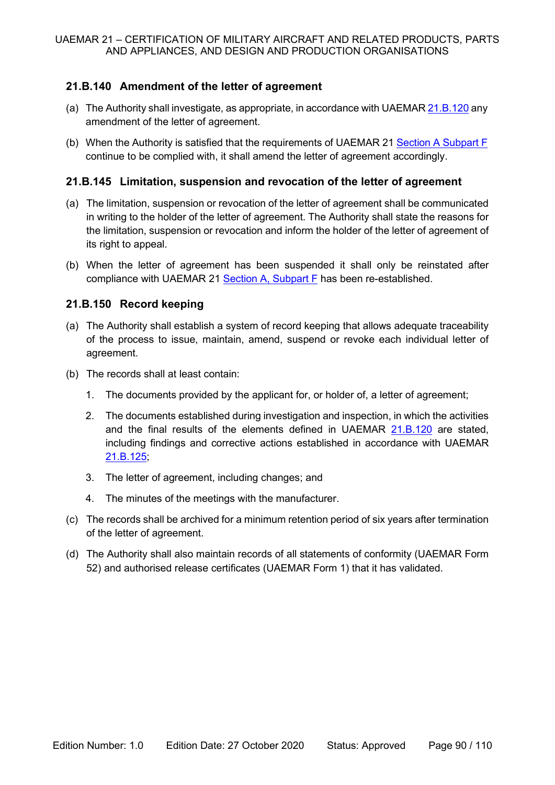#### **21.B.140 Amendment of the letter of agreement**

- (a) The Authority shall investigate, as appropriate, in accordance with UAEMAR 21.B.120 any amendment of the letter of agreement.
- (b) When the Authority is satisfied that the requirements of UAEMAR 21 Section A Subpart [F](#page-32-0) continue to be complied with, it shall amend the letter of agreement accordingly.

#### **21.B.145 Limitation, suspension and revocation of the letter of agreement**

- (a) The limitation, suspension or revocation of the letter of agreement shall be communicated in writing to the holder of the letter of agreement. The Authority shall state the reasons for the limitation, suspension or revocation and inform the holder of the letter of agreement of its right to appeal.
- (b) When the letter of agreement has been suspended it shall only be reinstated after compliance with UAEMAR 21 Section A, Subpart F has been re-established.

#### **21.B.150 Record keeping**

- (a) The Authority shall establish a system of record keeping that allows adequate traceability of the process to issue, maintain, amend, suspend or revoke each individual letter of agreement.
- (b) The records shall at least contain:
	- 1. The documents provided by the applicant for, or holder of, a letter of agreement;
	- 2. The documents established during investigation and inspection, in which the activities and the final results of the elements defined in UAEMAR 21.B.120 are stated, including findings and corrective actions established in accordance with UAEMAR 21.B.125;
	- 3. The letter of agreement, including changes; and
	- 4. The minutes of the meetings with the manufacturer.
- (c) The records shall be archived for a minimum retention period of six years after termination of the letter of agreement.
- (d) The Authority shall also maintain records of all statements of conformity (UAEMAR Form 52) and authorised release certificates (UAEMAR Form 1) that it has validated.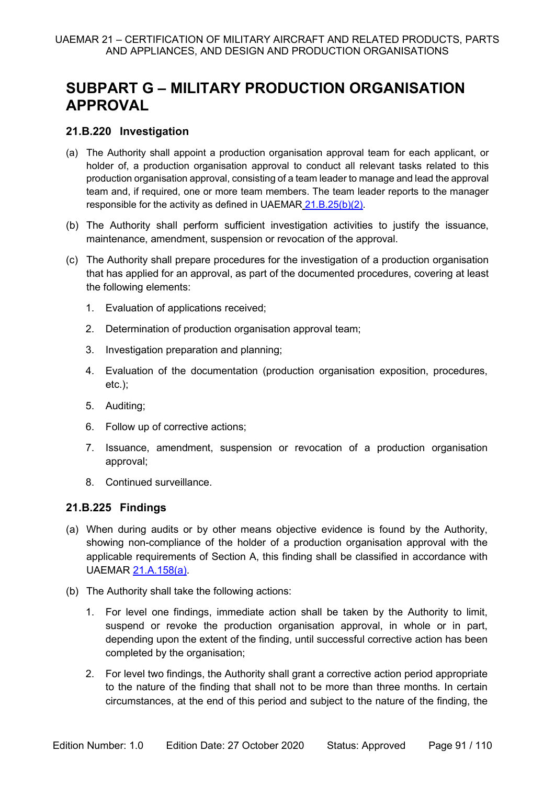# **SUBPART G – MILITARY PRODUCTION ORGANISATION APPROVAL**

#### **21.B.220 Investigation**

- (a) The Authority shall appoint a production organisation approval team for each applicant, or holder of, a production organisation approval to conduct all relevant tasks related to this production organisation approval, consisting of a team leader to manage and lead the approval team and, if required, one or more team members. The team leader reports to the manager responsible for the activity as defined in UAEMAR  $21.B.25(b)(2)$ .
- (b) The Authority shall perform sufficient investigation activities to justify the issuance, maintenance, amendment, suspension or revocation of the approval.
- (c) The Authority shall prepare procedures for the investigation of a production organisation that has applied for an approval, as part of the documented procedures, covering at least the following elements:
	- 1. Evaluation of applications received;
	- 2. Determination of production organisation approval team;
	- 3. Investigation preparation and planning;
	- 4. Evaluation of the documentation (production organisation exposition, procedures, etc.);
	- 5. Auditing;
	- 6. Follow up of corrective actions;
	- 7. Issuance, amendment, suspension or revocation of a production organisation approval;
	- 8. Continued surveillance.

#### **21.B.225 Findings**

- (a) When during audits or by other means objective evidence is found by the Authority, showing non-compliance of the holder of a production organisation approval with the applicable requirements of Section A, this finding shall be classified in accordance with UAEMAR 21.A.158(a).
- (b) The Authority shall take the following actions:
	- 1. For level one findings, immediate action shall be taken by the Authority to limit, suspend or revoke the production organisation approval, in whole or in part, depending upon the extent of the finding, until successful corrective action has been completed by the organisation;
	- 2. For level two findings, the Authority shall grant a corrective action period appropriate to the nature of the finding that shall not to be more than three months. In certain circumstances, at the end of this period and subject to the nature of the finding, the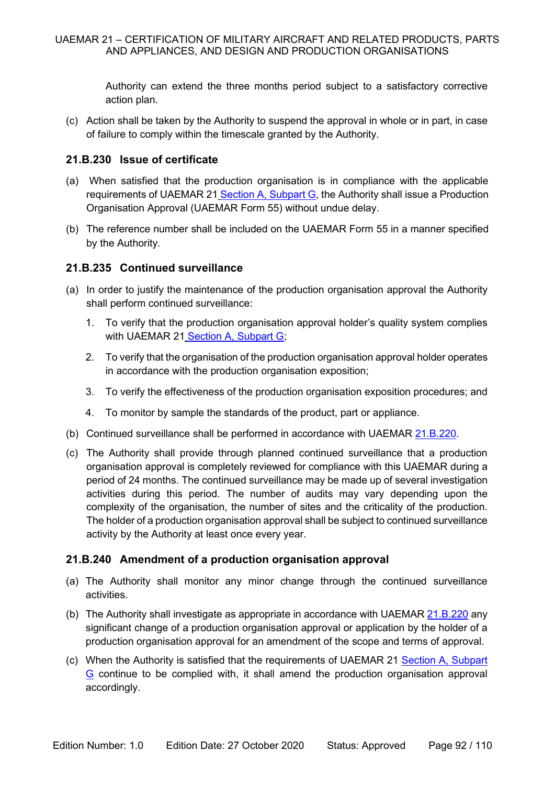Authority can extend the three months period subject to a satisfactory corrective action plan.

(c) Action shall be taken by the Authority to suspend the approval in whole or in part, in case of failure to comply within the timescale granted by the Authority.

#### **21.B.230 Issue of certificate**

- (a) When satisfied that the production organisation is in compliance with the applicable requirements of UAEMAR 21 Section A, Subpart G, the Authority shall issue a Production Organisation Approval (UAEMAR Form 55) without undue delay.
- (b) The reference number shall be included on the UAEMAR Form 55 in a manner specified by the Authority.

#### **21.B.235 Continued surveillance**

- (a) In order to justify the maintenance of the production organisation approval the Authority shall perform continued surveillance:
	- 1. To verify that the production organisation approval holder's quality system complies with UAEMAR 21 Section A, Subpart G;
	- 2. To verify that the organisation of the production organisation approval holder operates in accordance with the production organisation exposition;
	- 3. To verify the effectiveness of the production organisation exposition procedures; and
	- 4. To monitor by sample the standards of the product, part or appliance.
- (b) Continued surveillance shall be performed in accordance with UAEMAR 21.B.220.
- (c) The Authority shall provide through planned continued surveillance that a production organisation approval is completely reviewed for compliance with this UAEMAR during a period of 24 months. The continued surveillance may be made up of several investigation activities during this period. The number of audits may vary depending upon the complexity of the organisation, the number of sites and the criticality of the production. The holder of a production organisation approval shall be subject to continued surveillance activity by the Authority at least once every year.

#### **21.B.240 Amendment of a production organisation approval**

- (a) The Authority shall monitor any minor change through the continued surveillance activities.
- (b) The Authority shall investigate as appropriate in accordance with UAEMAR 21.B.220 any significant change of a production organisation approval or application by the holder of a production organisation approval for an amendment of the scope and terms of approval.
- (c) When the Authority is satisfied that the requirements of UAEMAR 21 Section A, Subpart [G](#page-38-0) continue to be complied with, it shall amend the production organisation approval accordingly.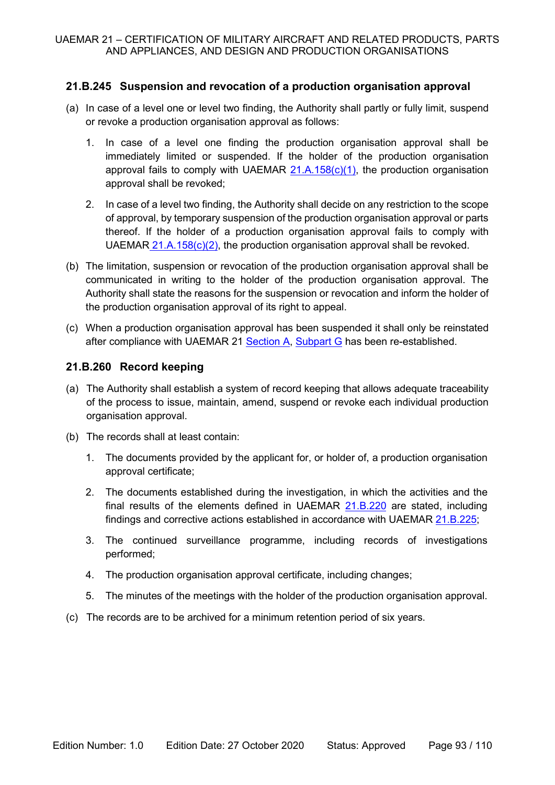#### **21.B.245 Suspension and revocation of a production organisation approval**

- (a) In case of a level one or level two finding, the Authority shall partly or fully limit, suspend or revoke a production organisation approval as follows:
	- 1. In case of a level one finding the production organisation approval shall be immediately limited or suspended. If the holder of the production organisation approval fails to comply with UAEMAR  $21.A.158(c)(1)$ , the production organisation approval shall be revoked;
	- 2. In case of a level two finding, the Authority shall decide on any restriction to the scope of approval, by temporary suspension of the production organisation approval or parts thereof. If the holder of a production organisation approval fails to comply with UAEMAR  $21.A.158(c)(2)$ , the production organisation approval shall be revoked.
- (b) The limitation, suspension or revocation of the production organisation approval shall be communicated in writing to the holder of the production organisation approval. The Authority shall state the reasons for the suspension or revocation and inform the holder of the production organisation approval of its right to appeal.
- (c) When a production organisation approval has been suspended it shall only be reinstated after compliance with UAEMAR 21 Section A, Subpart G has been re-established.

#### **21.B.260 Record keeping**

- (a) The Authority shall establish a system of record keeping that allows adequate traceability of the process to issue, maintain, amend, suspend or revoke each individual production organisation approval.
- (b) The records shall at least contain:
	- 1. The documents provided by the applicant for, or holder of, a production organisation approval certificate;
	- 2. The documents established during the investigation, in which the activities and the final results of the elements defined in UAEMAR 21.B.220 are stated, including findings and corrective actions established in accordance with UAEMAR 21.B.225;
	- 3. The continued surveillance programme, including records of investigations performed;
	- 4. The production organisation approval certificate, including changes;
	- 5. The minutes of the meetings with the holder of the production organisation approval.
- (c) The records are to be archived for a minimum retention period of six years.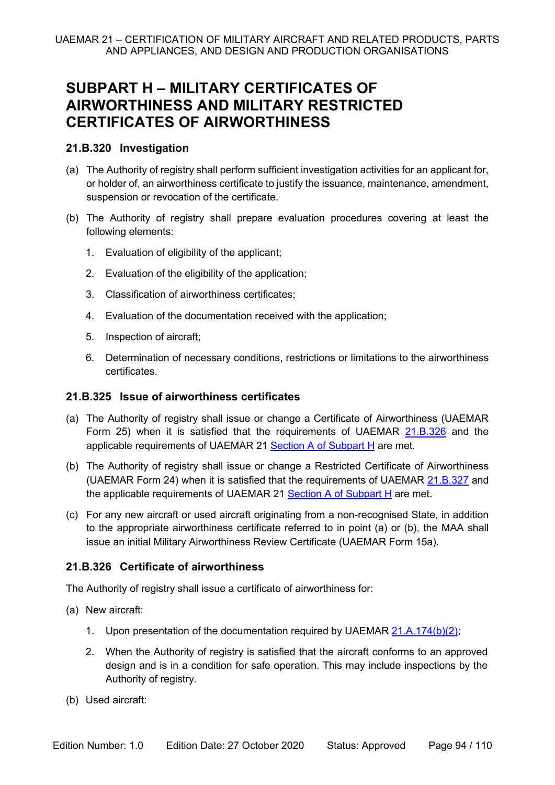### **SUBPART H – MILITARY CERTIFICATES OF AIRWORTHINESS AND MILITARY RESTRICTED CERTIFICATES OF AIRWORTHINESS**

#### **21.B.320 Investigation**

- (a) The Authority of registry shall perform sufficient investigation activities for an applicant for, or holder of, an airworthiness certificate to justify the issuance, maintenance, amendment, suspension or revocation of the certificate.
- (b) The Authority of registry shall prepare evaluation procedures covering at least the following elements:
	- 1. Evaluation of eligibility of the applicant;
	- 2. Evaluation of the eligibility of the application;
	- 3. Classification of airworthiness certificates;
	- 4. Evaluation of the documentation received with the application;
	- 5. Inspection of aircraft;
	- 6. Determination of necessary conditions, restrictions or limitations to the airworthiness certificates.

#### **21.B.325 Issue of airworthiness certificates**

- (a) The Authority of registry shall issue or change a Certificate of Airworthiness (UAEMAR Form 25) when it is satisfied that the requirements of UAEMAR 21.B.326 and the applicable requirements of UAEMAR 21 Section A of Subpart H are met.
- (b) The Authority of registry shall issue or change a Restricted Certificate of Airworthiness (UAEMAR Form 24) when it is satisfied that the requirements of UAEMAR 21.B.327 and the applicable requirements of U[AEMAR 21 Section A of Subpart H](#page-46-0) are met.
- (c) For any new aircraft or used aircraft originating from a non-recognised State, in addition to the appropriate airworthiness certificate referred to in point (a) or (b), the MAA shall issue an initial Military Airworthiness Review Certificate (UAEMAR Form 15a).

### **21.B.326 Certificate of airworthiness**

The Authority of registry shall issue a certificate of airworthiness for:

- (a) New aircraft:
	- 1. Upon presentation of the documentation required by U[AEMAR 21.A.174\(b\)\(2\);](#page-47-0)
	- 2. When the Authority of registry is satisfied that the aircraft conforms to an approved design and is in a condition for safe operation. This may include inspections by the Authority of registry.
- (b) Used aircraft: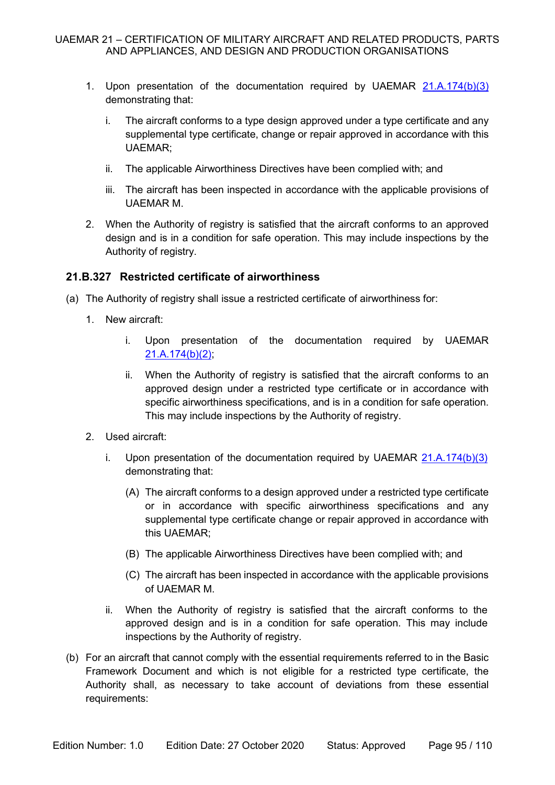- 1. Upon presentation of the documentation required by UAEMAR 21.A.174(b)(3) demonstrating that:
	- i. The aircraft conforms to a type design approved under a type certificate and any supplemental type certificate, change or repair approved in accordance with this UAEMAR;
	- ii. The applicable Airworthiness Directives have been complied with; and
	- iii. The aircraft has been inspected in accordance with the applicable provisions of UAEMAR M.
- 2. When the Authority of registry is satisfied that the aircraft conforms to an approved design and is in a condition for safe operation. This may include inspections by the Authority of registry.

#### **21.B.327 Restricted certificate of airworthiness**

- (a) The Authority of registry shall issue a restricted certificate of airworthiness for:
	- 1. New aircraft:
		- i. Upon presentation of the documentation required by UAEMAR 21.A.174(b)(2);
		- ii. When the Authority of registry is satisfied that the aircraft conforms to an approved design under a restricted type certificate or in accordance with specific airworthiness specifications, and is in a condition for safe operation. This may include inspections by the Authority of registry.
	- 2. Used aircraft:
		- i. Upon presentation of the documentation required by UAEMAR 21.A.174(b)(3) demonstrating that:
			- (A) The aircraft conforms to a design approved under a restricted type certificate or in accordance with specific airworthiness specifications and any supplemental type certificate change or repair approved in accordance with this UAEMAR;
			- (B) The applicable Airworthiness Directives have been complied with; and
			- (C) The aircraft has been inspected in accordance with the applicable provisions of UAEMAR M.
		- ii. When the Authority of registry is satisfied that the aircraft conforms to the approved design and is in a condition for safe operation. This may include inspections by the Authority of registry.
- (b) For an aircraft that cannot comply with the essential requirements referred to in the Basic Framework Document and which is not eligible for a restricted type certificate, the Authority shall, as necessary to take account of deviations from these essential requirements: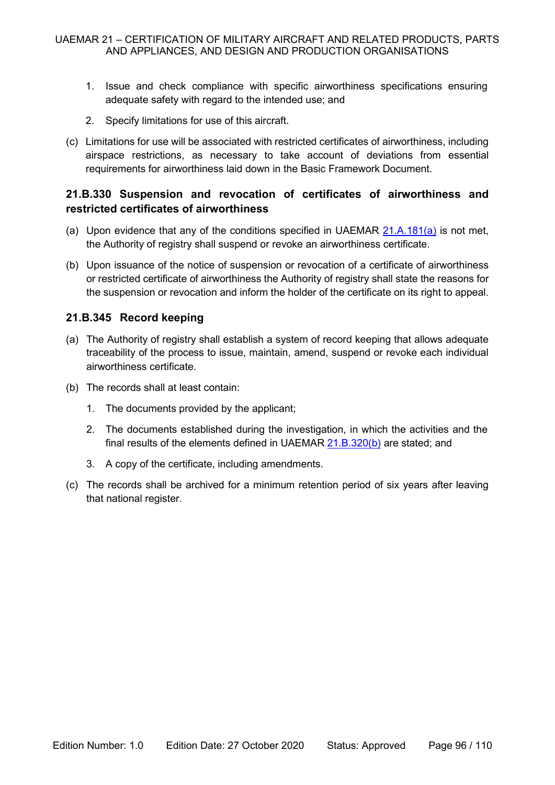- 1. Issue and check compliance with specific airworthiness specifications ensuring adequate safety with regard to the intended use; and
- 2. Specify limitations for use of this aircraft.
- (c) Limitations for use will be associated with restricted certificates of airworthiness, including airspace restrictions, as necessary to take account of deviations from essential requirements for airworthiness laid down in the Basic Framework Document.

#### **21.B.330 Suspension and revocation of certificates of airworthiness and restricted certificates of airworthiness**

- (a) Upon evidence that any of the conditions specified in UAEMAR  $21.A.181(a)$  is not met, the Authority of registry shall suspend or revoke an airworthiness certificate.
- (b) Upon issuance of the notice of suspension or revocation of a certificate of airworthiness or restricted certificate of airworthiness the Authority of registry shall state the reasons for the suspension or revocation and inform the holder of the certificate on its right to appeal.

#### **21.B.345 Record keeping**

- (a) The Authority of registry shall establish a system of record keeping that allows adequate traceability of the process to issue, maintain, amend, suspend or revoke each individual airworthiness certificate.
- (b) The records shall at least contain:
	- 1. The documents provided by the applicant;
	- 2. The documents established during the investigation, in which the activities and the final results of the elements defined in UAEMAR 21.B.320(b) are stated; and
	- 3. A copy of the certificate, including amendments.
- (c) The records shall be archived for a minimum retention period of six years after leaving that national register.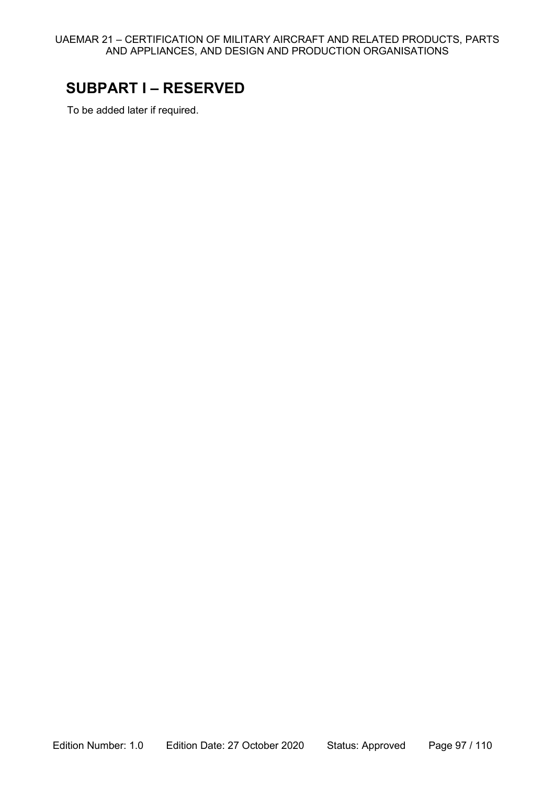# **SUBPART I – RESERVED**

To be added later if required.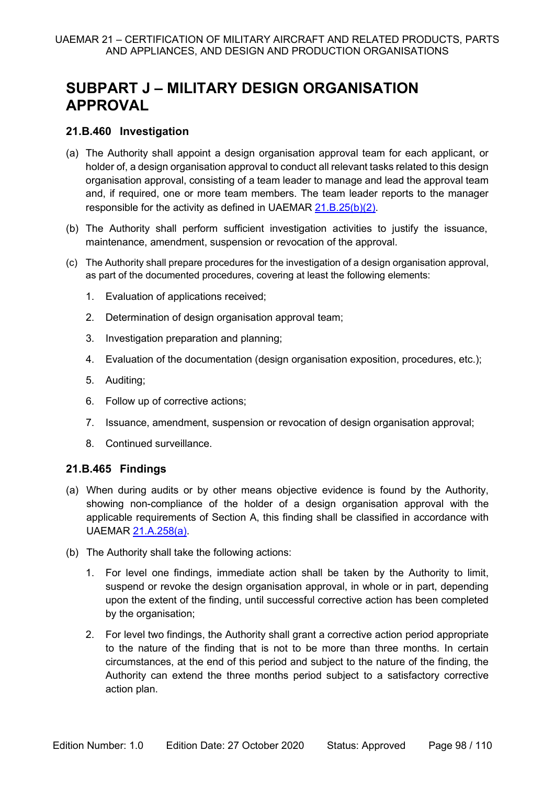# **SUBPART J – MILITARY DESIGN ORGANISATION APPROVAL**

#### **21.B.460 Investigation**

- (a) The Authority shall appoint a design organisation approval team for each applicant, or holder of, a design organisation approval to conduct all relevant tasks related to this design organisation approval, consisting of a team leader to manage and lead the approval team and, if required, one or more team members. The team leader reports to the manager responsible for the activity as defined in UAEMAR 21.B.25(b)(2).
- (b) The Authority shall perform sufficient investigation activities to justify the issuance, maintenance, amendment, suspension or revocation of the approval.
- (c) The Authority shall prepare procedures for the investigation of a design organisation approval, as part of the documented procedures, covering at least the following elements:
	- 1. Evaluation of applications received;
	- 2. Determination of design organisation approval team;
	- 3. Investigation preparation and planning;
	- 4. Evaluation of the documentation (design organisation exposition, procedures, etc.);
	- 5. Auditing;
	- 6. Follow up of corrective actions;
	- 7. Issuance, amendment, suspension or revocation of design organisation approval;
	- 8. Continued surveillance.

#### **21.B.465 Findings**

- (a) When during audits or by other means objective evidence is found by the Authority, showing non-compliance of the holder of a design organisation approval with the applicable requirements of Section A, this finding shall be classified in accordance with UAEMAR 21.A.258(a).
- (b) The Authority shall take the following actions:
	- 1. For level one findings, immediate action shall be taken by the Authority to limit, suspend or revoke the design organisation approval, in whole or in part, depending upon the extent of the finding, until successful corrective action has been completed by the organisation;
	- 2. For level two findings, the Authority shall grant a corrective action period appropriate to the nature of the finding that is not to be more than three months. In certain circumstances, at the end of this period and subject to the nature of the finding, the Authority can extend the three months period subject to a satisfactory corrective action plan.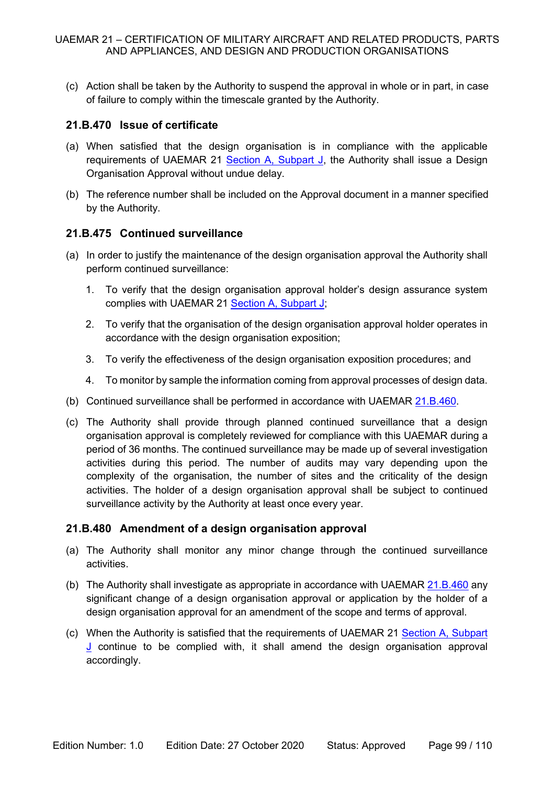(c) Action shall be taken by the Authority to suspend the approval in whole or in part, in case of failure to comply within the timescale granted by the Authority.

#### **21.B.470 Issue of certificate**

- (a) When satisfied that the design organisation is in compliance with the applicable requirements of UAEMAR 21 Section A, Subpart J, the Authority shall issue a Design Organisation Approval without undue delay.
- (b) The reference number shall be included on the Approval document in a manner specified by the Authority.

#### **21.B.475 Continued surveillance**

- (a) In order to justify the maintenance of the design organisation approval the Authority shall perform continued surveillance:
	- 1. To verify that the design organisation approval holder's design assurance system complies with UAEMAR 21 Section A, Subpart J;
	- 2. To verify that the organisation of the design organisation approval holder operates in accordance with the design organisation exposition;
	- 3. To verify the effectiveness of the design organisation exposition procedures; and
	- 4. To monitor by sample the information coming from approval processes of design data.
- (b) Continued surveillance shall be performed in accordance with UAEMAR 21.B.460.
- (c) The Authority shall provide through planned continued surveillance that a design organisation approval is completely reviewed for compliance with this UAEMAR during a period of 36 months. The continued surveillance may be made up of several investigation activities during this period. The number of audits may vary depending upon the complexity of the organisation, the number of sites and the criticality of the design activities. The holder of a design organisation approval shall be subject to continued surveillance activity by the Authority at least once every year.

#### **21.B.480 Amendment of a design organisation approval**

- (a) The Authority shall monitor any minor change through the continued surveillance activities.
- (b) The Authority shall investigate as appropriate in accordance with UAEMAR 21.B.460 any significant change of a design organisation approval or application by the holder of a design organisation approval for an amendment of the scope and terms of approval.
- (c) When the Authority is satisfied that the requirements of UAEMAR 21 Section A, Subpart [J](#page-50-0) continue to be complied with, it shall amend the design organisation approval accordingly.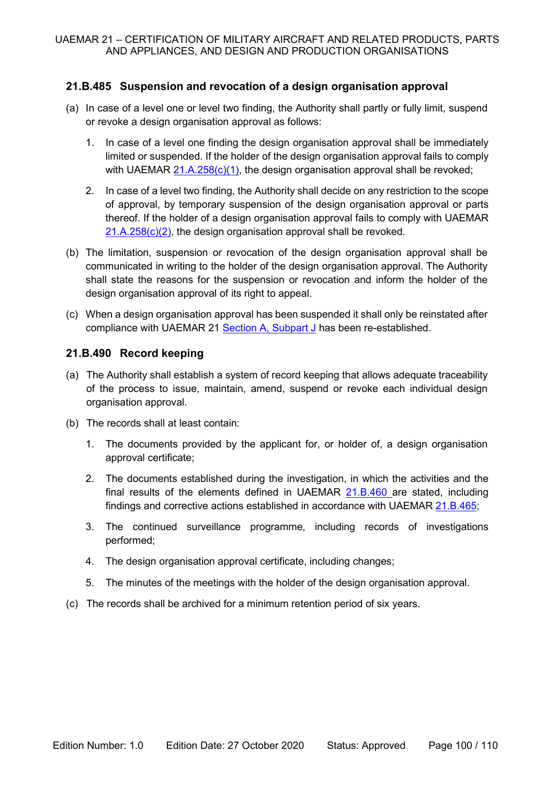#### **21.B.485 Suspension and revocation of a design organisation approval**

- (a) In case of a level one or level two finding, the Authority shall partly or fully limit, suspend or revoke a design organisation approval as follows:
	- 1. In case of a level one finding the design organisation approval shall be immediately limited or suspended. If the holder of the design organisation approval fails to comply with UAEMAR  $21.A.258(c)(1)$ , the design organisation approval shall be revoked;
	- 2. In case of a level two finding, the Authority shall decide on any restriction to the scope of approval, by temporary suspension of the design organisation approval or parts thereof. If the holder of a design organisation approval fails to comply with UAEMAR  $21.A.258(c)(2)$ , the design organisation approval shall be revoked.
- (b) The limitation, suspension or revocation of the design organisation approval shall be communicated in writing to the holder of the design organisation approval. The Authority shall state the reasons for the suspension or revocation and inform the holder of the design organisation approval of its right to appeal.
- (c) When a design organisation approval has been suspended it shall only be reinstated after compliance with UAEMAR 21 Section A, Subpart J has been re-established.

#### **21.B.490 Record keeping**

- (a) The Authority shall establish a system of record keeping that allows adequate traceability of the process to issue, maintain, amend, suspend or revoke each individual design organisation approval.
- (b) The records shall at least contain:
	- 1. The documents provided by the applicant for, or holder of, a design organisation approval certificate;
	- 2. The documents established during the investigation, in which the activities and the final results of the elements defined in UAEMAR 21.B.460 are stated, including findings and corrective actions established in accordance with UAEMAR 21.B.465;
	- 3. The continued surveillance programme, including records of investigations performed;
	- 4. The design organisation approval certificate, including changes;
	- 5. The minutes of the meetings with the holder of the design organisation approval.
- (c) The records shall be archived for a minimum retention period of six years.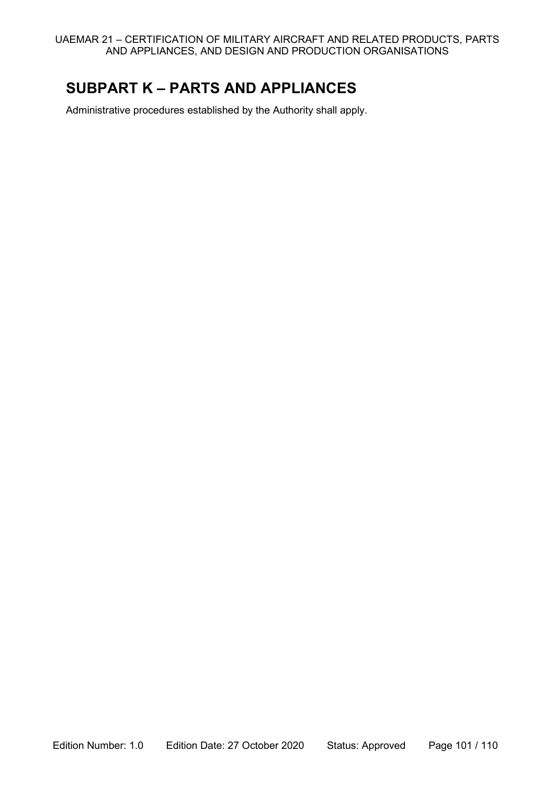# **SUBPART K – PARTS AND APPLIANCES**

Administrative procedures established by the Authority shall apply.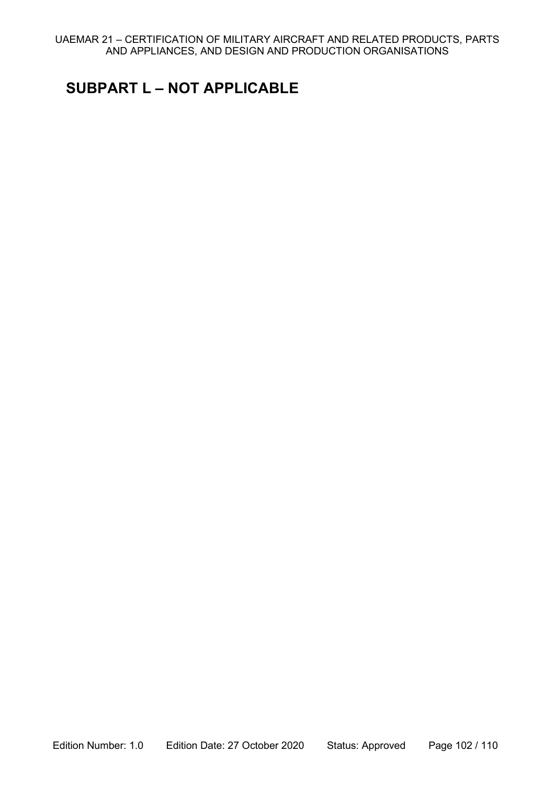### **SUBPART L – NOT APPLICABLE**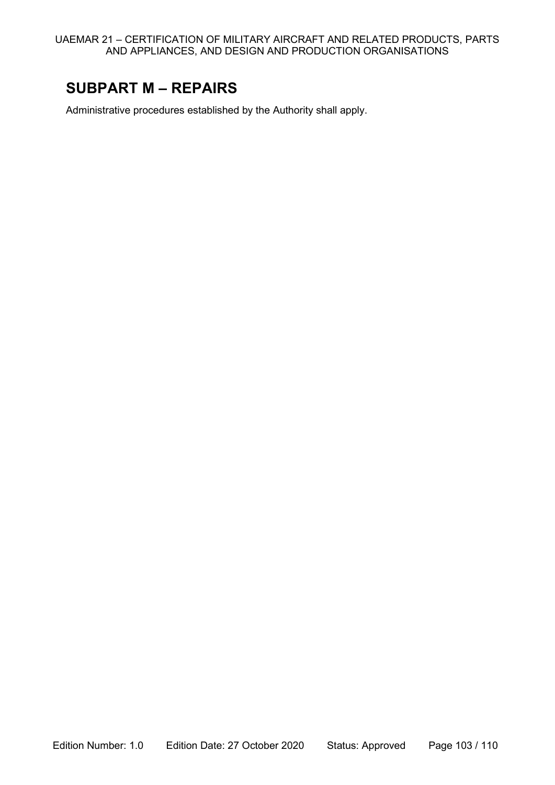### **SUBPART M – REPAIRS**

Administrative procedures established by the Authority shall apply.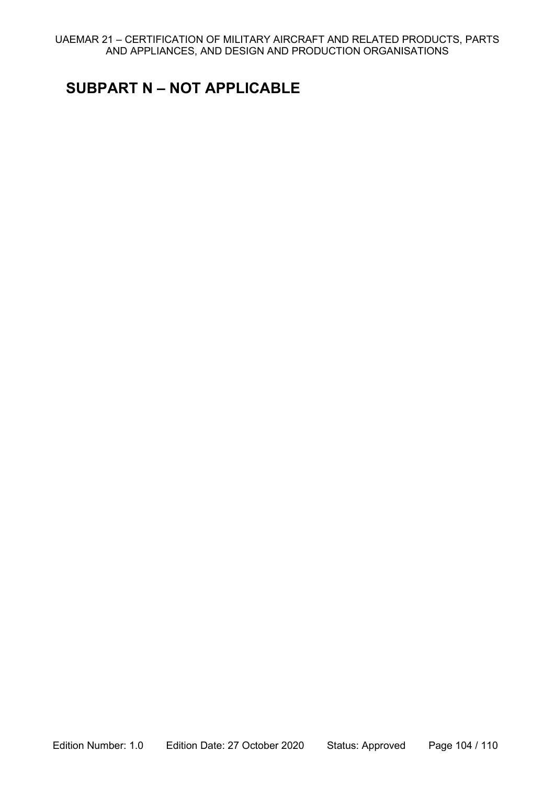### **SUBPART N – NOT APPLICABLE**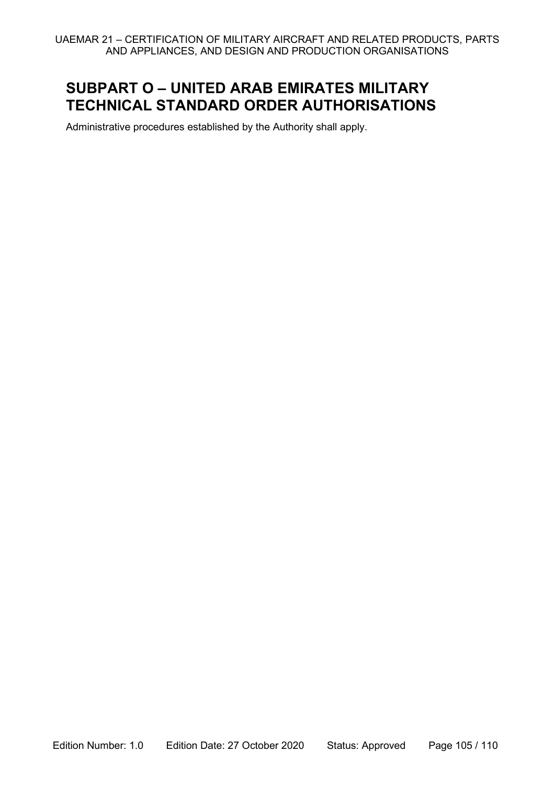### **SUBPART O – UNITED ARAB EMIRATES MILITARY TECHNICAL STANDARD ORDER AUTHORISATIONS**

Administrative procedures established by the Authority shall apply.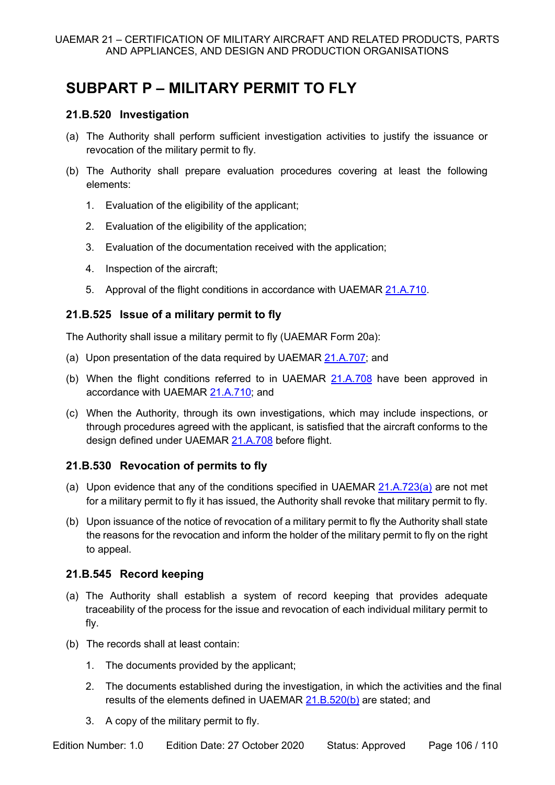# **SUBPART P – MILITARY PERMIT TO FLY**

#### **21.B.520 Investigation**

- (a) The Authority shall perform sufficient investigation activities to justify the issuance or revocation of the military permit to fly.
- (b) The Authority shall prepare evaluation procedures covering at least the following elements:
	- 1. Evaluation of the eligibility of the applicant;
	- 2. Evaluation of the eligibility of the application;
	- 3. Evaluation of the documentation received with the application;
	- 4. Inspection of the aircraft;
	- 5. Approval of the flight conditions in accordance with UAEMAR 21.A.710.

### **21.B.525 Issue of a military permit to fly**

The Authority shall issue a military permit to fly (UAEMAR Form 20a):

- (a) Upon presentation of the data required by UAEMAR 21.A.707; and
- (b) When the flight conditions referred to in UAEMAR 21.A.708 have been approved in accordance with UAEMAR 21.A.710; and
- (c) When the Authority, through its own investigations, which may include inspections, or through procedures agreed with the applicant, is satisfied that the aircraft conforms to the design defined under UAEMAR 21.A.708 before flight.

### **21.B.530 Revocation of permits to fly**

- (a) Upon evidence that any of the conditions specified in UAEMAR  $21.A.723(a)$  are not met for a military permit to fly it has issued, the Authority shall revoke that military permit to fly.
- (b) Upon issuance of the notice of revocation of a military permit to fly the Authority shall state the reasons for the revocation and inform the holder of the military permit to fly on the right to appeal.

### **21.B.545 Record keeping**

- (a) The Authority shall establish a system of record keeping that provides adequate traceability of the process for the issue and revocation of each individual military permit to fly.
- (b) The records shall at least contain:
	- 1. The documents provided by the applicant;
	- 2. The documents established during the investigation, in which the activities and the final results of the elements defined in UAEMAR 21.B.520(b) are stated; and
	- 3. A copy of the military permit to fly.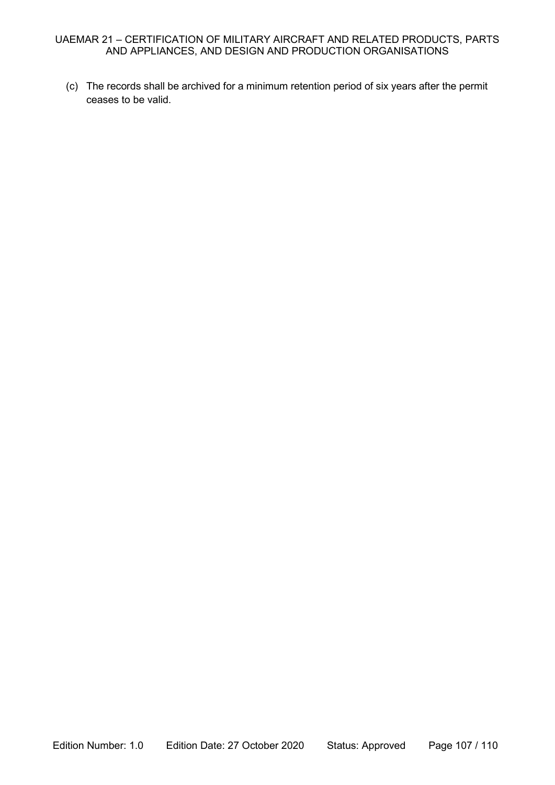(c) The records shall be archived for a minimum retention period of six years after the permit ceases to be valid.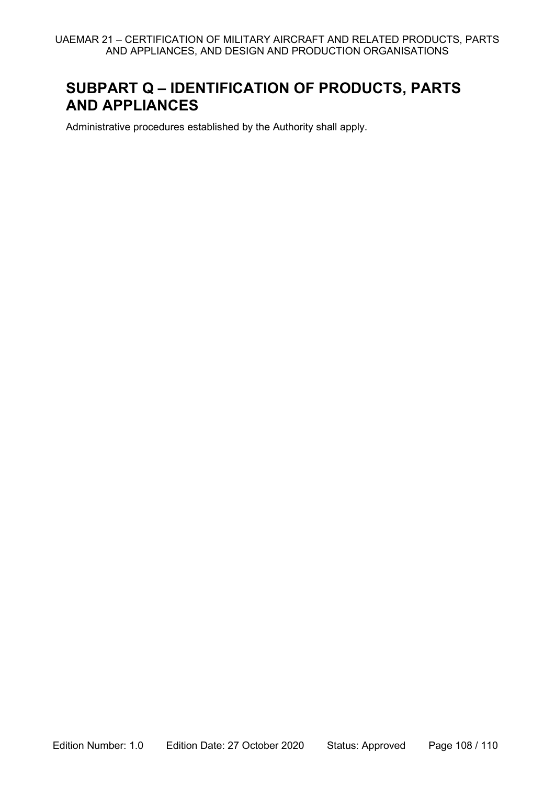# **SUBPART Q – IDENTIFICATION OF PRODUCTS, PARTS AND APPLIANCES**

Administrative procedures established by the Authority shall apply.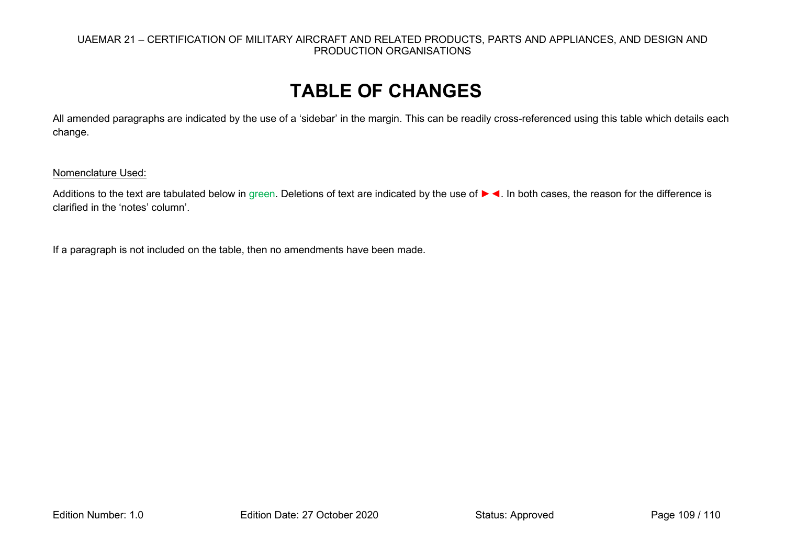## UAEMAR 21 – CERTIFICATION OF MILITARY AIRCRAFT AND RELATED PRODUCTS, PARTS AND APPLIANCES, AND DESIGN AND PRODUCTION ORGANISATIONS

## **TABLE OF CHANGES**

All amended paragraphs are indicated by the use of a 'sidebar' in the margin. This can be readily cross-referenced using this table which details each change.

## Nomenclature Used:

Additions to the text are tabulated below in green. Deletions of text are indicated by the use of ►◄. In both cases, the reason for the difference is clarified in the 'notes' column'.

If a paragraph is not included on the table, then no amendments have been made.